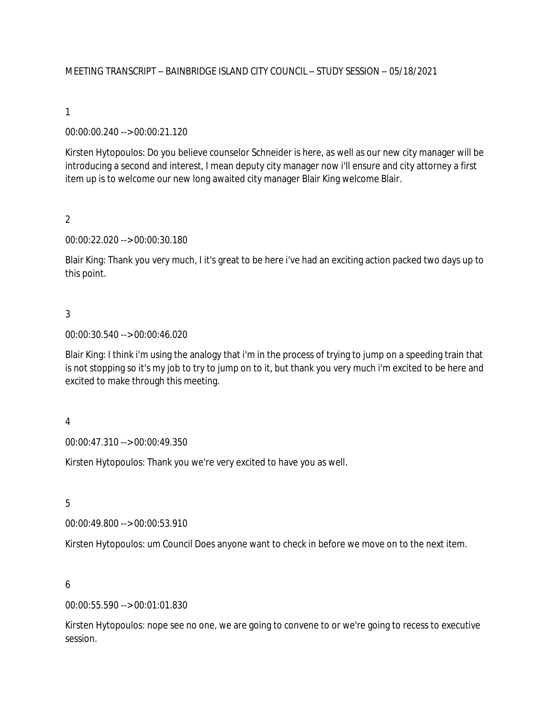### 00:00:00.240 --> 00:00:21.120

Kirsten Hytopoulos: Do you believe counselor Schneider is here, as well as our new city manager will be introducing a second and interest, I mean deputy city manager now i'll ensure and city attorney a first item up is to welcome our new long awaited city manager Blair King welcome Blair.

2

#### 00:00:22.020 --> 00:00:30.180

Blair King: Thank you very much, I it's great to be here i've had an exciting action packed two days up to this point.

### 3

#### 00:00:30.540 --> 00:00:46.020

Blair King: I think i'm using the analogy that i'm in the process of trying to jump on a speeding train that is not stopping so it's my job to try to jump on to it, but thank you very much i'm excited to be here and excited to make through this meeting.

#### 4

00:00:47.310 --> 00:00:49.350

Kirsten Hytopoulos: Thank you we're very excited to have you as well.

5

00:00:49.800 --> 00:00:53.910

Kirsten Hytopoulos: um Council Does anyone want to check in before we move on to the next item.

#### 6

00:00:55.590 --> 00:01:01.830

Kirsten Hytopoulos: nope see no one, we are going to convene to or we're going to recess to executive session.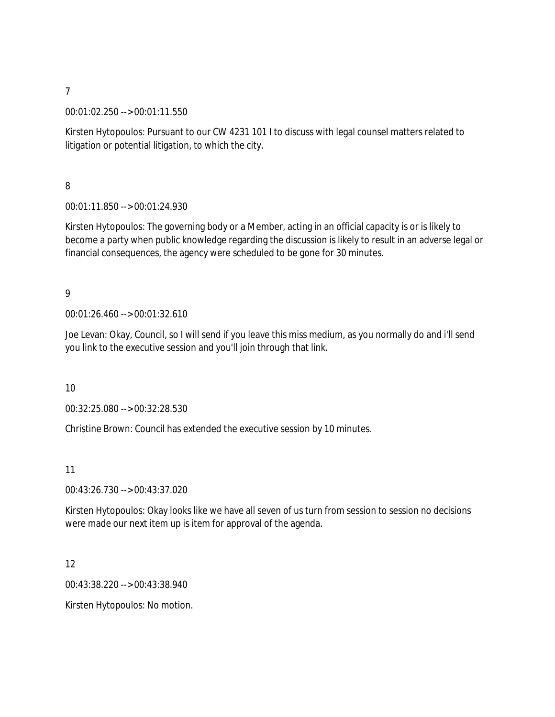00:01:02.250 --> 00:01:11.550

Kirsten Hytopoulos: Pursuant to our CW 4231 101 I to discuss with legal counsel matters related to litigation or potential litigation, to which the city.

8

00:01:11.850 --> 00:01:24.930

Kirsten Hytopoulos: The governing body or a Member, acting in an official capacity is or is likely to become a party when public knowledge regarding the discussion is likely to result in an adverse legal or financial consequences, the agency were scheduled to be gone for 30 minutes.

9

00:01:26.460 --> 00:01:32.610

Joe Levan: Okay, Council, so I will send if you leave this miss medium, as you normally do and i'll send you link to the executive session and you'll join through that link.

10

00:32:25.080 --> 00:32:28.530

Christine Brown: Council has extended the executive session by 10 minutes.

11

00:43:26.730 --> 00:43:37.020

Kirsten Hytopoulos: Okay looks like we have all seven of us turn from session to session no decisions were made our next item up is item for approval of the agenda.

12

00:43:38.220 --> 00:43:38.940

Kirsten Hytopoulos: No motion.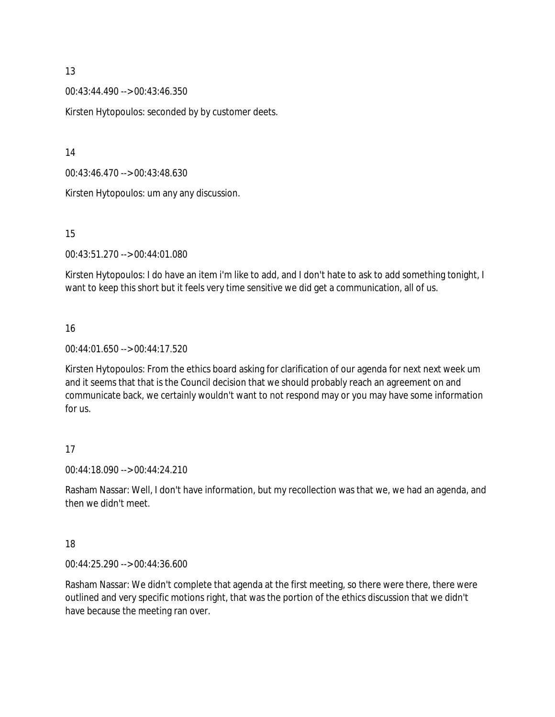00:43:44.490 --> 00:43:46.350

Kirsten Hytopoulos: seconded by by customer deets.

14

00:43:46.470 --> 00:43:48.630

Kirsten Hytopoulos: um any any discussion.

15

00:43:51.270 --> 00:44:01.080

Kirsten Hytopoulos: I do have an item i'm like to add, and I don't hate to ask to add something tonight, I want to keep this short but it feels very time sensitive we did get a communication, all of us.

# 16

00:44:01.650 --> 00:44:17.520

Kirsten Hytopoulos: From the ethics board asking for clarification of our agenda for next next week um and it seems that that is the Council decision that we should probably reach an agreement on and communicate back, we certainly wouldn't want to not respond may or you may have some information for us.

## 17

00:44:18.090 --> 00:44:24.210

Rasham Nassar: Well, I don't have information, but my recollection was that we, we had an agenda, and then we didn't meet.

## 18

00:44:25.290 --> 00:44:36.600

Rasham Nassar: We didn't complete that agenda at the first meeting, so there were there, there were outlined and very specific motions right, that was the portion of the ethics discussion that we didn't have because the meeting ran over.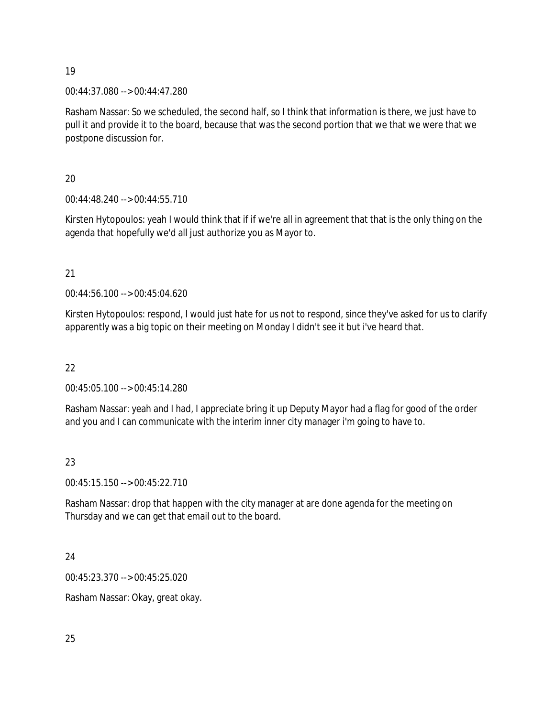00:44:37.080 --> 00:44:47.280

Rasham Nassar: So we scheduled, the second half, so I think that information is there, we just have to pull it and provide it to the board, because that was the second portion that we that we were that we postpone discussion for.

20

00:44:48.240 --> 00:44:55.710

Kirsten Hytopoulos: yeah I would think that if if we're all in agreement that that is the only thing on the agenda that hopefully we'd all just authorize you as Mayor to.

21

00:44:56.100 --> 00:45:04.620

Kirsten Hytopoulos: respond, I would just hate for us not to respond, since they've asked for us to clarify apparently was a big topic on their meeting on Monday I didn't see it but i've heard that.

22

00:45:05.100 --> 00:45:14.280

Rasham Nassar: yeah and I had, I appreciate bring it up Deputy Mayor had a flag for good of the order and you and I can communicate with the interim inner city manager i'm going to have to.

## 23

00:45:15.150 --> 00:45:22.710

Rasham Nassar: drop that happen with the city manager at are done agenda for the meeting on Thursday and we can get that email out to the board.

24

00:45:23.370 --> 00:45:25.020

Rasham Nassar: Okay, great okay.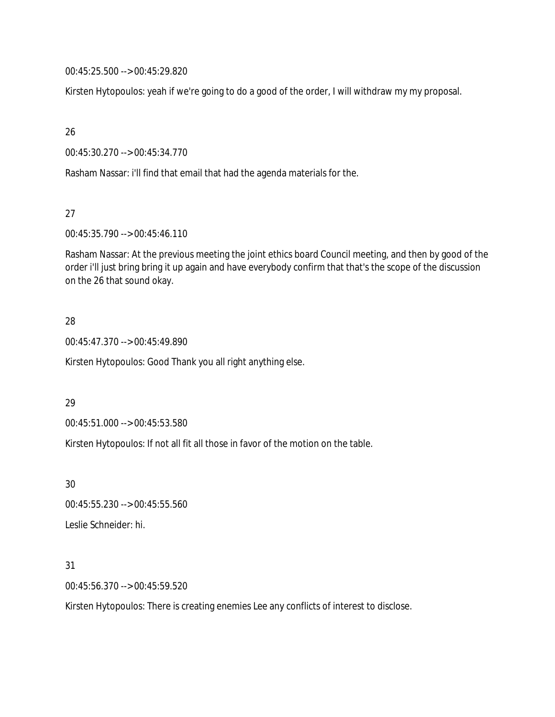00:45:25.500 --> 00:45:29.820

Kirsten Hytopoulos: yeah if we're going to do a good of the order, I will withdraw my my proposal.

26

00:45:30.270 --> 00:45:34.770

Rasham Nassar: i'll find that email that had the agenda materials for the.

27

00:45:35.790 --> 00:45:46.110

Rasham Nassar: At the previous meeting the joint ethics board Council meeting, and then by good of the order i'll just bring bring it up again and have everybody confirm that that's the scope of the discussion on the 26 that sound okay.

### 28

00:45:47.370 --> 00:45:49.890

Kirsten Hytopoulos: Good Thank you all right anything else.

## 29

00:45:51.000 --> 00:45:53.580

Kirsten Hytopoulos: If not all fit all those in favor of the motion on the table.

30 00:45:55.230 --> 00:45:55.560 Leslie Schneider: hi.

#### 31

00:45:56.370 --> 00:45:59.520

Kirsten Hytopoulos: There is creating enemies Lee any conflicts of interest to disclose.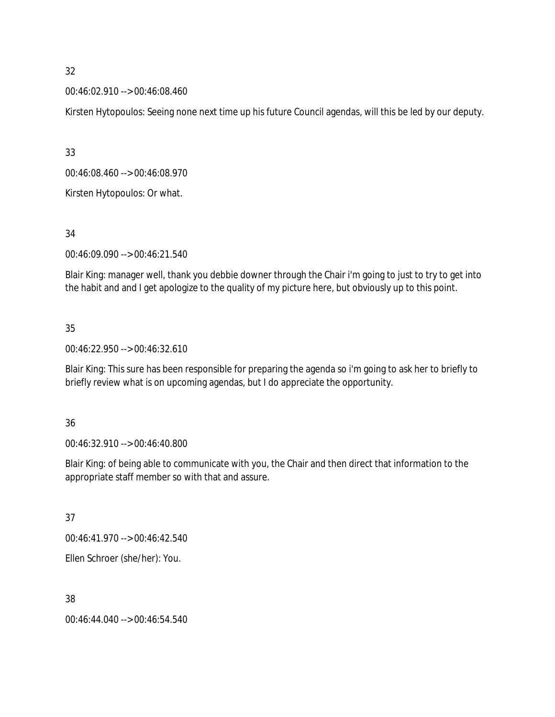00:46:02.910 --> 00:46:08.460

Kirsten Hytopoulos: Seeing none next time up his future Council agendas, will this be led by our deputy.

33

00:46:08.460 --> 00:46:08.970

Kirsten Hytopoulos: Or what.

## 34

00:46:09.090 --> 00:46:21.540

Blair King: manager well, thank you debbie downer through the Chair i'm going to just to try to get into the habit and and I get apologize to the quality of my picture here, but obviously up to this point.

# 35

00:46:22.950 --> 00:46:32.610

Blair King: This sure has been responsible for preparing the agenda so i'm going to ask her to briefly to briefly review what is on upcoming agendas, but I do appreciate the opportunity.

## 36

00:46:32.910 --> 00:46:40.800

Blair King: of being able to communicate with you, the Chair and then direct that information to the appropriate staff member so with that and assure.

## 37

00:46:41.970 --> 00:46:42.540

Ellen Schroer (she/her): You.

## 38

00:46:44.040 --> 00:46:54.540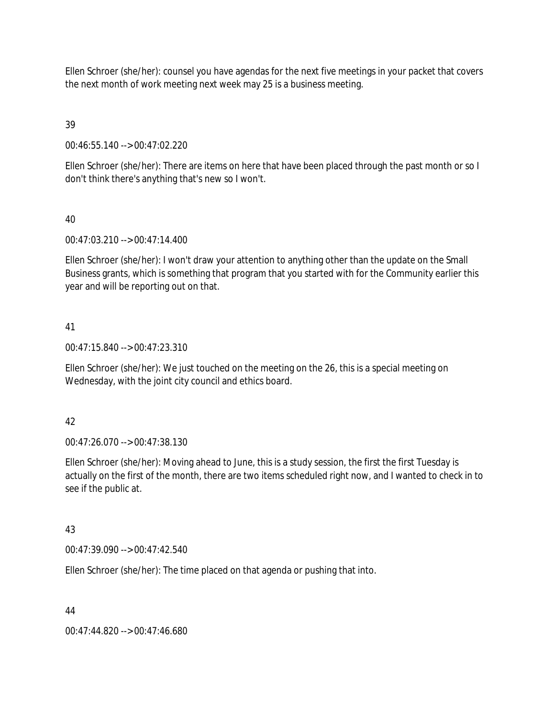Ellen Schroer (she/her): counsel you have agendas for the next five meetings in your packet that covers the next month of work meeting next week may 25 is a business meeting.

# 39

00:46:55.140 --> 00:47:02.220

Ellen Schroer (she/her): There are items on here that have been placed through the past month or so I don't think there's anything that's new so I won't.

## 40

00:47:03.210 --> 00:47:14.400

Ellen Schroer (she/her): I won't draw your attention to anything other than the update on the Small Business grants, which is something that program that you started with for the Community earlier this year and will be reporting out on that.

## 41

00:47:15.840 --> 00:47:23.310

Ellen Schroer (she/her): We just touched on the meeting on the 26, this is a special meeting on Wednesday, with the joint city council and ethics board.

## 42

00:47:26.070 --> 00:47:38.130

Ellen Schroer (she/her): Moving ahead to June, this is a study session, the first the first Tuesday is actually on the first of the month, there are two items scheduled right now, and I wanted to check in to see if the public at.

## 43

00:47:39.090 --> 00:47:42.540

Ellen Schroer (she/her): The time placed on that agenda or pushing that into.

## 44

00:47:44.820 --> 00:47:46.680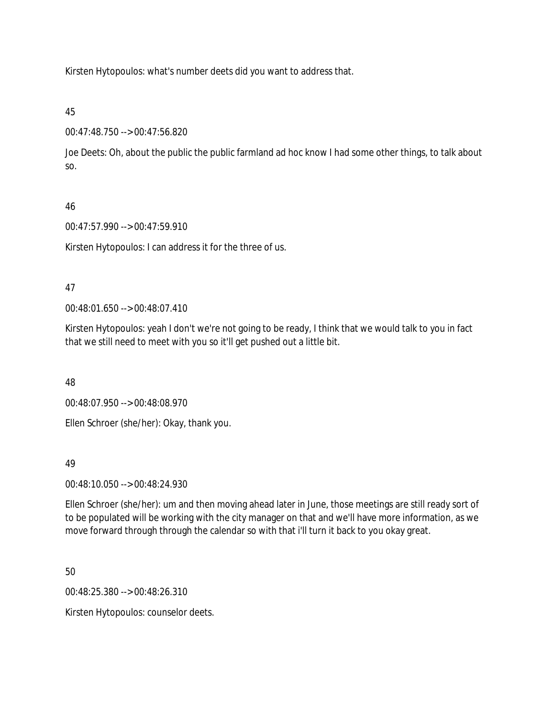Kirsten Hytopoulos: what's number deets did you want to address that.

45

00:47:48.750 --> 00:47:56.820

Joe Deets: Oh, about the public the public farmland ad hoc know I had some other things, to talk about so.

# 46

00:47:57.990 --> 00:47:59.910

Kirsten Hytopoulos: I can address it for the three of us.

## 47

00:48:01.650 --> 00:48:07.410

Kirsten Hytopoulos: yeah I don't we're not going to be ready, I think that we would talk to you in fact that we still need to meet with you so it'll get pushed out a little bit.

48

00:48:07.950 --> 00:48:08.970

Ellen Schroer (she/her): Okay, thank you.

## 49

00:48:10.050 --> 00:48:24.930

Ellen Schroer (she/her): um and then moving ahead later in June, those meetings are still ready sort of to be populated will be working with the city manager on that and we'll have more information, as we move forward through through the calendar so with that i'll turn it back to you okay great.

50

00:48:25.380 --> 00:48:26.310

Kirsten Hytopoulos: counselor deets.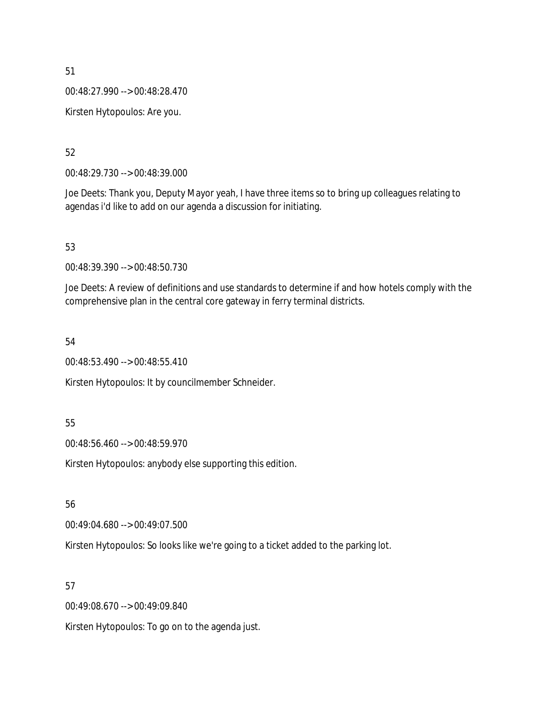00:48:27.990 --> 00:48:28.470

Kirsten Hytopoulos: Are you.

52

00:48:29.730 --> 00:48:39.000

Joe Deets: Thank you, Deputy Mayor yeah, I have three items so to bring up colleagues relating to agendas i'd like to add on our agenda a discussion for initiating.

53

00:48:39.390 --> 00:48:50.730

Joe Deets: A review of definitions and use standards to determine if and how hotels comply with the comprehensive plan in the central core gateway in ferry terminal districts.

54

00:48:53.490 --> 00:48:55.410

Kirsten Hytopoulos: It by councilmember Schneider.

55

00:48:56.460 --> 00:48:59.970

Kirsten Hytopoulos: anybody else supporting this edition.

56

00:49:04.680 --> 00:49:07.500

Kirsten Hytopoulos: So looks like we're going to a ticket added to the parking lot.

57

00:49:08.670 --> 00:49:09.840

Kirsten Hytopoulos: To go on to the agenda just.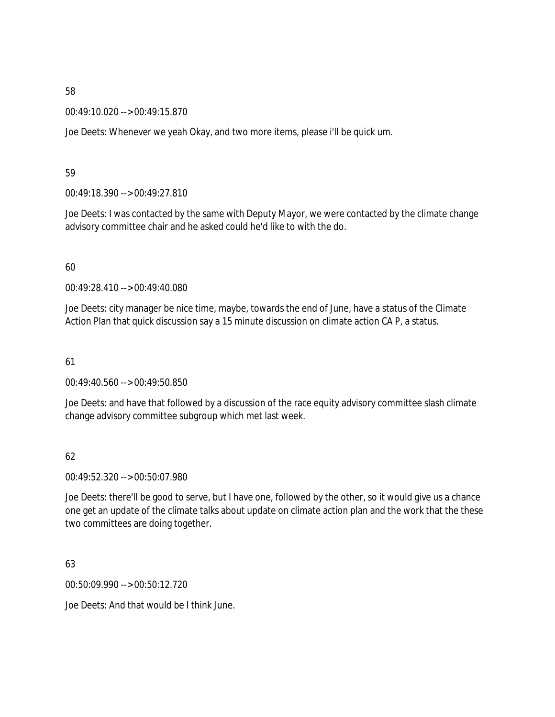00:49:10.020 --> 00:49:15.870

Joe Deets: Whenever we yeah Okay, and two more items, please i'll be quick um.

#### 59

00:49:18.390 --> 00:49:27.810

Joe Deets: I was contacted by the same with Deputy Mayor, we were contacted by the climate change advisory committee chair and he asked could he'd like to with the do.

### 60

00:49:28.410 --> 00:49:40.080

Joe Deets: city manager be nice time, maybe, towards the end of June, have a status of the Climate Action Plan that quick discussion say a 15 minute discussion on climate action CA P, a status.

#### 61

00:49:40.560 --> 00:49:50.850

Joe Deets: and have that followed by a discussion of the race equity advisory committee slash climate change advisory committee subgroup which met last week.

## 62

00:49:52.320 --> 00:50:07.980

Joe Deets: there'll be good to serve, but I have one, followed by the other, so it would give us a chance one get an update of the climate talks about update on climate action plan and the work that the these two committees are doing together.

## 63

00:50:09.990 --> 00:50:12.720

Joe Deets: And that would be I think June.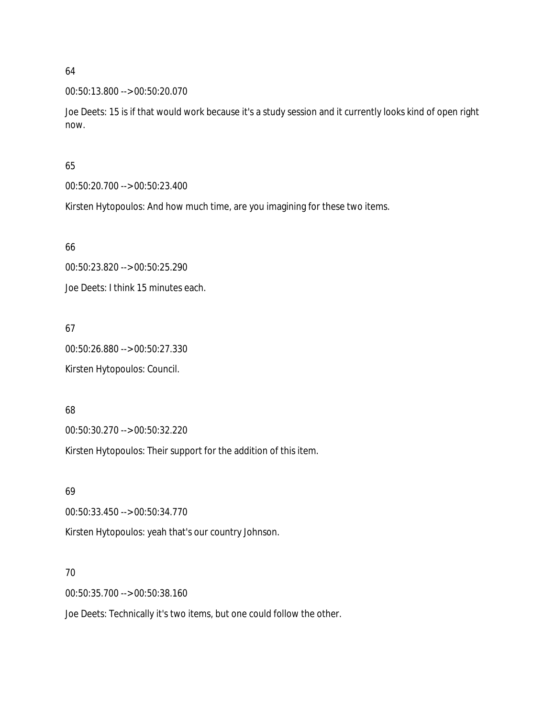00:50:13.800 --> 00:50:20.070

Joe Deets: 15 is if that would work because it's a study session and it currently looks kind of open right now.

#### 65

00:50:20.700 --> 00:50:23.400

Kirsten Hytopoulos: And how much time, are you imagining for these two items.

### 66

00:50:23.820 --> 00:50:25.290

Joe Deets: I think 15 minutes each.

# 67

00:50:26.880 --> 00:50:27.330 Kirsten Hytopoulos: Council.

## 68

00:50:30.270 --> 00:50:32.220

Kirsten Hytopoulos: Their support for the addition of this item.

## 69

00:50:33.450 --> 00:50:34.770

Kirsten Hytopoulos: yeah that's our country Johnson.

## 70

00:50:35.700 --> 00:50:38.160

Joe Deets: Technically it's two items, but one could follow the other.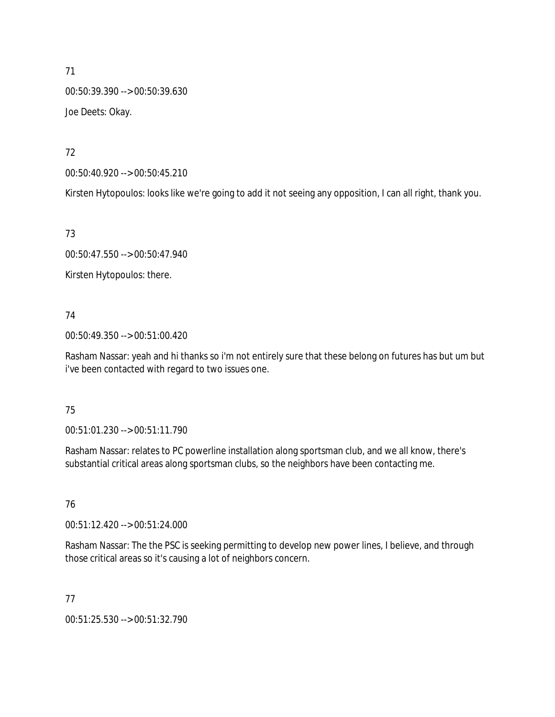00:50:39.390 --> 00:50:39.630 Joe Deets: Okay.

72

00:50:40.920 --> 00:50:45.210

Kirsten Hytopoulos: looks like we're going to add it not seeing any opposition, I can all right, thank you.

73

00:50:47.550 --> 00:50:47.940

Kirsten Hytopoulos: there.

## 74

00:50:49.350 --> 00:51:00.420

Rasham Nassar: yeah and hi thanks so i'm not entirely sure that these belong on futures has but um but i've been contacted with regard to two issues one.

## 75

00:51:01.230 --> 00:51:11.790

Rasham Nassar: relates to PC powerline installation along sportsman club, and we all know, there's substantial critical areas along sportsman clubs, so the neighbors have been contacting me.

## 76

00:51:12.420 --> 00:51:24.000

Rasham Nassar: The the PSC is seeking permitting to develop new power lines, I believe, and through those critical areas so it's causing a lot of neighbors concern.

## 77

00:51:25.530 --> 00:51:32.790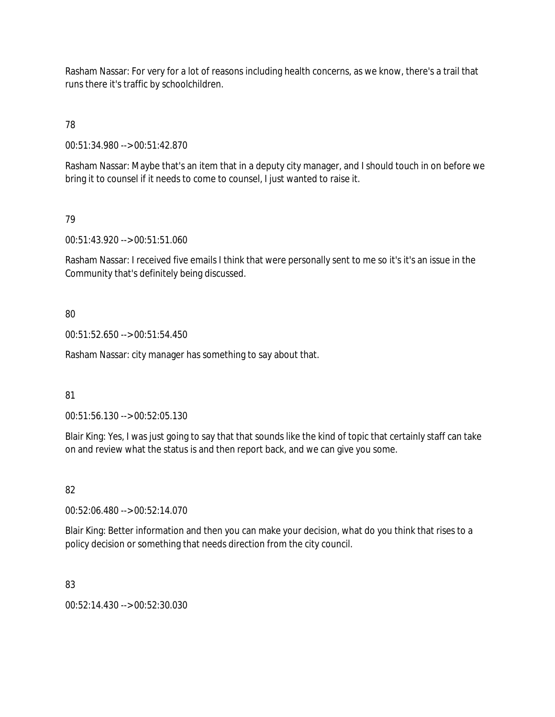Rasham Nassar: For very for a lot of reasons including health concerns, as we know, there's a trail that runs there it's traffic by schoolchildren.

78

00:51:34.980 --> 00:51:42.870

Rasham Nassar: Maybe that's an item that in a deputy city manager, and I should touch in on before we bring it to counsel if it needs to come to counsel, I just wanted to raise it.

79

00:51:43.920 --> 00:51:51.060

Rasham Nassar: I received five emails I think that were personally sent to me so it's it's an issue in the Community that's definitely being discussed.

80

00:51:52.650 --> 00:51:54.450

Rasham Nassar: city manager has something to say about that.

81

00:51:56.130 --> 00:52:05.130

Blair King: Yes, I was just going to say that that sounds like the kind of topic that certainly staff can take on and review what the status is and then report back, and we can give you some.

82

00:52:06.480 --> 00:52:14.070

Blair King: Better information and then you can make your decision, what do you think that rises to a policy decision or something that needs direction from the city council.

83

00:52:14.430 --> 00:52:30.030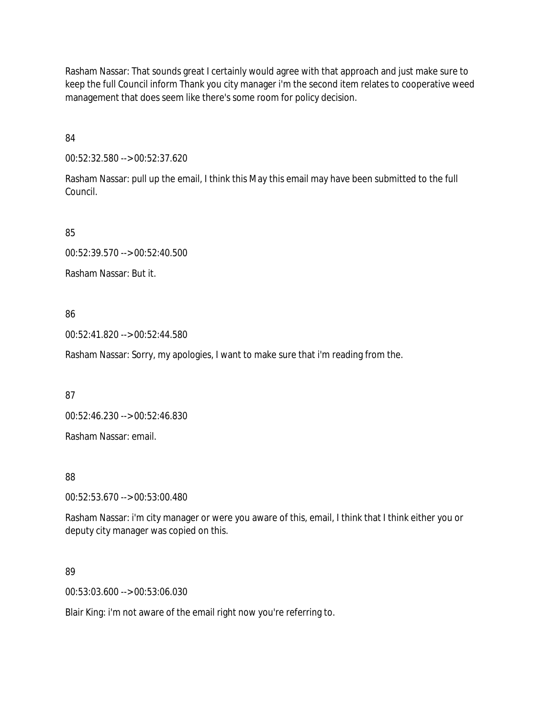Rasham Nassar: That sounds great I certainly would agree with that approach and just make sure to keep the full Council inform Thank you city manager i'm the second item relates to cooperative weed management that does seem like there's some room for policy decision.

84

00:52:32.580 --> 00:52:37.620

Rasham Nassar: pull up the email, I think this May this email may have been submitted to the full Council.

85

00:52:39.570 --> 00:52:40.500

Rasham Nassar: But it.

86

00:52:41.820 --> 00:52:44.580

Rasham Nassar: Sorry, my apologies, I want to make sure that i'm reading from the.

87

00:52:46.230 --> 00:52:46.830

Rasham Nassar: email.

88

00:52:53.670 --> 00:53:00.480

Rasham Nassar: i'm city manager or were you aware of this, email, I think that I think either you or deputy city manager was copied on this.

89

00:53:03.600 --> 00:53:06.030

Blair King: i'm not aware of the email right now you're referring to.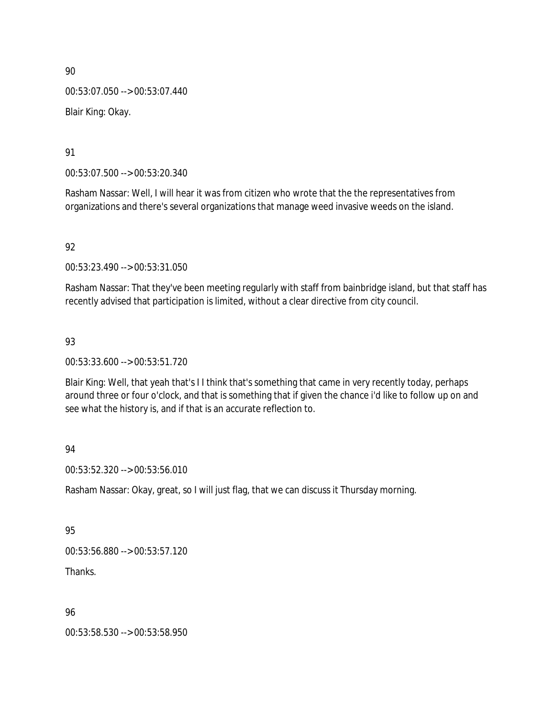00:53:07.050 --> 00:53:07.440 Blair King: Okay.

91

00:53:07.500 --> 00:53:20.340

Rasham Nassar: Well, I will hear it was from citizen who wrote that the the representatives from organizations and there's several organizations that manage weed invasive weeds on the island.

92

00:53:23.490 --> 00:53:31.050

Rasham Nassar: That they've been meeting regularly with staff from bainbridge island, but that staff has recently advised that participation is limited, without a clear directive from city council.

93

00:53:33.600 --> 00:53:51.720

Blair King: Well, that yeah that's I I think that's something that came in very recently today, perhaps around three or four o'clock, and that is something that if given the chance i'd like to follow up on and see what the history is, and if that is an accurate reflection to.

94

00:53:52.320 --> 00:53:56.010

Rasham Nassar: Okay, great, so I will just flag, that we can discuss it Thursday morning.

95

00:53:56.880 --> 00:53:57.120

Thanks.

96

00:53:58.530 --> 00:53:58.950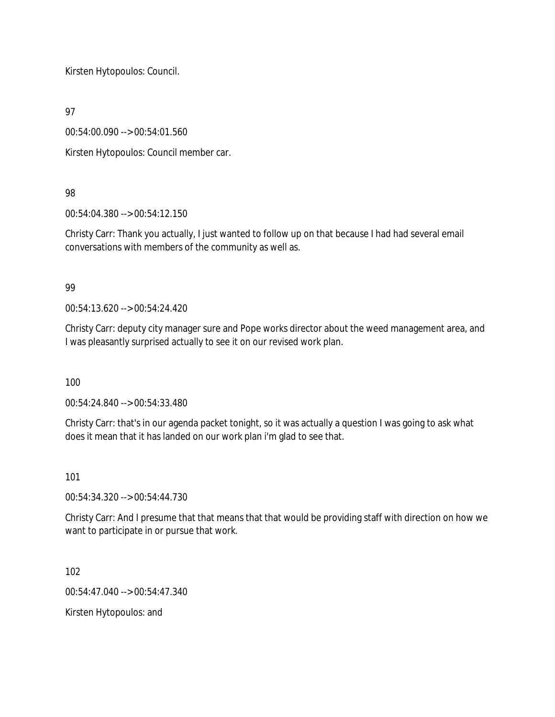Kirsten Hytopoulos: Council.

97

00:54:00.090 --> 00:54:01.560

Kirsten Hytopoulos: Council member car.

# 98

00:54:04.380 --> 00:54:12.150

Christy Carr: Thank you actually, I just wanted to follow up on that because I had had several email conversations with members of the community as well as.

## 99

00:54:13.620 --> 00:54:24.420

Christy Carr: deputy city manager sure and Pope works director about the weed management area, and I was pleasantly surprised actually to see it on our revised work plan.

100

00:54:24.840 --> 00:54:33.480

Christy Carr: that's in our agenda packet tonight, so it was actually a question I was going to ask what does it mean that it has landed on our work plan i'm glad to see that.

101

00:54:34.320 --> 00:54:44.730

Christy Carr: And I presume that that means that that would be providing staff with direction on how we want to participate in or pursue that work.

102

00:54:47.040 --> 00:54:47.340

Kirsten Hytopoulos: and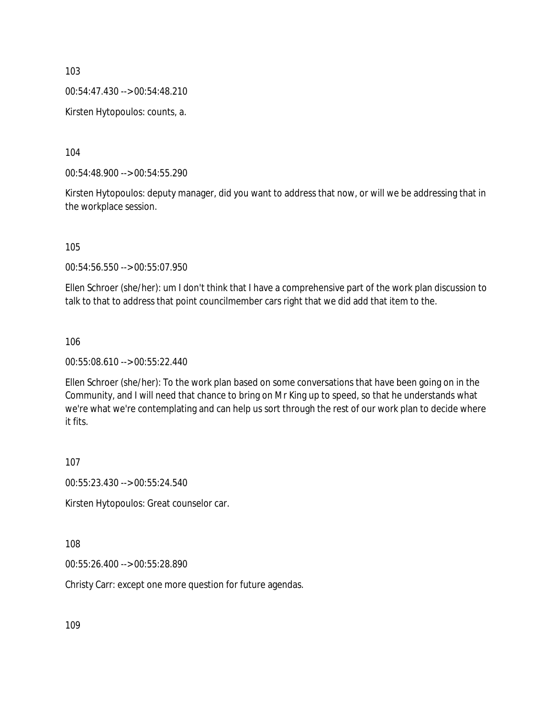00:54:47.430 --> 00:54:48.210

Kirsten Hytopoulos: counts, a.

104

00:54:48.900 --> 00:54:55.290

Kirsten Hytopoulos: deputy manager, did you want to address that now, or will we be addressing that in the workplace session.

105

00:54:56.550 --> 00:55:07.950

Ellen Schroer (she/her): um I don't think that I have a comprehensive part of the work plan discussion to talk to that to address that point councilmember cars right that we did add that item to the.

106

00:55:08.610 --> 00:55:22.440

Ellen Schroer (she/her): To the work plan based on some conversations that have been going on in the Community, and I will need that chance to bring on Mr King up to speed, so that he understands what we're what we're contemplating and can help us sort through the rest of our work plan to decide where it fits.

107

00:55:23.430 --> 00:55:24.540

Kirsten Hytopoulos: Great counselor car.

108

00:55:26.400 --> 00:55:28.890

Christy Carr: except one more question for future agendas.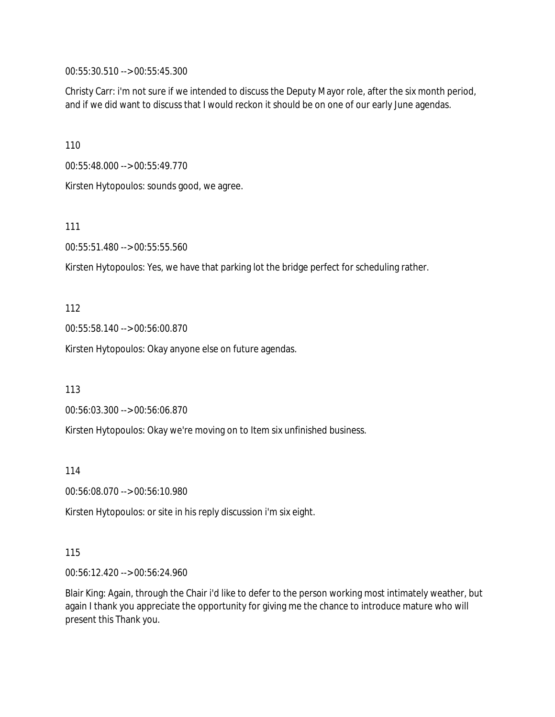00:55:30.510 --> 00:55:45.300

Christy Carr: i'm not sure if we intended to discuss the Deputy Mayor role, after the six month period, and if we did want to discuss that I would reckon it should be on one of our early June agendas.

110

00:55:48.000 --> 00:55:49.770

Kirsten Hytopoulos: sounds good, we agree.

111

00:55:51.480 --> 00:55:55.560

Kirsten Hytopoulos: Yes, we have that parking lot the bridge perfect for scheduling rather.

112

00:55:58.140 --> 00:56:00.870

Kirsten Hytopoulos: Okay anyone else on future agendas.

113

00:56:03.300 --> 00:56:06.870

Kirsten Hytopoulos: Okay we're moving on to Item six unfinished business.

114

00:56:08.070 --> 00:56:10.980

Kirsten Hytopoulos: or site in his reply discussion i'm six eight.

115

00:56:12.420 --> 00:56:24.960

Blair King: Again, through the Chair i'd like to defer to the person working most intimately weather, but again I thank you appreciate the opportunity for giving me the chance to introduce mature who will present this Thank you.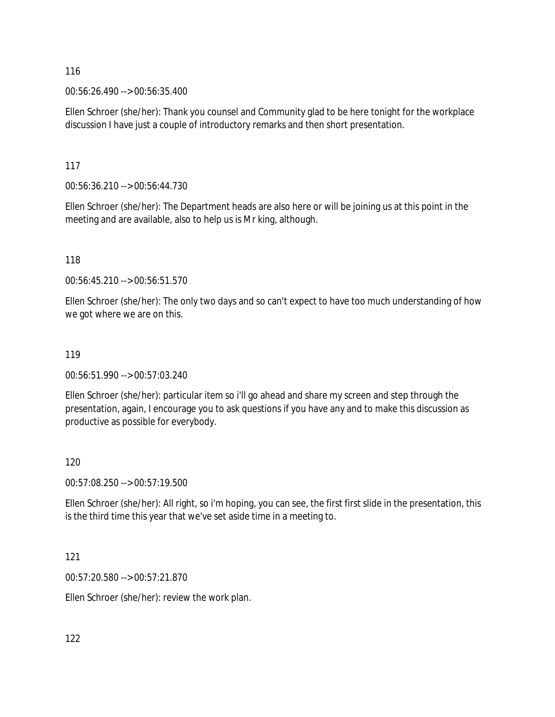00:56:26.490 --> 00:56:35.400

Ellen Schroer (she/her): Thank you counsel and Community glad to be here tonight for the workplace discussion I have just a couple of introductory remarks and then short presentation.

117

00:56:36.210 --> 00:56:44.730

Ellen Schroer (she/her): The Department heads are also here or will be joining us at this point in the meeting and are available, also to help us is Mr king, although.

118

00:56:45.210 --> 00:56:51.570

Ellen Schroer (she/her): The only two days and so can't expect to have too much understanding of how we got where we are on this.

#### 119

00:56:51.990 --> 00:57:03.240

Ellen Schroer (she/her): particular item so i'll go ahead and share my screen and step through the presentation, again, I encourage you to ask questions if you have any and to make this discussion as productive as possible for everybody.

#### 120

00:57:08.250 --> 00:57:19.500

Ellen Schroer (she/her): All right, so i'm hoping, you can see, the first first slide in the presentation, this is the third time this year that we've set aside time in a meeting to.

#### 121

00:57:20.580 --> 00:57:21.870

Ellen Schroer (she/her): review the work plan.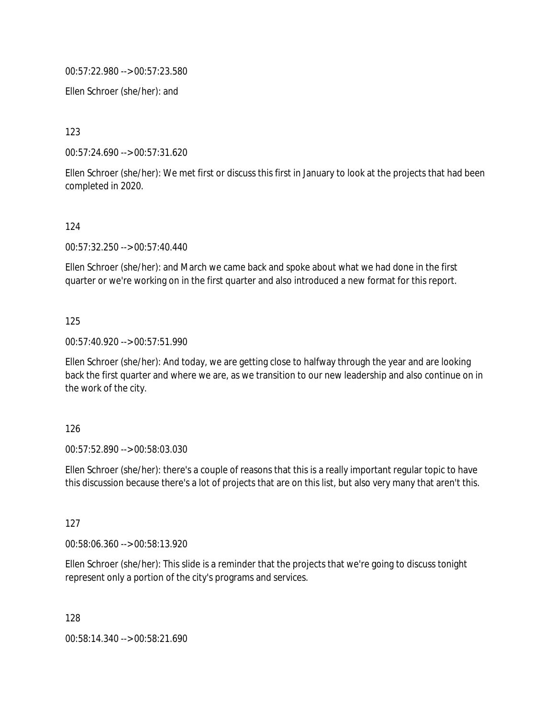00:57:22.980 --> 00:57:23.580

Ellen Schroer (she/her): and

123

00:57:24.690 --> 00:57:31.620

Ellen Schroer (she/her): We met first or discuss this first in January to look at the projects that had been completed in 2020.

#### 124

00:57:32.250 --> 00:57:40.440

Ellen Schroer (she/her): and March we came back and spoke about what we had done in the first quarter or we're working on in the first quarter and also introduced a new format for this report.

#### 125

00:57:40.920 --> 00:57:51.990

Ellen Schroer (she/her): And today, we are getting close to halfway through the year and are looking back the first quarter and where we are, as we transition to our new leadership and also continue on in the work of the city.

#### 126

00:57:52.890 --> 00:58:03.030

Ellen Schroer (she/her): there's a couple of reasons that this is a really important regular topic to have this discussion because there's a lot of projects that are on this list, but also very many that aren't this.

#### 127

00:58:06.360 --> 00:58:13.920

Ellen Schroer (she/her): This slide is a reminder that the projects that we're going to discuss tonight represent only a portion of the city's programs and services.

128

00:58:14.340 --> 00:58:21.690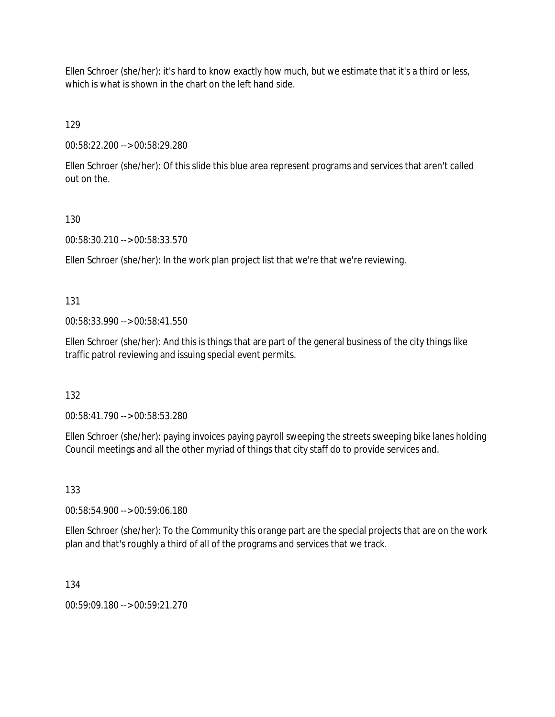Ellen Schroer (she/her): it's hard to know exactly how much, but we estimate that it's a third or less, which is what is shown in the chart on the left hand side.

129

00:58:22.200 --> 00:58:29.280

Ellen Schroer (she/her): Of this slide this blue area represent programs and services that aren't called out on the.

### 130

00:58:30.210 --> 00:58:33.570

Ellen Schroer (she/her): In the work plan project list that we're that we're reviewing.

### 131

00:58:33.990 --> 00:58:41.550

Ellen Schroer (she/her): And this is things that are part of the general business of the city things like traffic patrol reviewing and issuing special event permits.

132

00:58:41.790 --> 00:58:53.280

Ellen Schroer (she/her): paying invoices paying payroll sweeping the streets sweeping bike lanes holding Council meetings and all the other myriad of things that city staff do to provide services and.

## 133

00:58:54.900 --> 00:59:06.180

Ellen Schroer (she/her): To the Community this orange part are the special projects that are on the work plan and that's roughly a third of all of the programs and services that we track.

#### 134

00:59:09.180 --> 00:59:21.270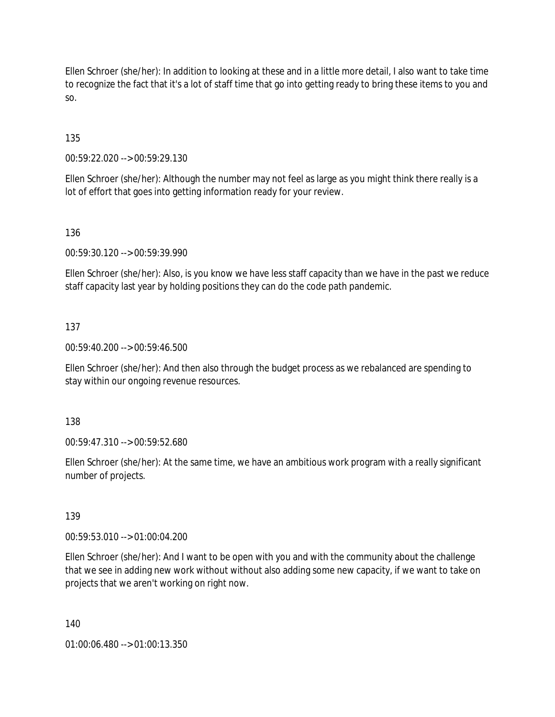Ellen Schroer (she/her): In addition to looking at these and in a little more detail, I also want to take time to recognize the fact that it's a lot of staff time that go into getting ready to bring these items to you and so.

135

00:59:22.020 --> 00:59:29.130

Ellen Schroer (she/her): Although the number may not feel as large as you might think there really is a lot of effort that goes into getting information ready for your review.

136

00:59:30.120 --> 00:59:39.990

Ellen Schroer (she/her): Also, is you know we have less staff capacity than we have in the past we reduce staff capacity last year by holding positions they can do the code path pandemic.

137

00:59:40.200 --> 00:59:46.500

Ellen Schroer (she/her): And then also through the budget process as we rebalanced are spending to stay within our ongoing revenue resources.

138

00:59:47.310 --> 00:59:52.680

Ellen Schroer (she/her): At the same time, we have an ambitious work program with a really significant number of projects.

139

00:59:53.010 --> 01:00:04.200

Ellen Schroer (she/her): And I want to be open with you and with the community about the challenge that we see in adding new work without without also adding some new capacity, if we want to take on projects that we aren't working on right now.

140

01:00:06.480 --> 01:00:13.350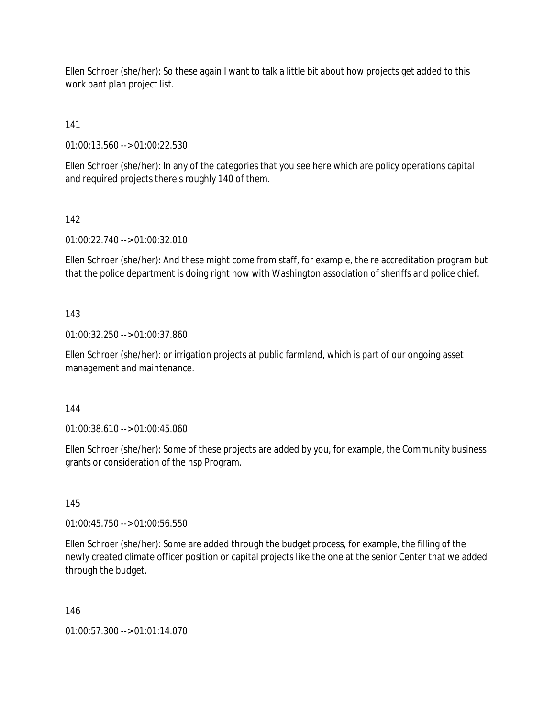Ellen Schroer (she/her): So these again I want to talk a little bit about how projects get added to this work pant plan project list.

# 141

01:00:13.560 --> 01:00:22.530

Ellen Schroer (she/her): In any of the categories that you see here which are policy operations capital and required projects there's roughly 140 of them.

## 142

01:00:22.740 --> 01:00:32.010

Ellen Schroer (she/her): And these might come from staff, for example, the re accreditation program but that the police department is doing right now with Washington association of sheriffs and police chief.

### 143

01:00:32.250 --> 01:00:37.860

Ellen Schroer (she/her): or irrigation projects at public farmland, which is part of our ongoing asset management and maintenance.

#### 144

01:00:38.610 --> 01:00:45.060

Ellen Schroer (she/her): Some of these projects are added by you, for example, the Community business grants or consideration of the nsp Program.

#### 145

01:00:45.750 --> 01:00:56.550

Ellen Schroer (she/her): Some are added through the budget process, for example, the filling of the newly created climate officer position or capital projects like the one at the senior Center that we added through the budget.

#### 146

01:00:57.300 --> 01:01:14.070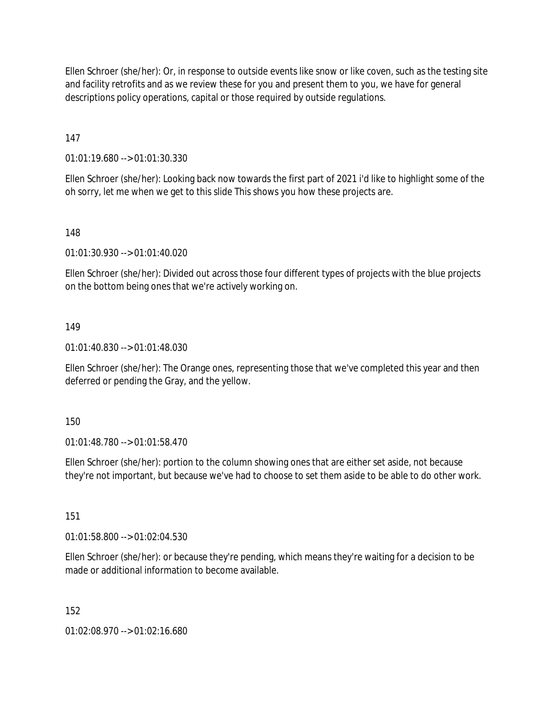Ellen Schroer (she/her): Or, in response to outside events like snow or like coven, such as the testing site and facility retrofits and as we review these for you and present them to you, we have for general descriptions policy operations, capital or those required by outside regulations.

147

01:01:19.680 --> 01:01:30.330

Ellen Schroer (she/her): Looking back now towards the first part of 2021 i'd like to highlight some of the oh sorry, let me when we get to this slide This shows you how these projects are.

148

01:01:30.930 --> 01:01:40.020

Ellen Schroer (she/her): Divided out across those four different types of projects with the blue projects on the bottom being ones that we're actively working on.

#### 149

01:01:40.830 --> 01:01:48.030

Ellen Schroer (she/her): The Orange ones, representing those that we've completed this year and then deferred or pending the Gray, and the yellow.

150

01:01:48.780 --> 01:01:58.470

Ellen Schroer (she/her): portion to the column showing ones that are either set aside, not because they're not important, but because we've had to choose to set them aside to be able to do other work.

151

01:01:58.800 --> 01:02:04.530

Ellen Schroer (she/her): or because they're pending, which means they're waiting for a decision to be made or additional information to become available.

152

01:02:08.970 --> 01:02:16.680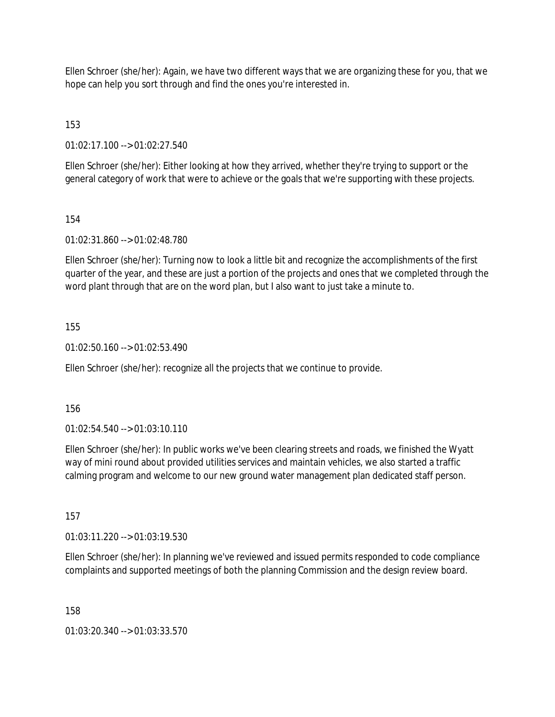Ellen Schroer (she/her): Again, we have two different ways that we are organizing these for you, that we hope can help you sort through and find the ones you're interested in.

153

01:02:17.100 --> 01:02:27.540

Ellen Schroer (she/her): Either looking at how they arrived, whether they're trying to support or the general category of work that were to achieve or the goals that we're supporting with these projects.

### 154

01:02:31.860 --> 01:02:48.780

Ellen Schroer (she/her): Turning now to look a little bit and recognize the accomplishments of the first quarter of the year, and these are just a portion of the projects and ones that we completed through the word plant through that are on the word plan, but I also want to just take a minute to.

### 155

01:02:50.160 --> 01:02:53.490

Ellen Schroer (she/her): recognize all the projects that we continue to provide.

#### 156

01:02:54.540 --> 01:03:10.110

Ellen Schroer (she/her): In public works we've been clearing streets and roads, we finished the Wyatt way of mini round about provided utilities services and maintain vehicles, we also started a traffic calming program and welcome to our new ground water management plan dedicated staff person.

#### 157

01:03:11.220 --> 01:03:19.530

Ellen Schroer (she/her): In planning we've reviewed and issued permits responded to code compliance complaints and supported meetings of both the planning Commission and the design review board.

158

01:03:20.340 --> 01:03:33.570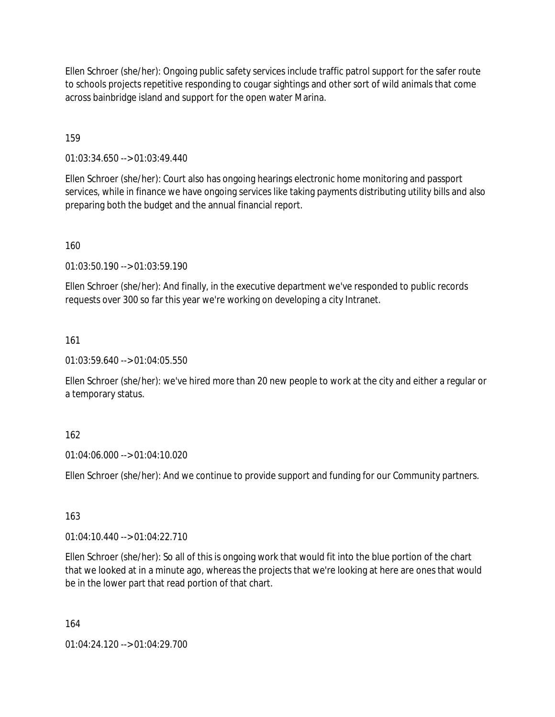Ellen Schroer (she/her): Ongoing public safety services include traffic patrol support for the safer route to schools projects repetitive responding to cougar sightings and other sort of wild animals that come across bainbridge island and support for the open water Marina.

159

01:03:34.650 --> 01:03:49.440

Ellen Schroer (she/her): Court also has ongoing hearings electronic home monitoring and passport services, while in finance we have ongoing services like taking payments distributing utility bills and also preparing both the budget and the annual financial report.

160

01:03:50.190 --> 01:03:59.190

Ellen Schroer (she/her): And finally, in the executive department we've responded to public records requests over 300 so far this year we're working on developing a city Intranet.

161

01:03:59.640 --> 01:04:05.550

Ellen Schroer (she/her): we've hired more than 20 new people to work at the city and either a regular or a temporary status.

#### 162

01:04:06.000 --> 01:04:10.020

Ellen Schroer (she/her): And we continue to provide support and funding for our Community partners.

163

01:04:10.440 --> 01:04:22.710

Ellen Schroer (she/her): So all of this is ongoing work that would fit into the blue portion of the chart that we looked at in a minute ago, whereas the projects that we're looking at here are ones that would be in the lower part that read portion of that chart.

164

01:04:24.120 --> 01:04:29.700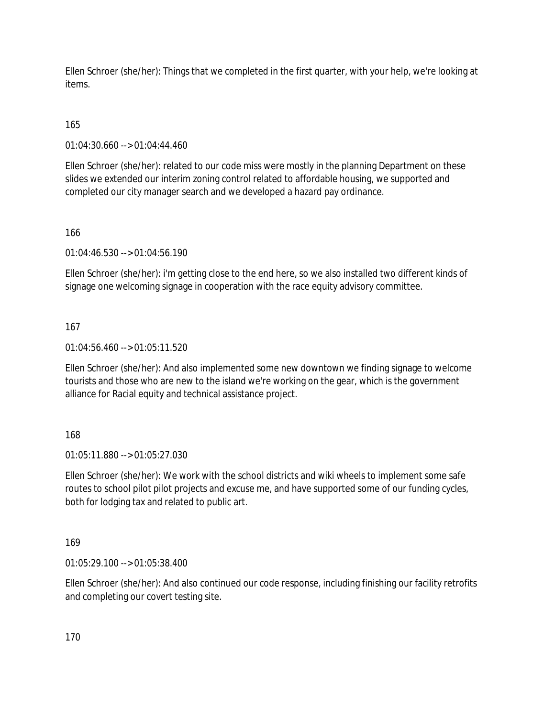Ellen Schroer (she/her): Things that we completed in the first quarter, with your help, we're looking at items.

# 165

01:04:30.660 --> 01:04:44.460

Ellen Schroer (she/her): related to our code miss were mostly in the planning Department on these slides we extended our interim zoning control related to affordable housing, we supported and completed our city manager search and we developed a hazard pay ordinance.

### 166

01:04:46.530 --> 01:04:56.190

Ellen Schroer (she/her): i'm getting close to the end here, so we also installed two different kinds of signage one welcoming signage in cooperation with the race equity advisory committee.

### 167

01:04:56.460 --> 01:05:11.520

Ellen Schroer (she/her): And also implemented some new downtown we finding signage to welcome tourists and those who are new to the island we're working on the gear, which is the government alliance for Racial equity and technical assistance project.

#### 168

01:05:11.880 --> 01:05:27.030

Ellen Schroer (she/her): We work with the school districts and wiki wheels to implement some safe routes to school pilot pilot projects and excuse me, and have supported some of our funding cycles, both for lodging tax and related to public art.

#### 169

01:05:29.100 --> 01:05:38.400

Ellen Schroer (she/her): And also continued our code response, including finishing our facility retrofits and completing our covert testing site.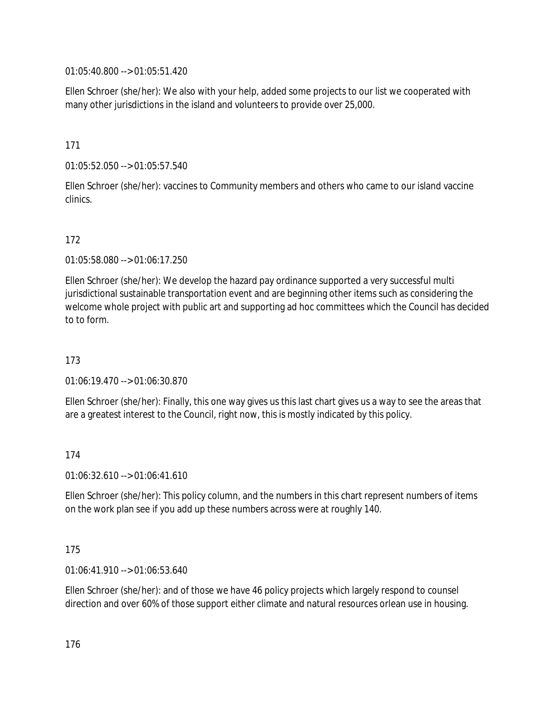01:05:40.800 --> 01:05:51.420

Ellen Schroer (she/her): We also with your help, added some projects to our list we cooperated with many other jurisdictions in the island and volunteers to provide over 25,000.

171

01:05:52.050 --> 01:05:57.540

Ellen Schroer (she/her): vaccines to Community members and others who came to our island vaccine clinics.

# 172

01:05:58.080 --> 01:06:17.250

Ellen Schroer (she/her): We develop the hazard pay ordinance supported a very successful multi jurisdictional sustainable transportation event and are beginning other items such as considering the welcome whole project with public art and supporting ad hoc committees which the Council has decided to to form.

173

01:06:19.470 --> 01:06:30.870

Ellen Schroer (she/her): Finally, this one way gives us this last chart gives us a way to see the areas that are a greatest interest to the Council, right now, this is mostly indicated by this policy.

174

01:06:32.610 --> 01:06:41.610

Ellen Schroer (she/her): This policy column, and the numbers in this chart represent numbers of items on the work plan see if you add up these numbers across were at roughly 140.

175

01:06:41.910 --> 01:06:53.640

Ellen Schroer (she/her): and of those we have 46 policy projects which largely respond to counsel direction and over 60% of those support either climate and natural resources orlean use in housing.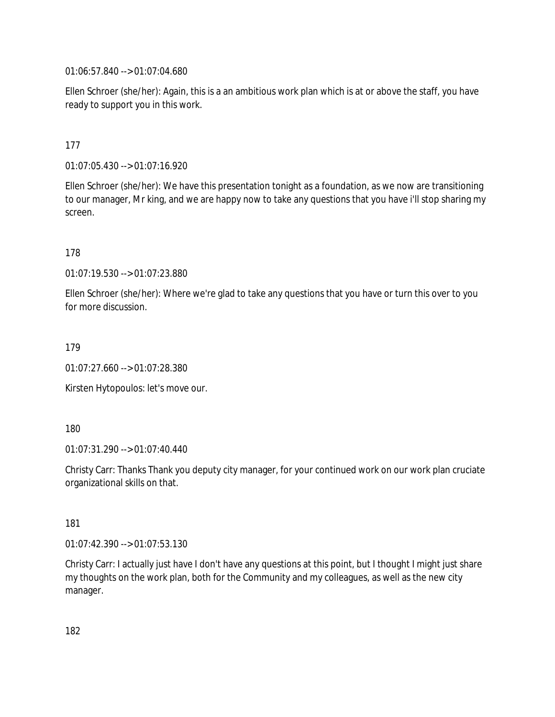01:06:57.840 --> 01:07:04.680

Ellen Schroer (she/her): Again, this is a an ambitious work plan which is at or above the staff, you have ready to support you in this work.

### 177

01:07:05.430 --> 01:07:16.920

Ellen Schroer (she/her): We have this presentation tonight as a foundation, as we now are transitioning to our manager, Mr king, and we are happy now to take any questions that you have i'll stop sharing my screen.

178

01:07:19.530 --> 01:07:23.880

Ellen Schroer (she/her): Where we're glad to take any questions that you have or turn this over to you for more discussion.

179

01:07:27.660 --> 01:07:28.380

Kirsten Hytopoulos: let's move our.

180

01:07:31.290 --> 01:07:40.440

Christy Carr: Thanks Thank you deputy city manager, for your continued work on our work plan cruciate organizational skills on that.

181

01:07:42.390 --> 01:07:53.130

Christy Carr: I actually just have I don't have any questions at this point, but I thought I might just share my thoughts on the work plan, both for the Community and my colleagues, as well as the new city manager.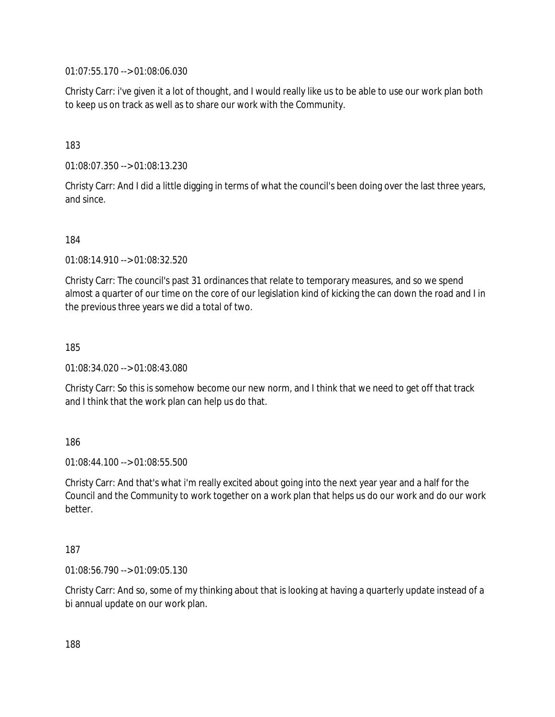01:07:55.170 --> 01:08:06.030

Christy Carr: i've given it a lot of thought, and I would really like us to be able to use our work plan both to keep us on track as well as to share our work with the Community.

## 183

01:08:07.350 --> 01:08:13.230

Christy Carr: And I did a little digging in terms of what the council's been doing over the last three years, and since.

184

01:08:14.910 --> 01:08:32.520

Christy Carr: The council's past 31 ordinances that relate to temporary measures, and so we spend almost a quarter of our time on the core of our legislation kind of kicking the can down the road and I in the previous three years we did a total of two.

185

01:08:34.020 --> 01:08:43.080

Christy Carr: So this is somehow become our new norm, and I think that we need to get off that track and I think that the work plan can help us do that.

186

01:08:44.100 --> 01:08:55.500

Christy Carr: And that's what i'm really excited about going into the next year year and a half for the Council and the Community to work together on a work plan that helps us do our work and do our work better.

#### 187

01:08:56.790 --> 01:09:05.130

Christy Carr: And so, some of my thinking about that is looking at having a quarterly update instead of a bi annual update on our work plan.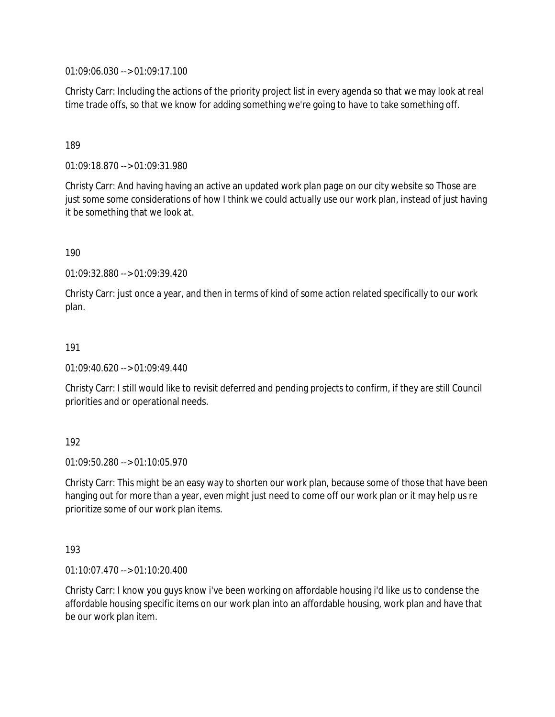01:09:06.030 --> 01:09:17.100

Christy Carr: Including the actions of the priority project list in every agenda so that we may look at real time trade offs, so that we know for adding something we're going to have to take something off.

#### 189

01:09:18.870 --> 01:09:31.980

Christy Carr: And having having an active an updated work plan page on our city website so Those are just some some considerations of how I think we could actually use our work plan, instead of just having it be something that we look at.

### 190

01:09:32.880 --> 01:09:39.420

Christy Carr: just once a year, and then in terms of kind of some action related specifically to our work plan.

#### 191

01:09:40.620 --> 01:09:49.440

Christy Carr: I still would like to revisit deferred and pending projects to confirm, if they are still Council priorities and or operational needs.

#### 192

01:09:50.280 --> 01:10:05.970

Christy Carr: This might be an easy way to shorten our work plan, because some of those that have been hanging out for more than a year, even might just need to come off our work plan or it may help us re prioritize some of our work plan items.

#### 193

01:10:07.470 --> 01:10:20.400

Christy Carr: I know you guys know i've been working on affordable housing i'd like us to condense the affordable housing specific items on our work plan into an affordable housing, work plan and have that be our work plan item.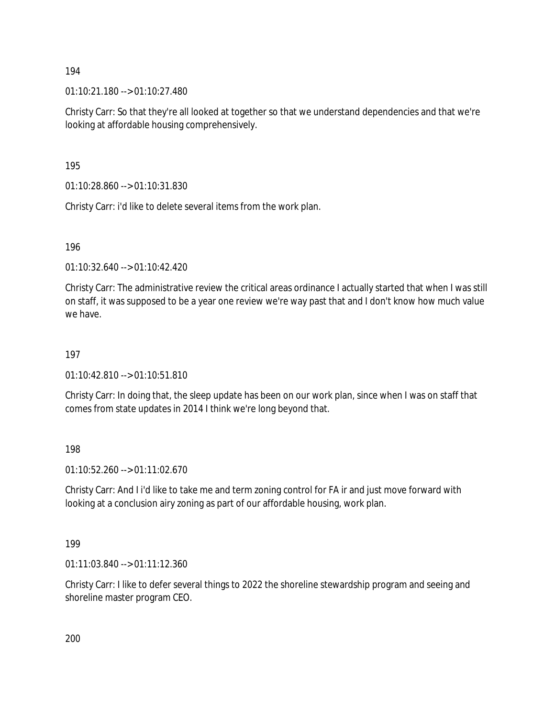01:10:21.180 --> 01:10:27.480

Christy Carr: So that they're all looked at together so that we understand dependencies and that we're looking at affordable housing comprehensively.

195

01:10:28.860 --> 01:10:31.830

Christy Carr: i'd like to delete several items from the work plan.

196

01:10:32.640 --> 01:10:42.420

Christy Carr: The administrative review the critical areas ordinance I actually started that when I was still on staff, it was supposed to be a year one review we're way past that and I don't know how much value we have.

#### 197

01:10:42.810 --> 01:10:51.810

Christy Carr: In doing that, the sleep update has been on our work plan, since when I was on staff that comes from state updates in 2014 I think we're long beyond that.

198

01:10:52.260 --> 01:11:02.670

Christy Carr: And I i'd like to take me and term zoning control for FA ir and just move forward with looking at a conclusion airy zoning as part of our affordable housing, work plan.

199

01:11:03.840 --> 01:11:12.360

Christy Carr: I like to defer several things to 2022 the shoreline stewardship program and seeing and shoreline master program CEO.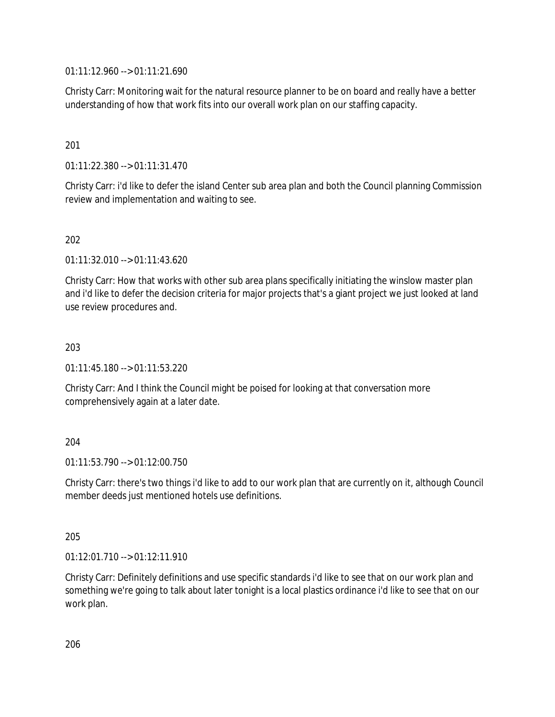01:11:12.960 --> 01:11:21.690

Christy Carr: Monitoring wait for the natural resource planner to be on board and really have a better understanding of how that work fits into our overall work plan on our staffing capacity.

### 201

01:11:22.380 --> 01:11:31.470

Christy Carr: i'd like to defer the island Center sub area plan and both the Council planning Commission review and implementation and waiting to see.

### 202

01:11:32.010 --> 01:11:43.620

Christy Carr: How that works with other sub area plans specifically initiating the winslow master plan and i'd like to defer the decision criteria for major projects that's a giant project we just looked at land use review procedures and.

#### 203

01:11:45.180 --> 01:11:53.220

Christy Carr: And I think the Council might be poised for looking at that conversation more comprehensively again at a later date.

#### 204

 $01:11:53.790 \rightarrow 01:12:00.750$ 

Christy Carr: there's two things i'd like to add to our work plan that are currently on it, although Council member deeds just mentioned hotels use definitions.

#### 205

01:12:01.710 --> 01:12:11.910

Christy Carr: Definitely definitions and use specific standards i'd like to see that on our work plan and something we're going to talk about later tonight is a local plastics ordinance i'd like to see that on our work plan.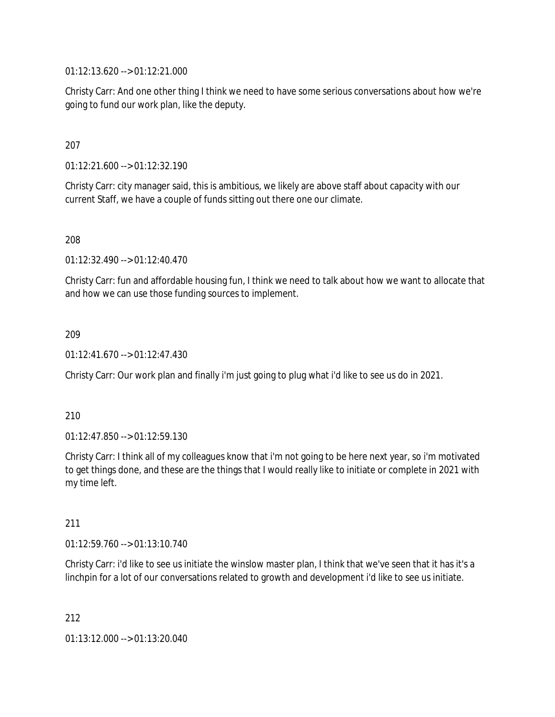01:12:13.620 --> 01:12:21.000

Christy Carr: And one other thing I think we need to have some serious conversations about how we're going to fund our work plan, like the deputy.

### 207

01:12:21.600 --> 01:12:32.190

Christy Carr: city manager said, this is ambitious, we likely are above staff about capacity with our current Staff, we have a couple of funds sitting out there one our climate.

#### 208

01:12:32.490 --> 01:12:40.470

Christy Carr: fun and affordable housing fun, I think we need to talk about how we want to allocate that and how we can use those funding sources to implement.

### 209

01:12:41.670 --> 01:12:47.430

Christy Carr: Our work plan and finally i'm just going to plug what i'd like to see us do in 2021.

#### 210

01:12:47.850 --> 01:12:59.130

Christy Carr: I think all of my colleagues know that i'm not going to be here next year, so i'm motivated to get things done, and these are the things that I would really like to initiate or complete in 2021 with my time left.

#### 211

01:12:59.760 --> 01:13:10.740

Christy Carr: i'd like to see us initiate the winslow master plan, I think that we've seen that it has it's a linchpin for a lot of our conversations related to growth and development i'd like to see us initiate.

212

01:13:12.000 --> 01:13:20.040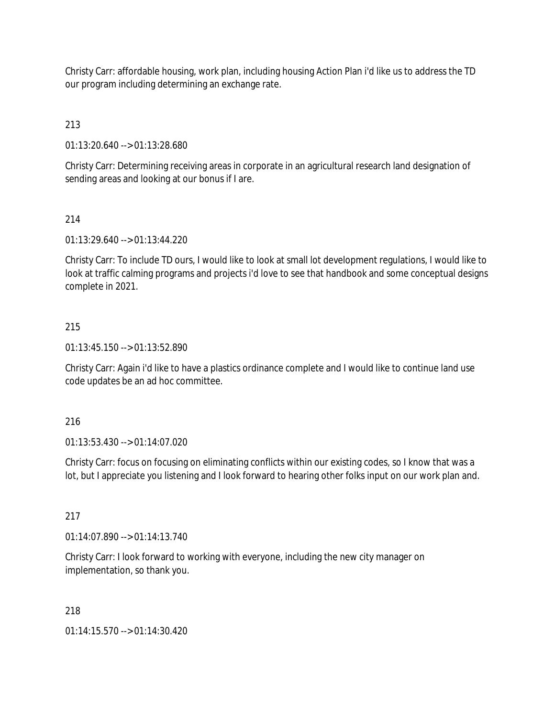Christy Carr: affordable housing, work plan, including housing Action Plan i'd like us to address the TD our program including determining an exchange rate.

213

01:13:20.640 --> 01:13:28.680

Christy Carr: Determining receiving areas in corporate in an agricultural research land designation of sending areas and looking at our bonus if I are.

# 214

01:13:29.640 --> 01:13:44.220

Christy Carr: To include TD ours, I would like to look at small lot development regulations, I would like to look at traffic calming programs and projects i'd love to see that handbook and some conceptual designs complete in 2021.

## 215

01:13:45.150 --> 01:13:52.890

Christy Carr: Again i'd like to have a plastics ordinance complete and I would like to continue land use code updates be an ad hoc committee.

216

01:13:53.430 --> 01:14:07.020

Christy Carr: focus on focusing on eliminating conflicts within our existing codes, so I know that was a lot, but I appreciate you listening and I look forward to hearing other folks input on our work plan and.

217

01:14:07.890 --> 01:14:13.740

Christy Carr: I look forward to working with everyone, including the new city manager on implementation, so thank you.

218

01:14:15.570 --> 01:14:30.420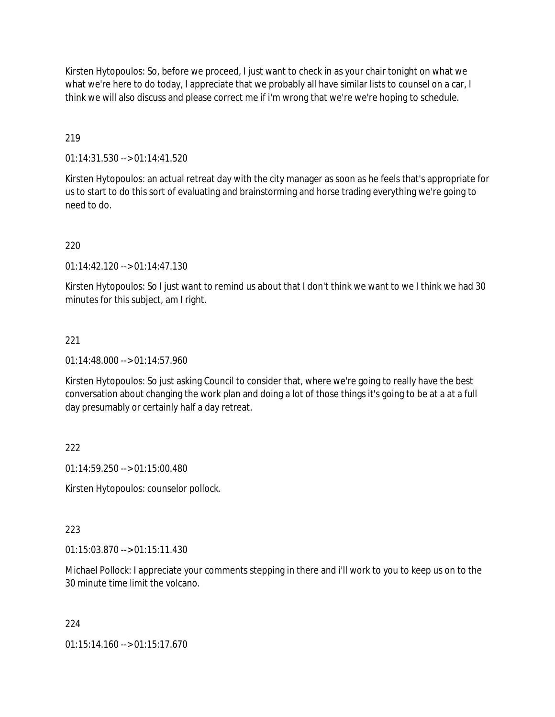Kirsten Hytopoulos: So, before we proceed, I just want to check in as your chair tonight on what we what we're here to do today, I appreciate that we probably all have similar lists to counsel on a car, I think we will also discuss and please correct me if i'm wrong that we're we're hoping to schedule.

# 219

01:14:31.530 --> 01:14:41.520

Kirsten Hytopoulos: an actual retreat day with the city manager as soon as he feels that's appropriate for us to start to do this sort of evaluating and brainstorming and horse trading everything we're going to need to do.

## 220

 $01:14:42.120 \rightarrow 01:14:47.130$ 

Kirsten Hytopoulos: So I just want to remind us about that I don't think we want to we I think we had 30 minutes for this subject, am I right.

# 221

01:14:48.000 --> 01:14:57.960

Kirsten Hytopoulos: So just asking Council to consider that, where we're going to really have the best conversation about changing the work plan and doing a lot of those things it's going to be at a at a full day presumably or certainly half a day retreat.

## 222

01:14:59.250 --> 01:15:00.480

Kirsten Hytopoulos: counselor pollock.

## 223

01:15:03.870 --> 01:15:11.430

Michael Pollock: I appreciate your comments stepping in there and i'll work to you to keep us on to the 30 minute time limit the volcano.

## 224

01:15:14.160 --> 01:15:17.670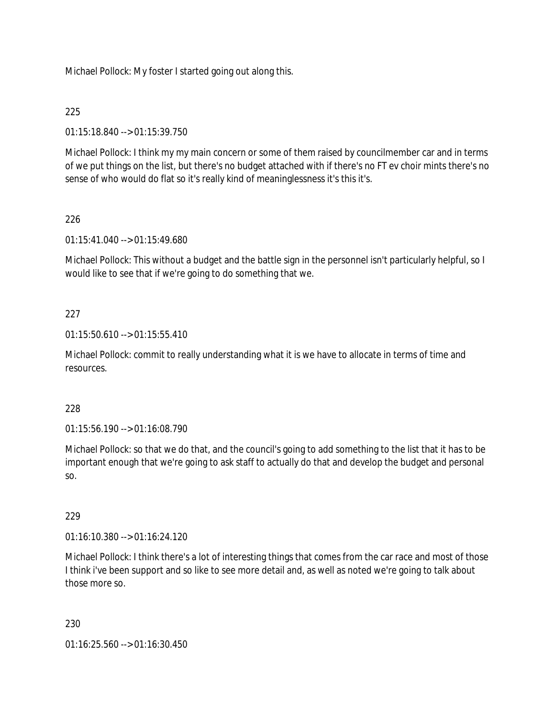Michael Pollock: My foster I started going out along this.

# 225

01:15:18.840 --> 01:15:39.750

Michael Pollock: I think my my main concern or some of them raised by councilmember car and in terms of we put things on the list, but there's no budget attached with if there's no FT ev choir mints there's no sense of who would do flat so it's really kind of meaninglessness it's this it's.

# 226

01:15:41.040 --> 01:15:49.680

Michael Pollock: This without a budget and the battle sign in the personnel isn't particularly helpful, so I would like to see that if we're going to do something that we.

# 227

01:15:50.610 --> 01:15:55.410

Michael Pollock: commit to really understanding what it is we have to allocate in terms of time and resources.

## 228

01:15:56.190 --> 01:16:08.790

Michael Pollock: so that we do that, and the council's going to add something to the list that it has to be important enough that we're going to ask staff to actually do that and develop the budget and personal so.

## 229

01:16:10.380 --> 01:16:24.120

Michael Pollock: I think there's a lot of interesting things that comes from the car race and most of those I think i've been support and so like to see more detail and, as well as noted we're going to talk about those more so.

### 230

01:16:25.560 --> 01:16:30.450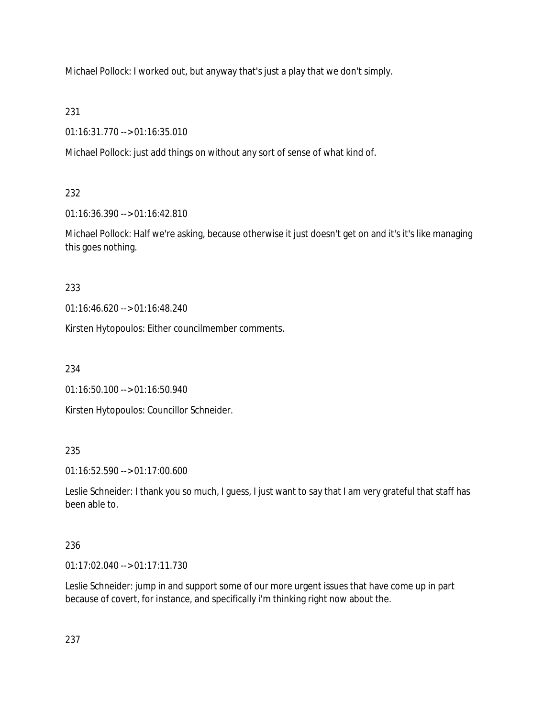Michael Pollock: I worked out, but anyway that's just a play that we don't simply.

231

01:16:31.770 --> 01:16:35.010

Michael Pollock: just add things on without any sort of sense of what kind of.

232

01:16:36.390 --> 01:16:42.810

Michael Pollock: Half we're asking, because otherwise it just doesn't get on and it's it's like managing this goes nothing.

233

01:16:46.620 --> 01:16:48.240

Kirsten Hytopoulos: Either councilmember comments.

234

01:16:50.100 --> 01:16:50.940

Kirsten Hytopoulos: Councillor Schneider.

235

01:16:52.590 --> 01:17:00.600

Leslie Schneider: I thank you so much, I guess, I just want to say that I am very grateful that staff has been able to.

# 236

01:17:02.040 --> 01:17:11.730

Leslie Schneider: jump in and support some of our more urgent issues that have come up in part because of covert, for instance, and specifically i'm thinking right now about the.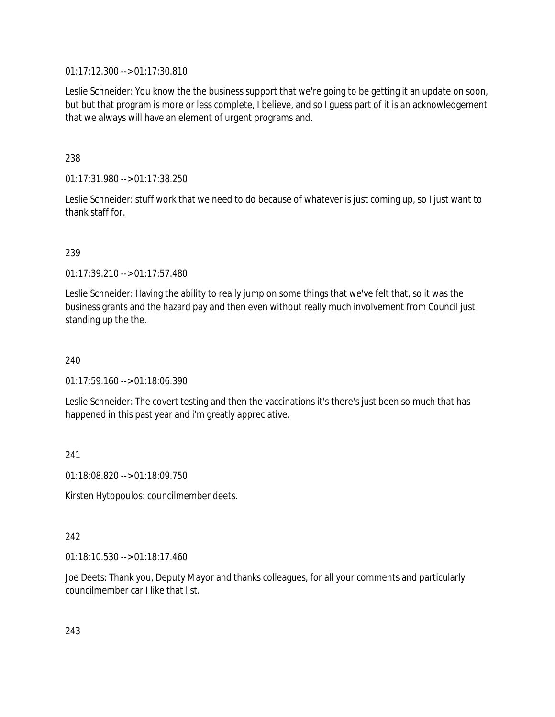01:17:12.300 --> 01:17:30.810

Leslie Schneider: You know the the business support that we're going to be getting it an update on soon, but but that program is more or less complete, I believe, and so I guess part of it is an acknowledgement that we always will have an element of urgent programs and.

238

01:17:31.980 --> 01:17:38.250

Leslie Schneider: stuff work that we need to do because of whatever is just coming up, so I just want to thank staff for.

239

01:17:39.210 --> 01:17:57.480

Leslie Schneider: Having the ability to really jump on some things that we've felt that, so it was the business grants and the hazard pay and then even without really much involvement from Council just standing up the the.

240

 $01:17:59.160 \rightarrow 01:18:06.390$ 

Leslie Schneider: The covert testing and then the vaccinations it's there's just been so much that has happened in this past year and i'm greatly appreciative.

241

01:18:08.820 --> 01:18:09.750

Kirsten Hytopoulos: councilmember deets.

### 242

01:18:10.530 --> 01:18:17.460

Joe Deets: Thank you, Deputy Mayor and thanks colleagues, for all your comments and particularly councilmember car I like that list.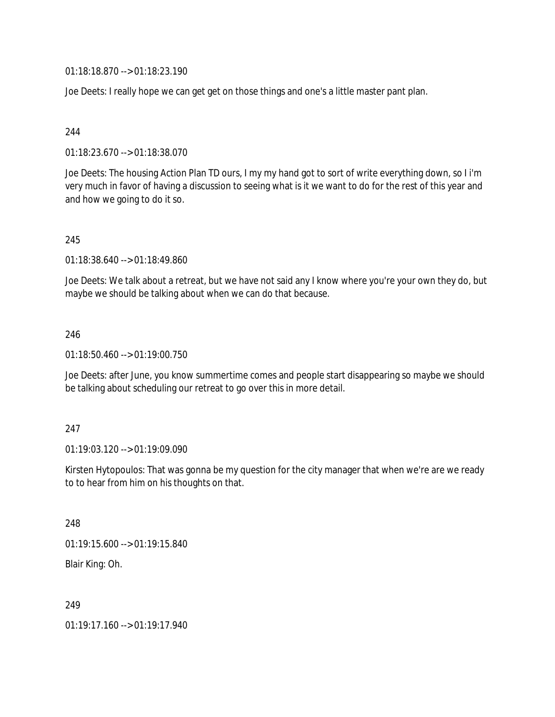01:18:18.870 --> 01:18:23.190

Joe Deets: I really hope we can get get on those things and one's a little master pant plan.

#### 244

01:18:23.670 --> 01:18:38.070

Joe Deets: The housing Action Plan TD ours, I my my hand got to sort of write everything down, so I i'm very much in favor of having a discussion to seeing what is it we want to do for the rest of this year and and how we going to do it so.

#### 245

01:18:38.640 --> 01:18:49.860

Joe Deets: We talk about a retreat, but we have not said any I know where you're your own they do, but maybe we should be talking about when we can do that because.

#### 246

01:18:50.460 --> 01:19:00.750

Joe Deets: after June, you know summertime comes and people start disappearing so maybe we should be talking about scheduling our retreat to go over this in more detail.

#### 247

01:19:03.120 --> 01:19:09.090

Kirsten Hytopoulos: That was gonna be my question for the city manager that when we're are we ready to to hear from him on his thoughts on that.

#### 248

01:19:15.600 --> 01:19:15.840

Blair King: Oh.

249

01:19:17.160 --> 01:19:17.940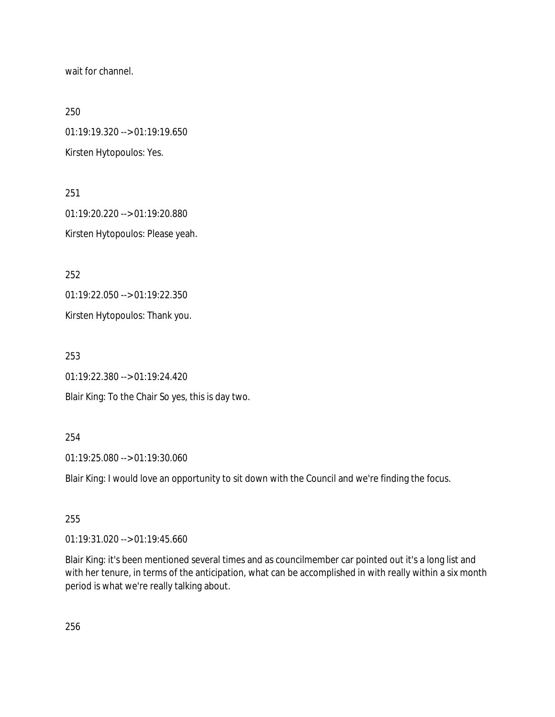wait for channel.

250

01:19:19.320 --> 01:19:19.650

Kirsten Hytopoulos: Yes.

251 01:19:20.220 --> 01:19:20.880 Kirsten Hytopoulos: Please yeah.

252

01:19:22.050 --> 01:19:22.350

Kirsten Hytopoulos: Thank you.

253

01:19:22.380 --> 01:19:24.420

Blair King: To the Chair So yes, this is day two.

### 254

01:19:25.080 --> 01:19:30.060

Blair King: I would love an opportunity to sit down with the Council and we're finding the focus.

### 255

01:19:31.020 --> 01:19:45.660

Blair King: it's been mentioned several times and as councilmember car pointed out it's a long list and with her tenure, in terms of the anticipation, what can be accomplished in with really within a six month period is what we're really talking about.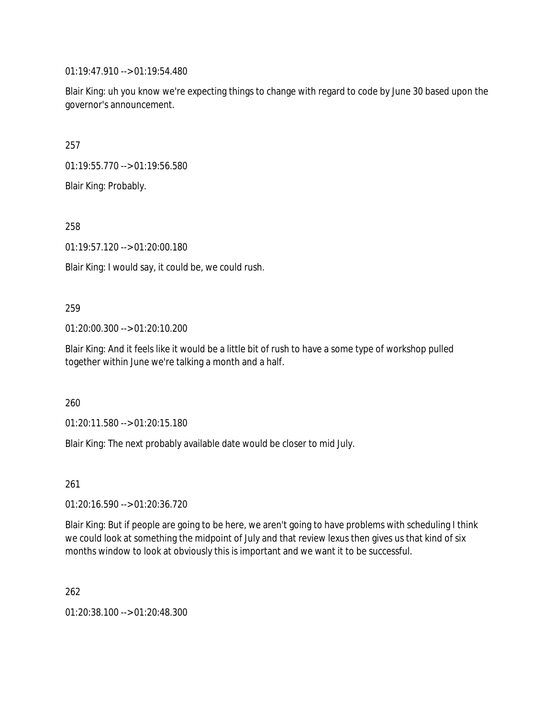01:19:47.910 --> 01:19:54.480

Blair King: uh you know we're expecting things to change with regard to code by June 30 based upon the governor's announcement.

257

01:19:55.770 --> 01:19:56.580

Blair King: Probably.

258

01:19:57.120 --> 01:20:00.180

Blair King: I would say, it could be, we could rush.

#### 259

01:20:00.300 --> 01:20:10.200

Blair King: And it feels like it would be a little bit of rush to have a some type of workshop pulled together within June we're talking a month and a half.

260

01:20:11.580 --> 01:20:15.180

Blair King: The next probably available date would be closer to mid July.

261

01:20:16.590 --> 01:20:36.720

Blair King: But if people are going to be here, we aren't going to have problems with scheduling I think we could look at something the midpoint of July and that review lexus then gives us that kind of six months window to look at obviously this is important and we want it to be successful.

262

01:20:38.100 --> 01:20:48.300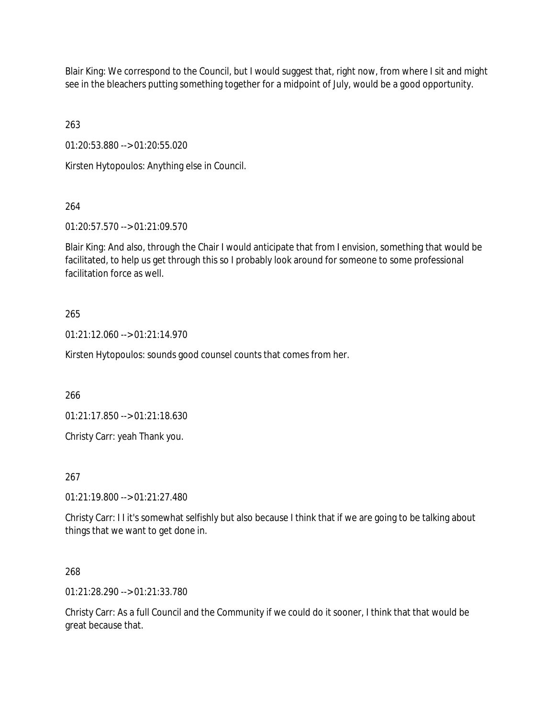Blair King: We correspond to the Council, but I would suggest that, right now, from where I sit and might see in the bleachers putting something together for a midpoint of July, would be a good opportunity.

263

01:20:53.880 --> 01:20:55.020

Kirsten Hytopoulos: Anything else in Council.

264

01:20:57.570 --> 01:21:09.570

Blair King: And also, through the Chair I would anticipate that from I envision, something that would be facilitated, to help us get through this so I probably look around for someone to some professional facilitation force as well.

## 265

01:21:12.060 --> 01:21:14.970

Kirsten Hytopoulos: sounds good counsel counts that comes from her.

266

01:21:17.850 --> 01:21:18.630

Christy Carr: yeah Thank you.

267

01:21:19.800 --> 01:21:27.480

Christy Carr: I I it's somewhat selfishly but also because I think that if we are going to be talking about things that we want to get done in.

268

01:21:28.290 --> 01:21:33.780

Christy Carr: As a full Council and the Community if we could do it sooner, I think that that would be great because that.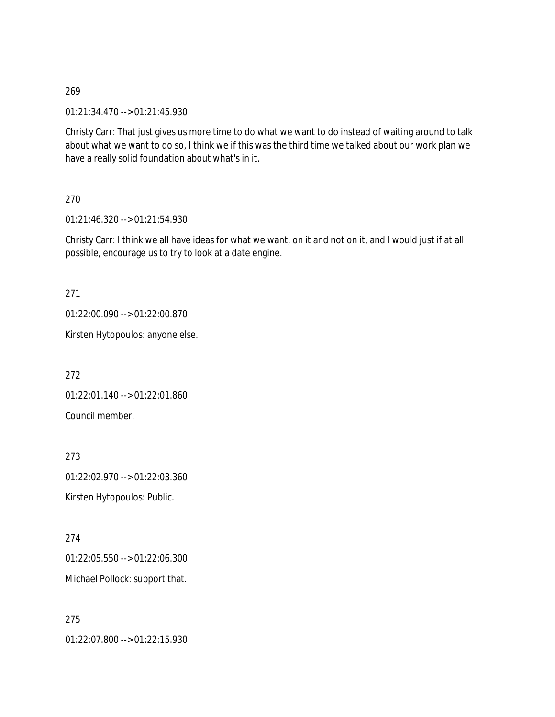269

01:21:34.470 --> 01:21:45.930

Christy Carr: That just gives us more time to do what we want to do instead of waiting around to talk about what we want to do so, I think we if this was the third time we talked about our work plan we have a really solid foundation about what's in it.

270

01:21:46.320 --> 01:21:54.930

Christy Carr: I think we all have ideas for what we want, on it and not on it, and I would just if at all possible, encourage us to try to look at a date engine.

271

01:22:00.090 --> 01:22:00.870

Kirsten Hytopoulos: anyone else.

272

01:22:01.140 --> 01:22:01.860 Council member.

273

01:22:02.970 --> 01:22:03.360 Kirsten Hytopoulos: Public.

274

01:22:05.550 --> 01:22:06.300 Michael Pollock: support that.

275 01:22:07.800 --> 01:22:15.930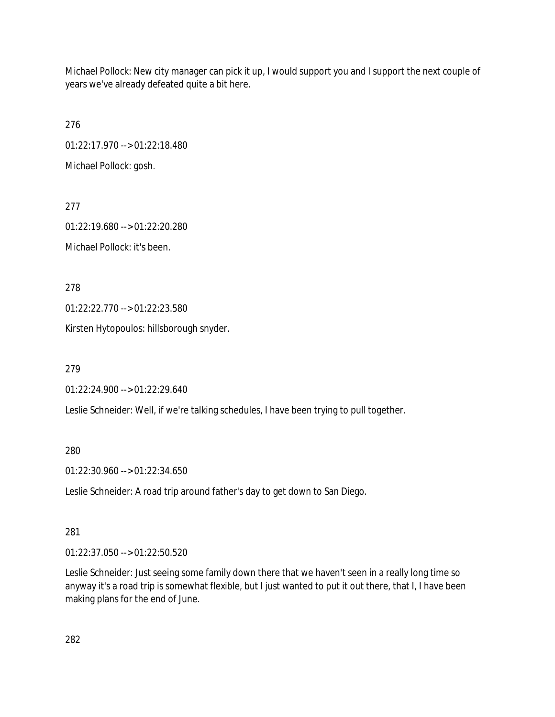Michael Pollock: New city manager can pick it up, I would support you and I support the next couple of years we've already defeated quite a bit here.

276 01:22:17.970 --> 01:22:18.480 Michael Pollock: gosh.

277 01:22:19.680 --> 01:22:20.280 Michael Pollock: it's been.

278

01:22:22.770 --> 01:22:23.580

Kirsten Hytopoulos: hillsborough snyder.

279

01:22:24.900 --> 01:22:29.640

Leslie Schneider: Well, if we're talking schedules, I have been trying to pull together.

280

01:22:30.960 --> 01:22:34.650

Leslie Schneider: A road trip around father's day to get down to San Diego.

281

01:22:37.050 --> 01:22:50.520

Leslie Schneider: Just seeing some family down there that we haven't seen in a really long time so anyway it's a road trip is somewhat flexible, but I just wanted to put it out there, that I, I have been making plans for the end of June.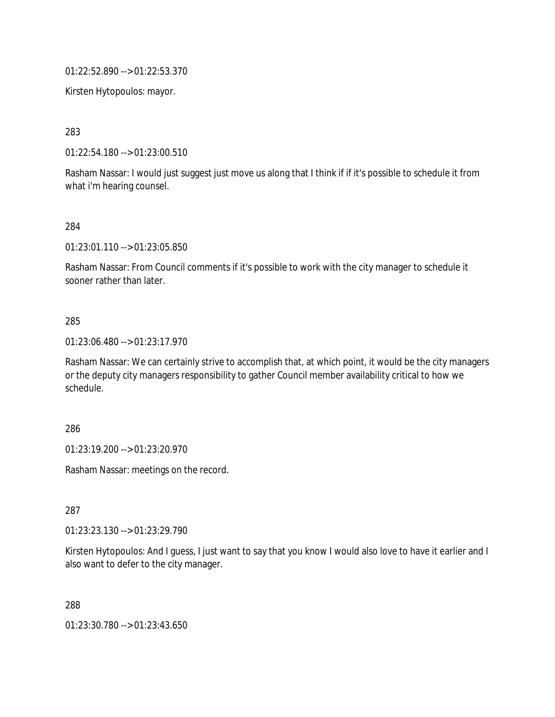01:22:52.890 --> 01:22:53.370

Kirsten Hytopoulos: mayor.

283

01:22:54.180 --> 01:23:00.510

Rasham Nassar: I would just suggest just move us along that I think if if it's possible to schedule it from what i'm hearing counsel.

284

01:23:01.110 --> 01:23:05.850

Rasham Nassar: From Council comments if it's possible to work with the city manager to schedule it sooner rather than later.

#### 285

01:23:06.480 --> 01:23:17.970

Rasham Nassar: We can certainly strive to accomplish that, at which point, it would be the city managers or the deputy city managers responsibility to gather Council member availability critical to how we schedule.

286

01:23:19.200 --> 01:23:20.970

Rasham Nassar: meetings on the record.

287

01:23:23.130 --> 01:23:29.790

Kirsten Hytopoulos: And I guess, I just want to say that you know I would also love to have it earlier and I also want to defer to the city manager.

288

01:23:30.780 --> 01:23:43.650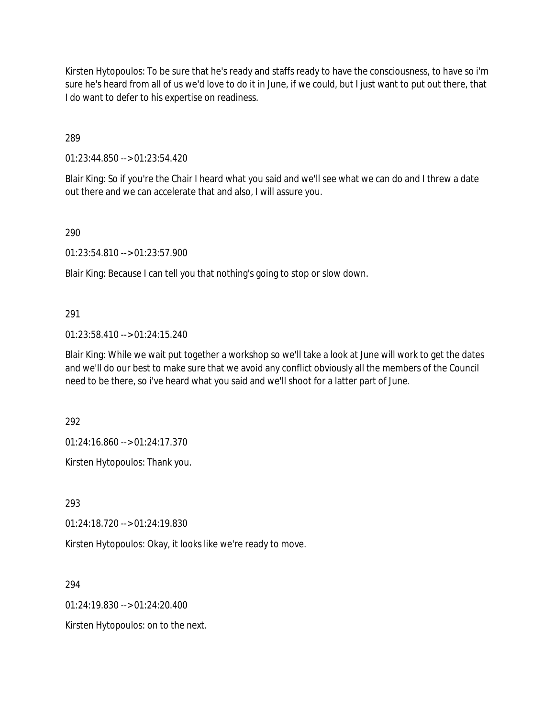Kirsten Hytopoulos: To be sure that he's ready and staffs ready to have the consciousness, to have so i'm sure he's heard from all of us we'd love to do it in June, if we could, but I just want to put out there, that I do want to defer to his expertise on readiness.

289

01:23:44.850 --> 01:23:54.420

Blair King: So if you're the Chair I heard what you said and we'll see what we can do and I threw a date out there and we can accelerate that and also, I will assure you.

290

01:23:54.810 --> 01:23:57.900

Blair King: Because I can tell you that nothing's going to stop or slow down.

### 291

01:23:58.410 --> 01:24:15.240

Blair King: While we wait put together a workshop so we'll take a look at June will work to get the dates and we'll do our best to make sure that we avoid any conflict obviously all the members of the Council need to be there, so i've heard what you said and we'll shoot for a latter part of June.

292

01:24:16.860 --> 01:24:17.370

Kirsten Hytopoulos: Thank you.

293

01:24:18.720 --> 01:24:19.830

Kirsten Hytopoulos: Okay, it looks like we're ready to move.

294

 $01:24:19.830 \rightarrow 01:24:20.400$ 

Kirsten Hytopoulos: on to the next.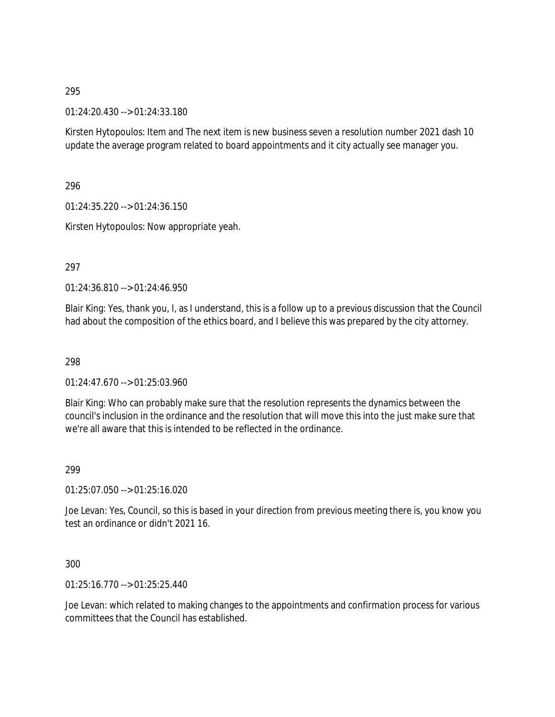295

01:24:20.430 --> 01:24:33.180

Kirsten Hytopoulos: Item and The next item is new business seven a resolution number 2021 dash 10 update the average program related to board appointments and it city actually see manager you.

296

01:24:35.220 --> 01:24:36.150

Kirsten Hytopoulos: Now appropriate yeah.

297

01:24:36.810 --> 01:24:46.950

Blair King: Yes, thank you, I, as I understand, this is a follow up to a previous discussion that the Council had about the composition of the ethics board, and I believe this was prepared by the city attorney.

298

01:24:47.670 --> 01:25:03.960

Blair King: Who can probably make sure that the resolution represents the dynamics between the council's inclusion in the ordinance and the resolution that will move this into the just make sure that we're all aware that this is intended to be reflected in the ordinance.

### 299

01:25:07.050 --> 01:25:16.020

Joe Levan: Yes, Council, so this is based in your direction from previous meeting there is, you know you test an ordinance or didn't 2021 16.

300

01:25:16.770 --> 01:25:25.440

Joe Levan: which related to making changes to the appointments and confirmation process for various committees that the Council has established.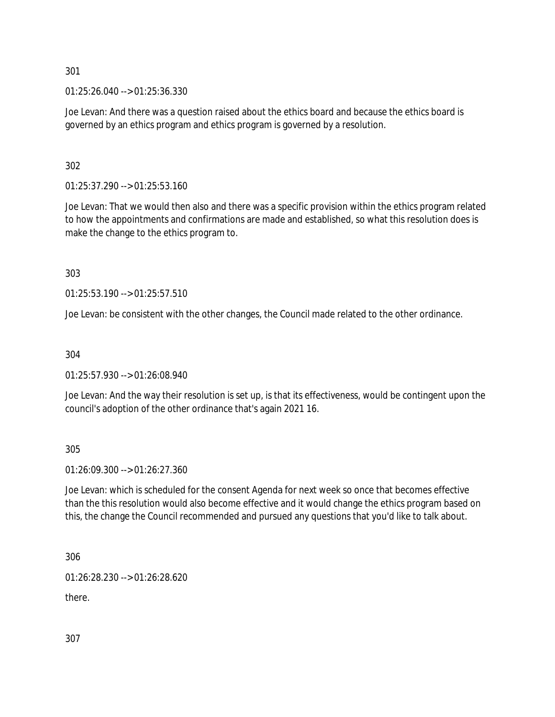301

01:25:26.040 --> 01:25:36.330

Joe Levan: And there was a question raised about the ethics board and because the ethics board is governed by an ethics program and ethics program is governed by a resolution.

### 302

01:25:37.290 --> 01:25:53.160

Joe Levan: That we would then also and there was a specific provision within the ethics program related to how the appointments and confirmations are made and established, so what this resolution does is make the change to the ethics program to.

303

01:25:53.190 --> 01:25:57.510

Joe Levan: be consistent with the other changes, the Council made related to the other ordinance.

### 304

01:25:57.930 --> 01:26:08.940

Joe Levan: And the way their resolution is set up, is that its effectiveness, would be contingent upon the council's adoption of the other ordinance that's again 2021 16.

305

01:26:09.300 --> 01:26:27.360

Joe Levan: which is scheduled for the consent Agenda for next week so once that becomes effective than the this resolution would also become effective and it would change the ethics program based on this, the change the Council recommended and pursued any questions that you'd like to talk about.

306

01:26:28.230 --> 01:26:28.620

there.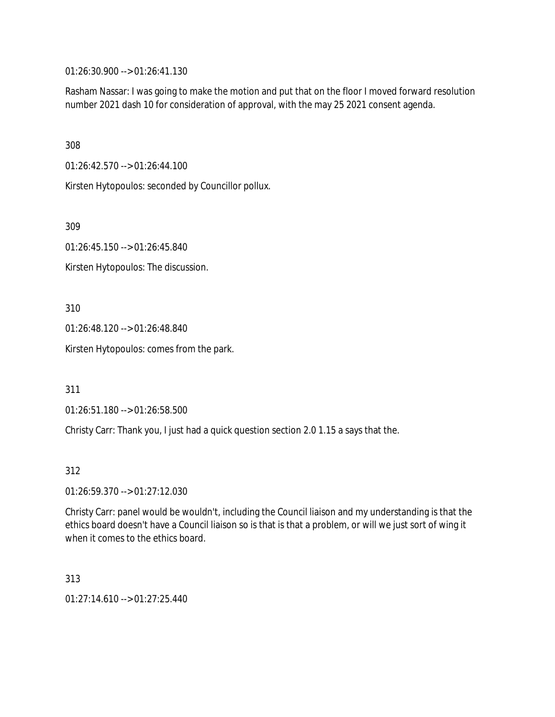01:26:30.900 --> 01:26:41.130

Rasham Nassar: I was going to make the motion and put that on the floor I moved forward resolution number 2021 dash 10 for consideration of approval, with the may 25 2021 consent agenda.

308

01:26:42.570 --> 01:26:44.100

Kirsten Hytopoulos: seconded by Councillor pollux.

309

01:26:45.150 --> 01:26:45.840

Kirsten Hytopoulos: The discussion.

310

01:26:48.120 --> 01:26:48.840

Kirsten Hytopoulos: comes from the park.

311

01:26:51.180 --> 01:26:58.500

Christy Carr: Thank you, I just had a quick question section 2.0 1.15 a says that the.

312

01:26:59.370 --> 01:27:12.030

Christy Carr: panel would be wouldn't, including the Council liaison and my understanding is that the ethics board doesn't have a Council liaison so is that is that a problem, or will we just sort of wing it when it comes to the ethics board.

313 01:27:14.610 --> 01:27:25.440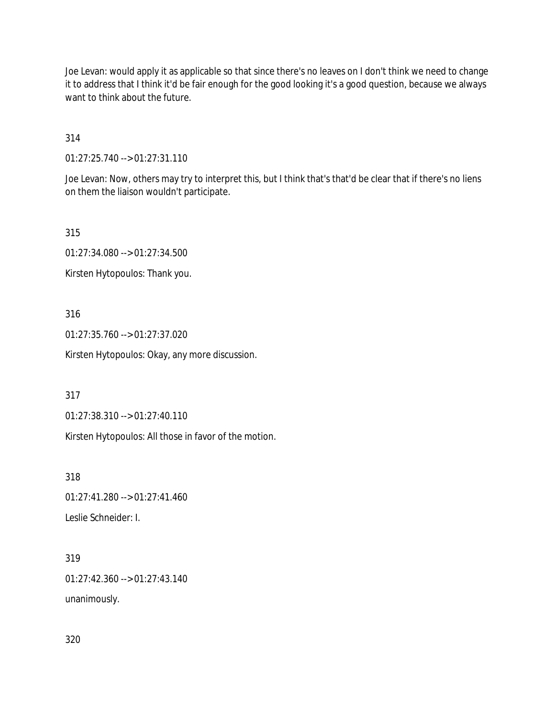Joe Levan: would apply it as applicable so that since there's no leaves on I don't think we need to change it to address that I think it'd be fair enough for the good looking it's a good question, because we always want to think about the future.

314

01:27:25.740 --> 01:27:31.110

Joe Levan: Now, others may try to interpret this, but I think that's that'd be clear that if there's no liens on them the liaison wouldn't participate.

315

01:27:34.080 --> 01:27:34.500

Kirsten Hytopoulos: Thank you.

316

01:27:35.760 --> 01:27:37.020

Kirsten Hytopoulos: Okay, any more discussion.

317

01:27:38.310 --> 01:27:40.110

Kirsten Hytopoulos: All those in favor of the motion.

318

01:27:41.280 --> 01:27:41.460

Leslie Schneider: I.

319

01:27:42.360 --> 01:27:43.140

unanimously.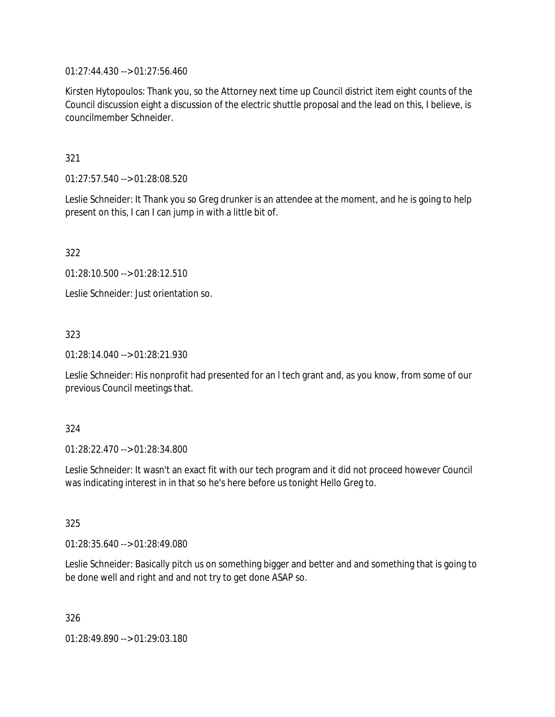01:27:44.430 --> 01:27:56.460

Kirsten Hytopoulos: Thank you, so the Attorney next time up Council district item eight counts of the Council discussion eight a discussion of the electric shuttle proposal and the lead on this, I believe, is councilmember Schneider.

321

01:27:57.540 --> 01:28:08.520

Leslie Schneider: It Thank you so Greg drunker is an attendee at the moment, and he is going to help present on this, I can I can jump in with a little bit of.

322

01:28:10.500 --> 01:28:12.510

Leslie Schneider: Just orientation so.

323

01:28:14.040 --> 01:28:21.930

Leslie Schneider: His nonprofit had presented for an l tech grant and, as you know, from some of our previous Council meetings that.

324

01:28:22.470 --> 01:28:34.800

Leslie Schneider: It wasn't an exact fit with our tech program and it did not proceed however Council was indicating interest in in that so he's here before us tonight Hello Greg to.

325

01:28:35.640 --> 01:28:49.080

Leslie Schneider: Basically pitch us on something bigger and better and and something that is going to be done well and right and and not try to get done ASAP so.

326

01:28:49.890 --> 01:29:03.180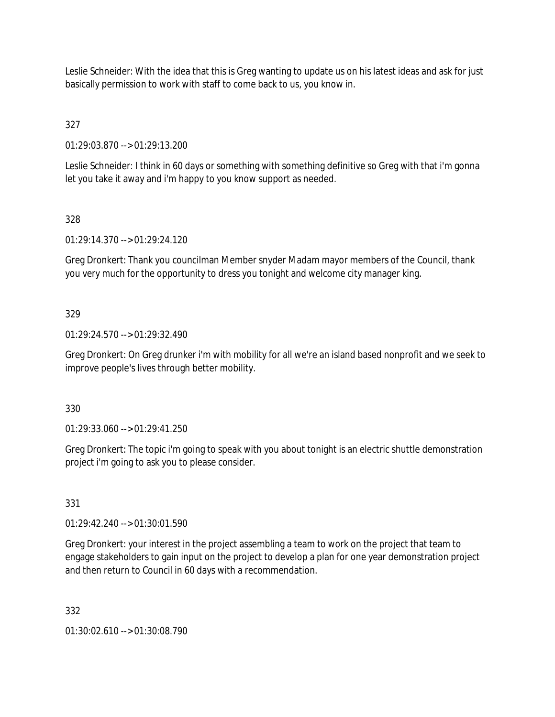Leslie Schneider: With the idea that this is Greg wanting to update us on his latest ideas and ask for just basically permission to work with staff to come back to us, you know in.

327

01:29:03.870 --> 01:29:13.200

Leslie Schneider: I think in 60 days or something with something definitive so Greg with that i'm gonna let you take it away and i'm happy to you know support as needed.

328

01:29:14.370 --> 01:29:24.120

Greg Dronkert: Thank you councilman Member snyder Madam mayor members of the Council, thank you very much for the opportunity to dress you tonight and welcome city manager king.

329

01:29:24.570 --> 01:29:32.490

Greg Dronkert: On Greg drunker i'm with mobility for all we're an island based nonprofit and we seek to improve people's lives through better mobility.

330

01:29:33.060 --> 01:29:41.250

Greg Dronkert: The topic i'm going to speak with you about tonight is an electric shuttle demonstration project i'm going to ask you to please consider.

331

01:29:42.240 --> 01:30:01.590

Greg Dronkert: your interest in the project assembling a team to work on the project that team to engage stakeholders to gain input on the project to develop a plan for one year demonstration project and then return to Council in 60 days with a recommendation.

332

01:30:02.610 --> 01:30:08.790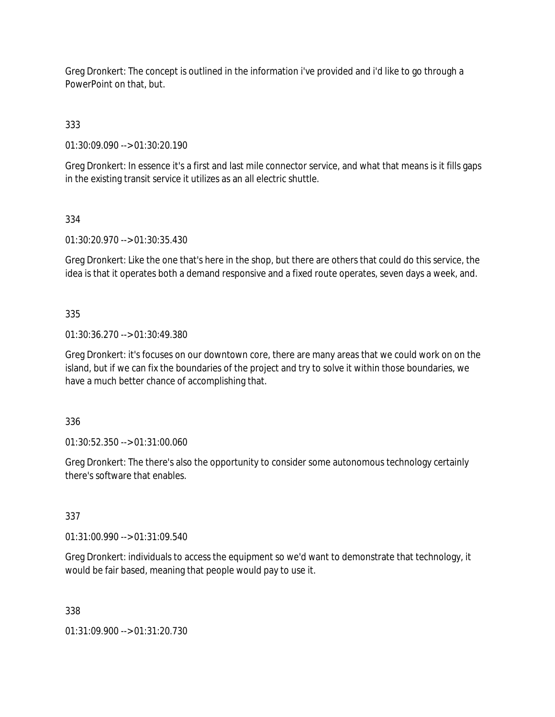Greg Dronkert: The concept is outlined in the information i've provided and i'd like to go through a PowerPoint on that, but.

333

01:30:09.090 --> 01:30:20.190

Greg Dronkert: In essence it's a first and last mile connector service, and what that means is it fills gaps in the existing transit service it utilizes as an all electric shuttle.

### 334

01:30:20.970 --> 01:30:35.430

Greg Dronkert: Like the one that's here in the shop, but there are others that could do this service, the idea is that it operates both a demand responsive and a fixed route operates, seven days a week, and.

### 335

01:30:36.270 --> 01:30:49.380

Greg Dronkert: it's focuses on our downtown core, there are many areas that we could work on on the island, but if we can fix the boundaries of the project and try to solve it within those boundaries, we have a much better chance of accomplishing that.

### 336

01:30:52.350 --> 01:31:00.060

Greg Dronkert: The there's also the opportunity to consider some autonomous technology certainly there's software that enables.

# 337

01:31:00.990 --> 01:31:09.540

Greg Dronkert: individuals to access the equipment so we'd want to demonstrate that technology, it would be fair based, meaning that people would pay to use it.

### 338

01:31:09.900 --> 01:31:20.730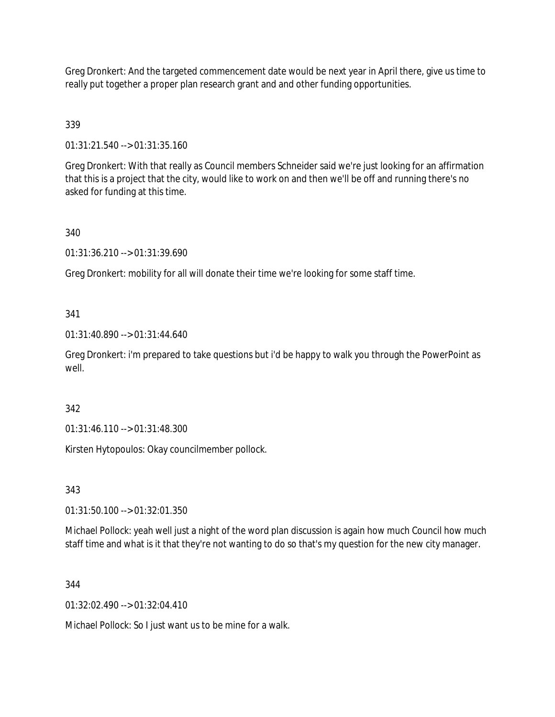Greg Dronkert: And the targeted commencement date would be next year in April there, give us time to really put together a proper plan research grant and and other funding opportunities.

# 339

01:31:21.540 --> 01:31:35.160

Greg Dronkert: With that really as Council members Schneider said we're just looking for an affirmation that this is a project that the city, would like to work on and then we'll be off and running there's no asked for funding at this time.

### 340

01:31:36.210 --> 01:31:39.690

Greg Dronkert: mobility for all will donate their time we're looking for some staff time.

### 341

01:31:40.890 --> 01:31:44.640

Greg Dronkert: i'm prepared to take questions but i'd be happy to walk you through the PowerPoint as well.

### 342

01:31:46.110 --> 01:31:48.300

Kirsten Hytopoulos: Okay councilmember pollock.

### 343

01:31:50.100 --> 01:32:01.350

Michael Pollock: yeah well just a night of the word plan discussion is again how much Council how much staff time and what is it that they're not wanting to do so that's my question for the new city manager.

### 344

 $01:32:02.490 \rightarrow 01:32:04.410$ 

Michael Pollock: So I just want us to be mine for a walk.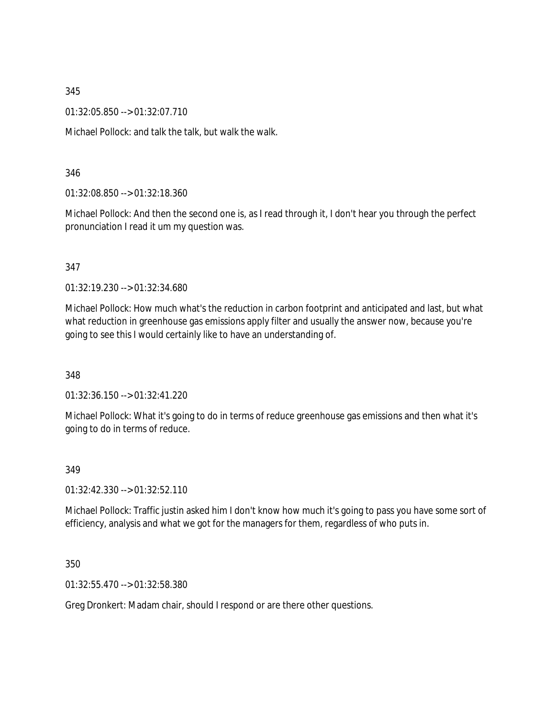345

01:32:05.850 --> 01:32:07.710

Michael Pollock: and talk the talk, but walk the walk.

### 346

01:32:08.850 --> 01:32:18.360

Michael Pollock: And then the second one is, as I read through it, I don't hear you through the perfect pronunciation I read it um my question was.

### 347

01:32:19.230 --> 01:32:34.680

Michael Pollock: How much what's the reduction in carbon footprint and anticipated and last, but what what reduction in greenhouse gas emissions apply filter and usually the answer now, because you're going to see this I would certainly like to have an understanding of.

348

01:32:36.150 --> 01:32:41.220

Michael Pollock: What it's going to do in terms of reduce greenhouse gas emissions and then what it's going to do in terms of reduce.

### 349

01:32:42.330 --> 01:32:52.110

Michael Pollock: Traffic justin asked him I don't know how much it's going to pass you have some sort of efficiency, analysis and what we got for the managers for them, regardless of who puts in.

### 350

01:32:55.470 --> 01:32:58.380

Greg Dronkert: Madam chair, should I respond or are there other questions.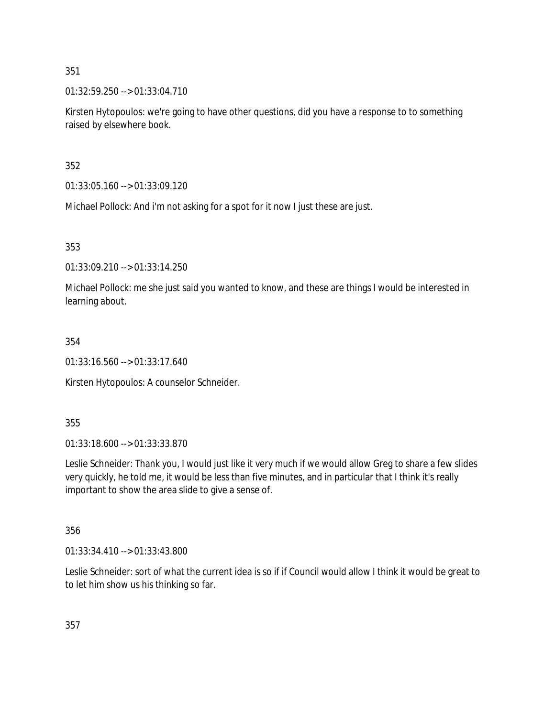351

01:32:59.250 --> 01:33:04.710

Kirsten Hytopoulos: we're going to have other questions, did you have a response to to something raised by elsewhere book.

352

01:33:05.160 --> 01:33:09.120

Michael Pollock: And i'm not asking for a spot for it now I just these are just.

353

01:33:09.210 --> 01:33:14.250

Michael Pollock: me she just said you wanted to know, and these are things I would be interested in learning about.

354

01:33:16.560 --> 01:33:17.640

Kirsten Hytopoulos: A counselor Schneider.

355

01:33:18.600 --> 01:33:33.870

Leslie Schneider: Thank you, I would just like it very much if we would allow Greg to share a few slides very quickly, he told me, it would be less than five minutes, and in particular that I think it's really important to show the area slide to give a sense of.

356

01:33:34.410 --> 01:33:43.800

Leslie Schneider: sort of what the current idea is so if if Council would allow I think it would be great to to let him show us his thinking so far.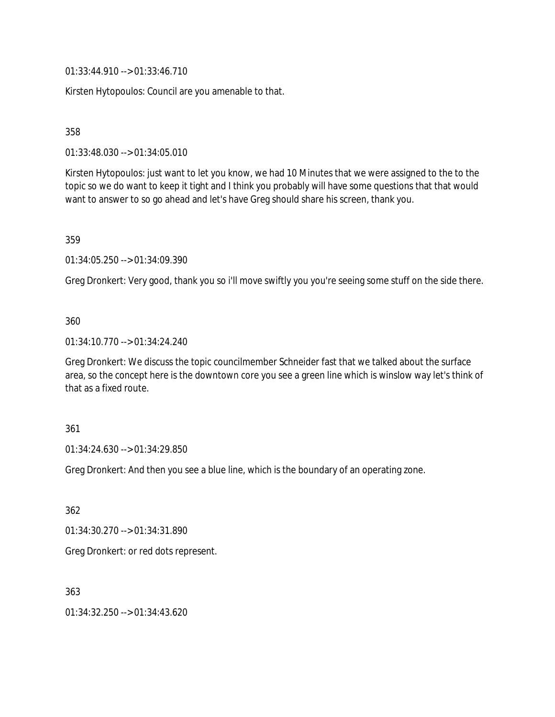01:33:44.910 --> 01:33:46.710

Kirsten Hytopoulos: Council are you amenable to that.

358

01:33:48.030 --> 01:34:05.010

Kirsten Hytopoulos: just want to let you know, we had 10 Minutes that we were assigned to the to the topic so we do want to keep it tight and I think you probably will have some questions that that would want to answer to so go ahead and let's have Greg should share his screen, thank you.

359

01:34:05.250 --> 01:34:09.390

Greg Dronkert: Very good, thank you so i'll move swiftly you you're seeing some stuff on the side there.

### 360

01:34:10.770 --> 01:34:24.240

Greg Dronkert: We discuss the topic councilmember Schneider fast that we talked about the surface area, so the concept here is the downtown core you see a green line which is winslow way let's think of that as a fixed route.

#### 361

01:34:24.630 --> 01:34:29.850

Greg Dronkert: And then you see a blue line, which is the boundary of an operating zone.

362

01:34:30.270 --> 01:34:31.890

Greg Dronkert: or red dots represent.

363

01:34:32.250 --> 01:34:43.620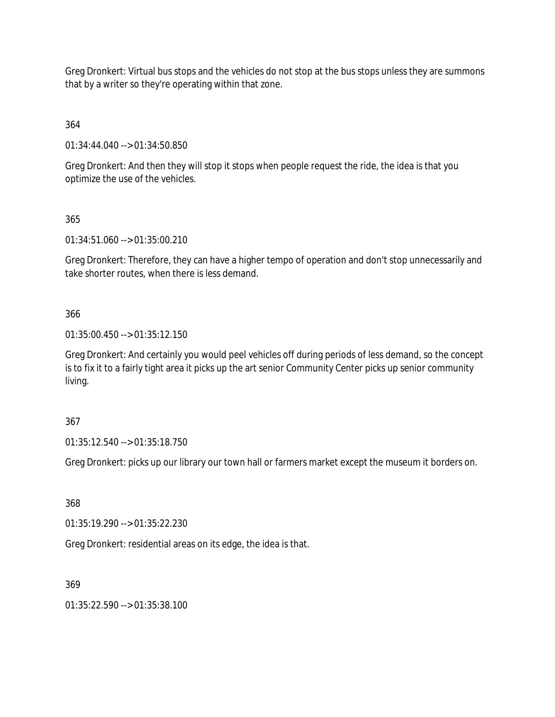Greg Dronkert: Virtual bus stops and the vehicles do not stop at the bus stops unless they are summons that by a writer so they're operating within that zone.

364

01:34:44.040 --> 01:34:50.850

Greg Dronkert: And then they will stop it stops when people request the ride, the idea is that you optimize the use of the vehicles.

365

01:34:51.060 --> 01:35:00.210

Greg Dronkert: Therefore, they can have a higher tempo of operation and don't stop unnecessarily and take shorter routes, when there is less demand.

366

01:35:00.450 --> 01:35:12.150

Greg Dronkert: And certainly you would peel vehicles off during periods of less demand, so the concept is to fix it to a fairly tight area it picks up the art senior Community Center picks up senior community living.

367

01:35:12.540 --> 01:35:18.750

Greg Dronkert: picks up our library our town hall or farmers market except the museum it borders on.

368

01:35:19.290 --> 01:35:22.230

Greg Dronkert: residential areas on its edge, the idea is that.

369

01:35:22.590 --> 01:35:38.100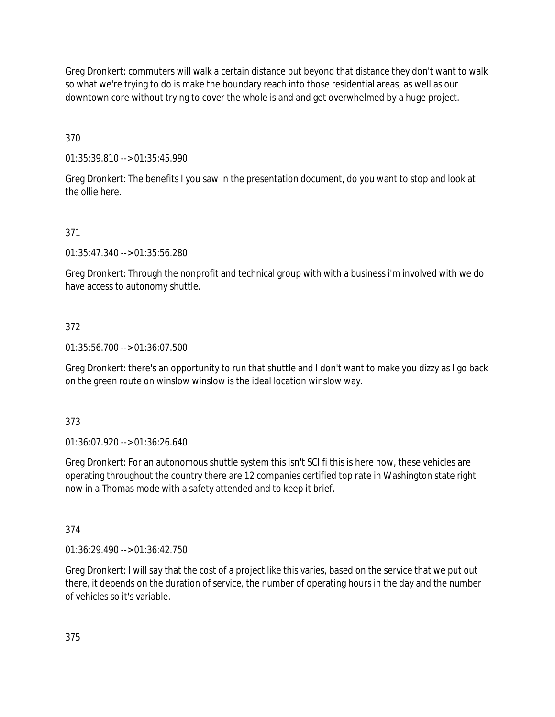Greg Dronkert: commuters will walk a certain distance but beyond that distance they don't want to walk so what we're trying to do is make the boundary reach into those residential areas, as well as our downtown core without trying to cover the whole island and get overwhelmed by a huge project.

370

01:35:39.810 --> 01:35:45.990

Greg Dronkert: The benefits I you saw in the presentation document, do you want to stop and look at the ollie here.

# 371

01:35:47.340 --> 01:35:56.280

Greg Dronkert: Through the nonprofit and technical group with with a business i'm involved with we do have access to autonomy shuttle.

## 372

01:35:56.700 --> 01:36:07.500

Greg Dronkert: there's an opportunity to run that shuttle and I don't want to make you dizzy as I go back on the green route on winslow winslow is the ideal location winslow way.

### 373

01:36:07.920 --> 01:36:26.640

Greg Dronkert: For an autonomous shuttle system this isn't SCI fi this is here now, these vehicles are operating throughout the country there are 12 companies certified top rate in Washington state right now in a Thomas mode with a safety attended and to keep it brief.

## 374

01:36:29.490 --> 01:36:42.750

Greg Dronkert: I will say that the cost of a project like this varies, based on the service that we put out there, it depends on the duration of service, the number of operating hours in the day and the number of vehicles so it's variable.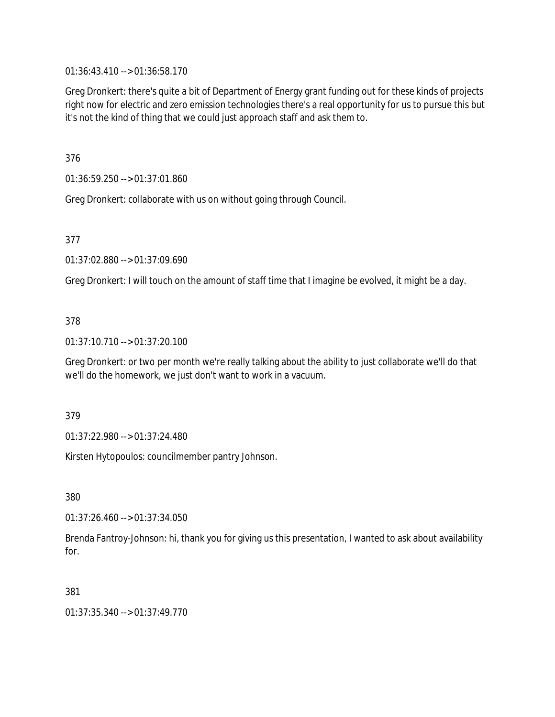01:36:43.410 --> 01:36:58.170

Greg Dronkert: there's quite a bit of Department of Energy grant funding out for these kinds of projects right now for electric and zero emission technologies there's a real opportunity for us to pursue this but it's not the kind of thing that we could just approach staff and ask them to.

376

01:36:59.250 --> 01:37:01.860

Greg Dronkert: collaborate with us on without going through Council.

377

01:37:02.880 --> 01:37:09.690

Greg Dronkert: I will touch on the amount of staff time that I imagine be evolved, it might be a day.

### 378

01:37:10.710 --> 01:37:20.100

Greg Dronkert: or two per month we're really talking about the ability to just collaborate we'll do that we'll do the homework, we just don't want to work in a vacuum.

379

01:37:22.980 --> 01:37:24.480

Kirsten Hytopoulos: councilmember pantry Johnson.

380

01:37:26.460 --> 01:37:34.050

Brenda Fantroy-Johnson: hi, thank you for giving us this presentation, I wanted to ask about availability for.

381

01:37:35.340 --> 01:37:49.770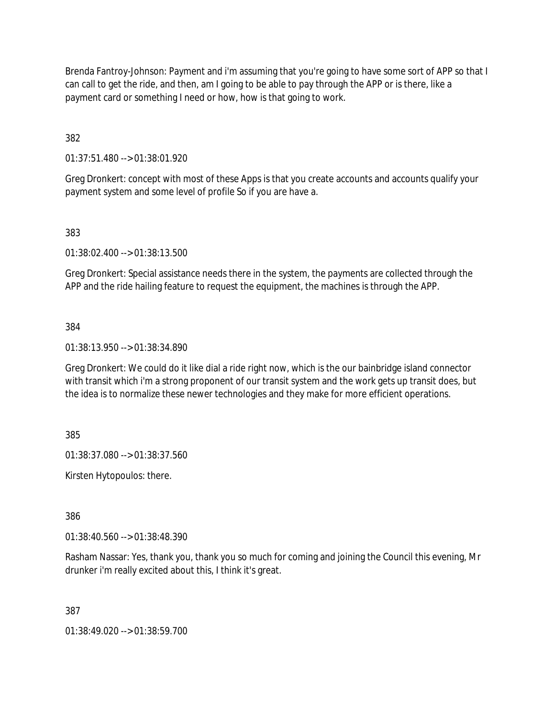Brenda Fantroy-Johnson: Payment and i'm assuming that you're going to have some sort of APP so that I can call to get the ride, and then, am I going to be able to pay through the APP or is there, like a payment card or something I need or how, how is that going to work.

382

01:37:51.480 --> 01:38:01.920

Greg Dronkert: concept with most of these Apps is that you create accounts and accounts qualify your payment system and some level of profile So if you are have a.

383

01:38:02.400 --> 01:38:13.500

Greg Dronkert: Special assistance needs there in the system, the payments are collected through the APP and the ride hailing feature to request the equipment, the machines is through the APP.

384

01:38:13.950 --> 01:38:34.890

Greg Dronkert: We could do it like dial a ride right now, which is the our bainbridge island connector with transit which i'm a strong proponent of our transit system and the work gets up transit does, but the idea is to normalize these newer technologies and they make for more efficient operations.

385

01:38:37.080 --> 01:38:37.560

Kirsten Hytopoulos: there.

386

01:38:40.560 --> 01:38:48.390

Rasham Nassar: Yes, thank you, thank you so much for coming and joining the Council this evening, Mr drunker i'm really excited about this, I think it's great.

387

01:38:49.020 --> 01:38:59.700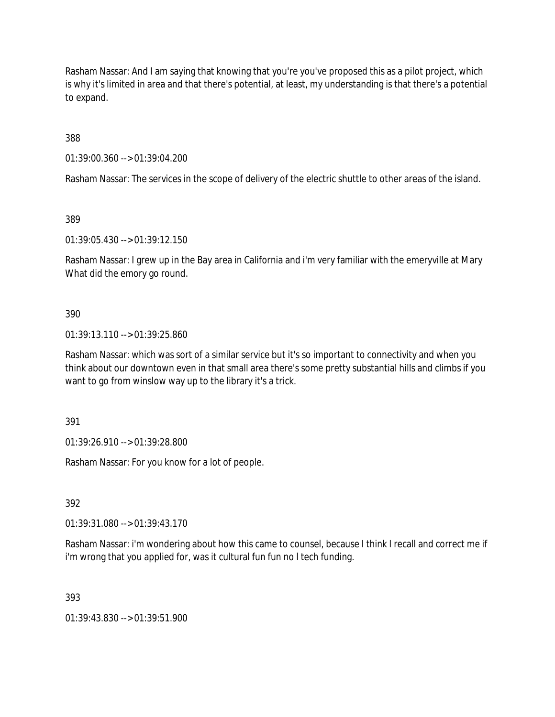Rasham Nassar: And I am saying that knowing that you're you've proposed this as a pilot project, which is why it's limited in area and that there's potential, at least, my understanding is that there's a potential to expand.

388

01:39:00.360 --> 01:39:04.200

Rasham Nassar: The services in the scope of delivery of the electric shuttle to other areas of the island.

389

01:39:05.430 --> 01:39:12.150

Rasham Nassar: I grew up in the Bay area in California and i'm very familiar with the emeryville at Mary What did the emory go round.

390

01:39:13.110 --> 01:39:25.860

Rasham Nassar: which was sort of a similar service but it's so important to connectivity and when you think about our downtown even in that small area there's some pretty substantial hills and climbs if you want to go from winslow way up to the library it's a trick.

391

01:39:26.910 --> 01:39:28.800

Rasham Nassar: For you know for a lot of people.

392

01:39:31.080 --> 01:39:43.170

Rasham Nassar: i'm wondering about how this came to counsel, because I think I recall and correct me if i'm wrong that you applied for, was it cultural fun fun no l tech funding.

393

01:39:43.830 --> 01:39:51.900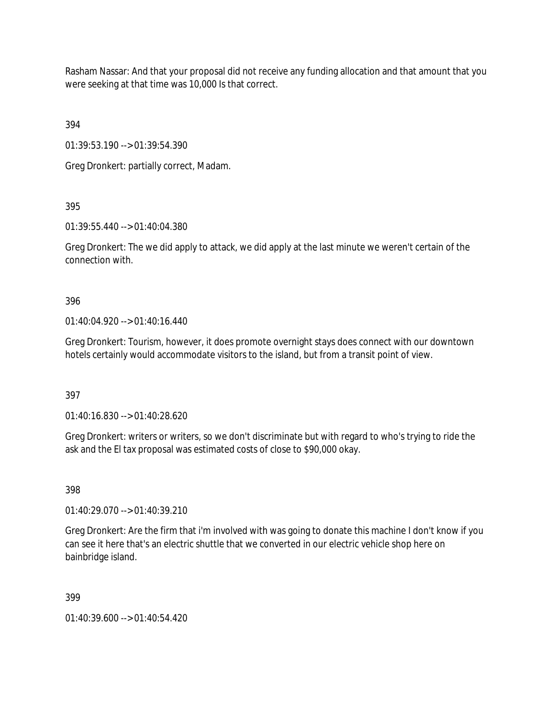Rasham Nassar: And that your proposal did not receive any funding allocation and that amount that you were seeking at that time was 10,000 Is that correct.

394

01:39:53.190 --> 01:39:54.390

Greg Dronkert: partially correct, Madam.

395

01:39:55.440 --> 01:40:04.380

Greg Dronkert: The we did apply to attack, we did apply at the last minute we weren't certain of the connection with.

396

01:40:04.920 --> 01:40:16.440

Greg Dronkert: Tourism, however, it does promote overnight stays does connect with our downtown hotels certainly would accommodate visitors to the island, but from a transit point of view.

397

01:40:16.830 --> 01:40:28.620

Greg Dronkert: writers or writers, so we don't discriminate but with regard to who's trying to ride the ask and the El tax proposal was estimated costs of close to \$90,000 okay.

398

01:40:29.070 --> 01:40:39.210

Greg Dronkert: Are the firm that i'm involved with was going to donate this machine I don't know if you can see it here that's an electric shuttle that we converted in our electric vehicle shop here on bainbridge island.

399

01:40:39.600 --> 01:40:54.420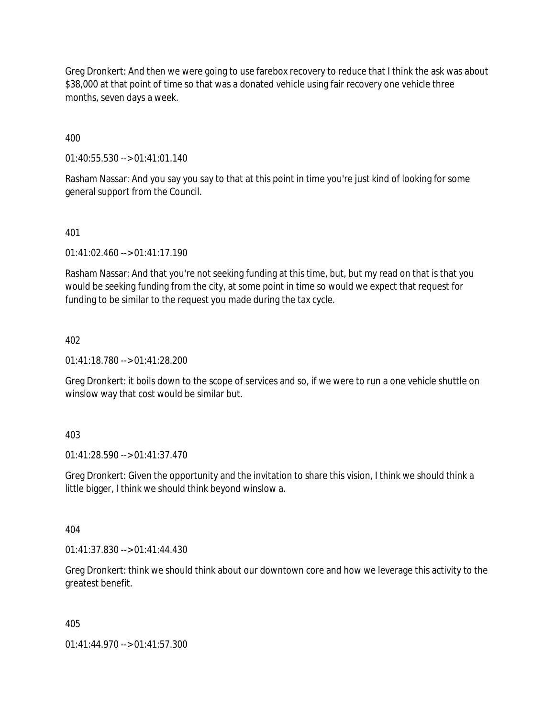Greg Dronkert: And then we were going to use farebox recovery to reduce that I think the ask was about \$38,000 at that point of time so that was a donated vehicle using fair recovery one vehicle three months, seven days a week.

400

01:40:55.530 --> 01:41:01.140

Rasham Nassar: And you say you say to that at this point in time you're just kind of looking for some general support from the Council.

401

01:41:02.460 --> 01:41:17.190

Rasham Nassar: And that you're not seeking funding at this time, but, but my read on that is that you would be seeking funding from the city, at some point in time so would we expect that request for funding to be similar to the request you made during the tax cycle.

402

01:41:18.780 --> 01:41:28.200

Greg Dronkert: it boils down to the scope of services and so, if we were to run a one vehicle shuttle on winslow way that cost would be similar but.

403

01:41:28.590 --> 01:41:37.470

Greg Dronkert: Given the opportunity and the invitation to share this vision, I think we should think a little bigger, I think we should think beyond winslow a.

404

01:41:37.830 --> 01:41:44.430

Greg Dronkert: think we should think about our downtown core and how we leverage this activity to the greatest benefit.

405

01:41:44.970 --> 01:41:57.300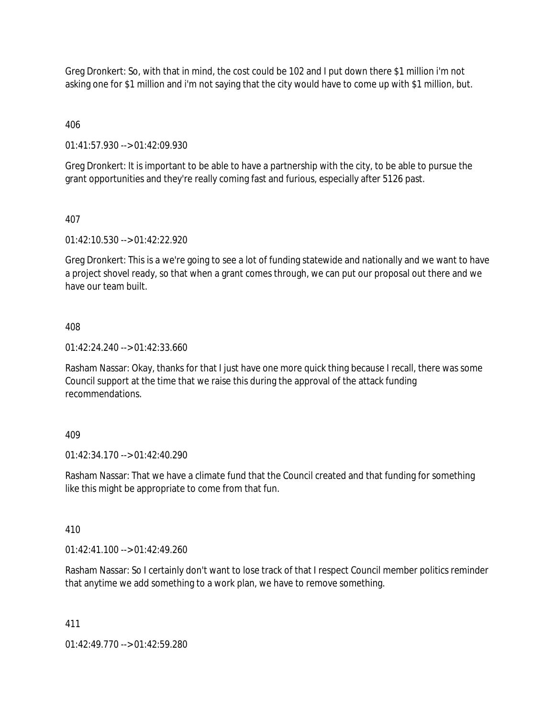Greg Dronkert: So, with that in mind, the cost could be 102 and I put down there \$1 million i'm not asking one for \$1 million and i'm not saying that the city would have to come up with \$1 million, but.

406

01:41:57.930 --> 01:42:09.930

Greg Dronkert: It is important to be able to have a partnership with the city, to be able to pursue the grant opportunities and they're really coming fast and furious, especially after 5126 past.

### 407

01:42:10.530 --> 01:42:22.920

Greg Dronkert: This is a we're going to see a lot of funding statewide and nationally and we want to have a project shovel ready, so that when a grant comes through, we can put our proposal out there and we have our team built.

### 408

 $01:42:24.240 \rightarrow 01:42:33.660$ 

Rasham Nassar: Okay, thanks for that I just have one more quick thing because I recall, there was some Council support at the time that we raise this during the approval of the attack funding recommendations.

### 409

01:42:34.170 --> 01:42:40.290

Rasham Nassar: That we have a climate fund that the Council created and that funding for something like this might be appropriate to come from that fun.

### 410

 $01:42:41.100 \rightarrow 01:42:49.260$ 

Rasham Nassar: So I certainly don't want to lose track of that I respect Council member politics reminder that anytime we add something to a work plan, we have to remove something.

### 411

01:42:49.770 --> 01:42:59.280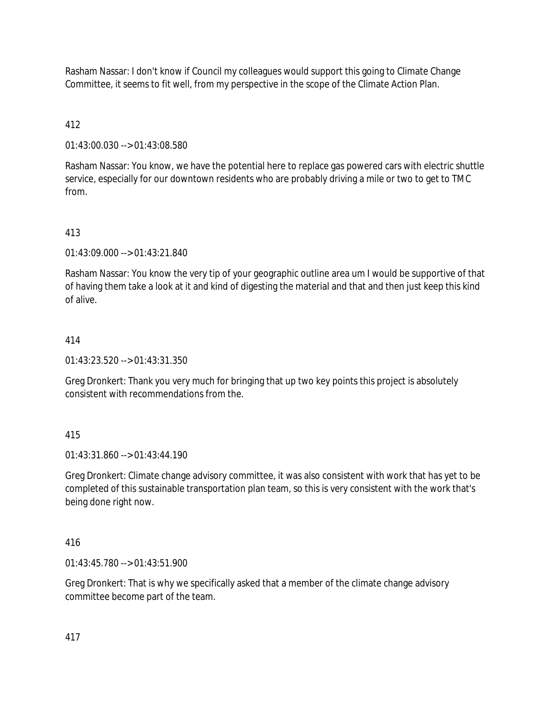Rasham Nassar: I don't know if Council my colleagues would support this going to Climate Change Committee, it seems to fit well, from my perspective in the scope of the Climate Action Plan.

# 412

01:43:00.030 --> 01:43:08.580

Rasham Nassar: You know, we have the potential here to replace gas powered cars with electric shuttle service, especially for our downtown residents who are probably driving a mile or two to get to TMC from.

# 413

01:43:09.000 --> 01:43:21.840

Rasham Nassar: You know the very tip of your geographic outline area um I would be supportive of that of having them take a look at it and kind of digesting the material and that and then just keep this kind of alive.

# 414

01:43:23.520 --> 01:43:31.350

Greg Dronkert: Thank you very much for bringing that up two key points this project is absolutely consistent with recommendations from the.

## 415

01:43:31.860 --> 01:43:44.190

Greg Dronkert: Climate change advisory committee, it was also consistent with work that has yet to be completed of this sustainable transportation plan team, so this is very consistent with the work that's being done right now.

## 416

01:43:45.780 --> 01:43:51.900

Greg Dronkert: That is why we specifically asked that a member of the climate change advisory committee become part of the team.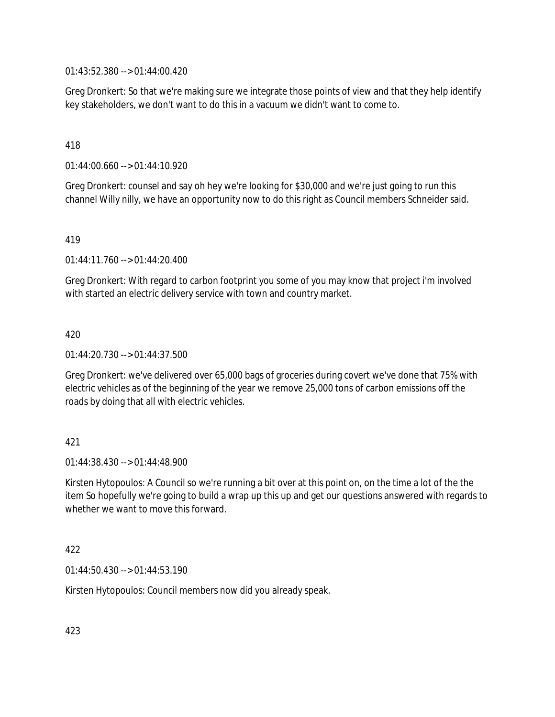01:43:52.380 --> 01:44:00.420

Greg Dronkert: So that we're making sure we integrate those points of view and that they help identify key stakeholders, we don't want to do this in a vacuum we didn't want to come to.

418

01:44:00.660 --> 01:44:10.920

Greg Dronkert: counsel and say oh hey we're looking for \$30,000 and we're just going to run this channel Willy nilly, we have an opportunity now to do this right as Council members Schneider said.

419

01:44:11.760 --> 01:44:20.400

Greg Dronkert: With regard to carbon footprint you some of you may know that project i'm involved with started an electric delivery service with town and country market.

420

01:44:20.730 --> 01:44:37.500

Greg Dronkert: we've delivered over 65,000 bags of groceries during covert we've done that 75% with electric vehicles as of the beginning of the year we remove 25,000 tons of carbon emissions off the roads by doing that all with electric vehicles.

421

 $01:44:38.430 \rightarrow 01:44:48.900$ 

Kirsten Hytopoulos: A Council so we're running a bit over at this point on, on the time a lot of the the item So hopefully we're going to build a wrap up this up and get our questions answered with regards to whether we want to move this forward.

422

01:44:50.430 --> 01:44:53.190

Kirsten Hytopoulos: Council members now did you already speak.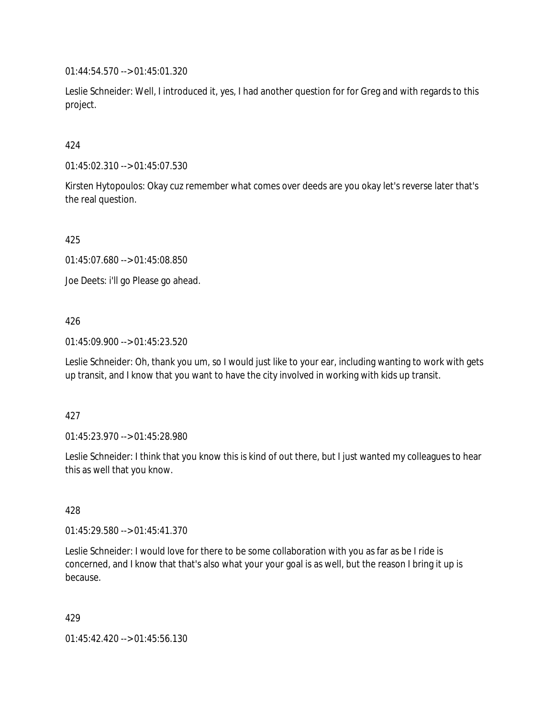01:44:54.570 --> 01:45:01.320

Leslie Schneider: Well, I introduced it, yes, I had another question for for Greg and with regards to this project.

## 424

01:45:02.310 --> 01:45:07.530

Kirsten Hytopoulos: Okay cuz remember what comes over deeds are you okay let's reverse later that's the real question.

425

01:45:07.680 --> 01:45:08.850

Joe Deets: i'll go Please go ahead.

### 426

01:45:09.900 --> 01:45:23.520

Leslie Schneider: Oh, thank you um, so I would just like to your ear, including wanting to work with gets up transit, and I know that you want to have the city involved in working with kids up transit.

### 427

01:45:23.970 --> 01:45:28.980

Leslie Schneider: I think that you know this is kind of out there, but I just wanted my colleagues to hear this as well that you know.

### 428

01:45:29.580 --> 01:45:41.370

Leslie Schneider: I would love for there to be some collaboration with you as far as be I ride is concerned, and I know that that's also what your your goal is as well, but the reason I bring it up is because.

429

01:45:42.420 --> 01:45:56.130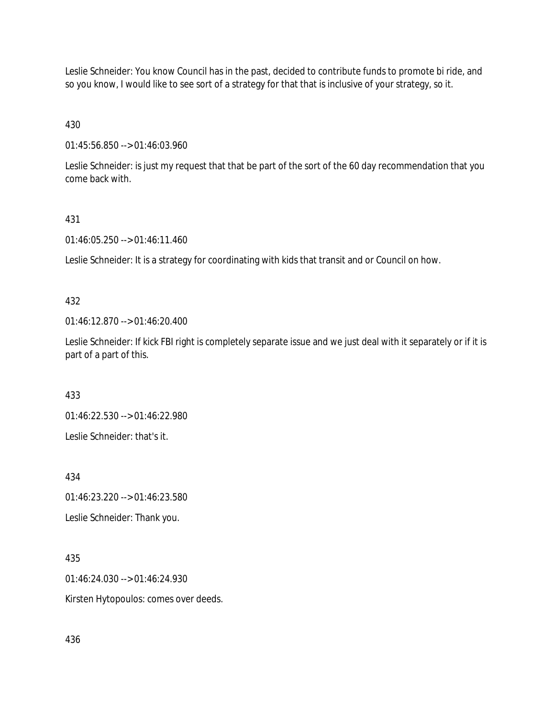Leslie Schneider: You know Council has in the past, decided to contribute funds to promote bi ride, and so you know, I would like to see sort of a strategy for that that is inclusive of your strategy, so it.

430

01:45:56.850 --> 01:46:03.960

Leslie Schneider: is just my request that that be part of the sort of the 60 day recommendation that you come back with.

### 431

01:46:05.250 --> 01:46:11.460

Leslie Schneider: It is a strategy for coordinating with kids that transit and or Council on how.

## 432

01:46:12.870 --> 01:46:20.400

Leslie Schneider: If kick FBI right is completely separate issue and we just deal with it separately or if it is part of a part of this.

433

01:46:22.530 --> 01:46:22.980

Leslie Schneider: that's it.

434

01:46:23.220 --> 01:46:23.580 Leslie Schneider: Thank you.

435

01:46:24.030 --> 01:46:24.930 Kirsten Hytopoulos: comes over deeds.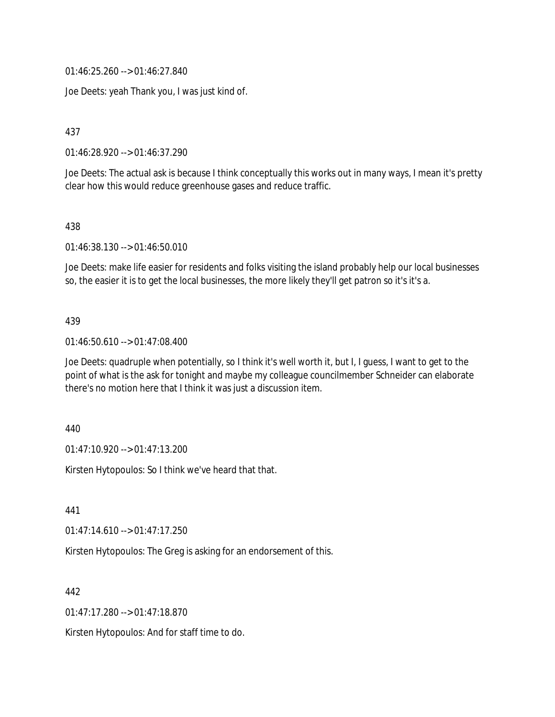01:46:25.260 --> 01:46:27.840

Joe Deets: yeah Thank you, I was just kind of.

437

01:46:28.920 --> 01:46:37.290

Joe Deets: The actual ask is because I think conceptually this works out in many ways, I mean it's pretty clear how this would reduce greenhouse gases and reduce traffic.

438

01:46:38.130 --> 01:46:50.010

Joe Deets: make life easier for residents and folks visiting the island probably help our local businesses so, the easier it is to get the local businesses, the more likely they'll get patron so it's it's a.

#### 439

01:46:50.610 --> 01:47:08.400

Joe Deets: quadruple when potentially, so I think it's well worth it, but I, I guess, I want to get to the point of what is the ask for tonight and maybe my colleague councilmember Schneider can elaborate there's no motion here that I think it was just a discussion item.

440

01:47:10.920 --> 01:47:13.200

Kirsten Hytopoulos: So I think we've heard that that.

441

01:47:14.610 --> 01:47:17.250

Kirsten Hytopoulos: The Greg is asking for an endorsement of this.

442

01:47:17.280 --> 01:47:18.870

Kirsten Hytopoulos: And for staff time to do.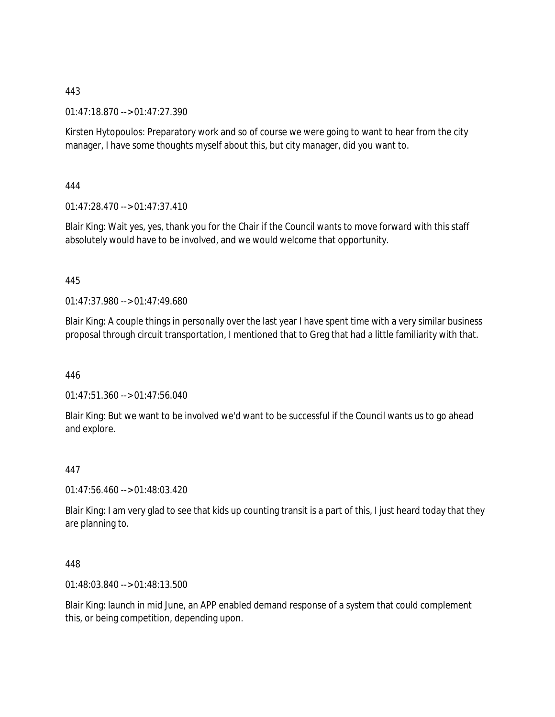### 443

01:47:18.870 --> 01:47:27.390

Kirsten Hytopoulos: Preparatory work and so of course we were going to want to hear from the city manager, I have some thoughts myself about this, but city manager, did you want to.

444

01:47:28.470 --> 01:47:37.410

Blair King: Wait yes, yes, thank you for the Chair if the Council wants to move forward with this staff absolutely would have to be involved, and we would welcome that opportunity.

### 445

01:47:37.980 --> 01:47:49.680

Blair King: A couple things in personally over the last year I have spent time with a very similar business proposal through circuit transportation, I mentioned that to Greg that had a little familiarity with that.

446

01:47:51.360 --> 01:47:56.040

Blair King: But we want to be involved we'd want to be successful if the Council wants us to go ahead and explore.

### 447

01:47:56.460 --> 01:48:03.420

Blair King: I am very glad to see that kids up counting transit is a part of this, I just heard today that they are planning to.

448

01:48:03.840 --> 01:48:13.500

Blair King: launch in mid June, an APP enabled demand response of a system that could complement this, or being competition, depending upon.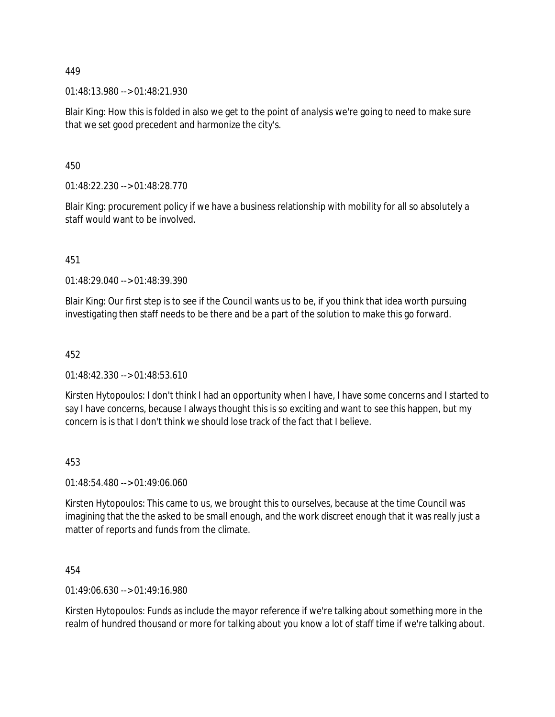01:48:13.980 --> 01:48:21.930

Blair King: How this is folded in also we get to the point of analysis we're going to need to make sure that we set good precedent and harmonize the city's.

450

01:48:22.230 --> 01:48:28.770

Blair King: procurement policy if we have a business relationship with mobility for all so absolutely a staff would want to be involved.

451

01:48:29.040 --> 01:48:39.390

Blair King: Our first step is to see if the Council wants us to be, if you think that idea worth pursuing investigating then staff needs to be there and be a part of the solution to make this go forward.

452

01:48:42.330 --> 01:48:53.610

Kirsten Hytopoulos: I don't think I had an opportunity when I have, I have some concerns and I started to say I have concerns, because I always thought this is so exciting and want to see this happen, but my concern is is that I don't think we should lose track of the fact that I believe.

### 453

01:48:54.480 --> 01:49:06.060

Kirsten Hytopoulos: This came to us, we brought this to ourselves, because at the time Council was imagining that the the asked to be small enough, and the work discreet enough that it was really just a matter of reports and funds from the climate.

454

01:49:06.630 --> 01:49:16.980

Kirsten Hytopoulos: Funds as include the mayor reference if we're talking about something more in the realm of hundred thousand or more for talking about you know a lot of staff time if we're talking about.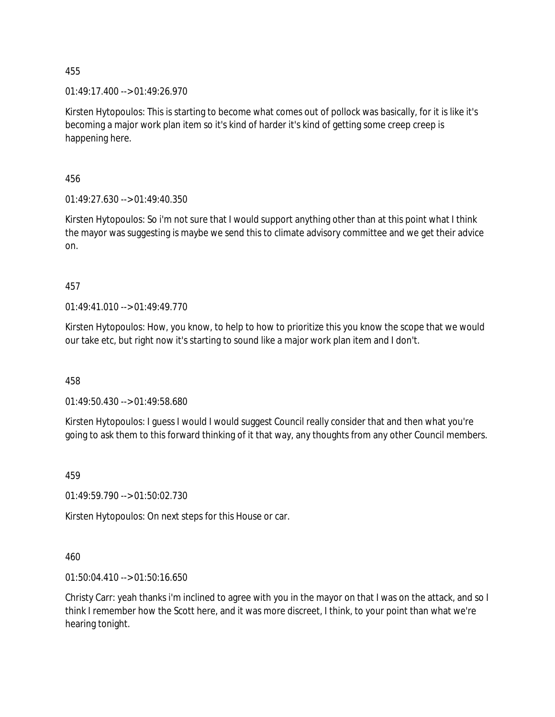$01:49:17.400 \rightarrow 01:49:26.970$ 

Kirsten Hytopoulos: This is starting to become what comes out of pollock was basically, for it is like it's becoming a major work plan item so it's kind of harder it's kind of getting some creep creep is happening here.

456

01:49:27.630 --> 01:49:40.350

Kirsten Hytopoulos: So i'm not sure that I would support anything other than at this point what I think the mayor was suggesting is maybe we send this to climate advisory committee and we get their advice on.

457

01:49:41.010 --> 01:49:49.770

Kirsten Hytopoulos: How, you know, to help to how to prioritize this you know the scope that we would our take etc, but right now it's starting to sound like a major work plan item and I don't.

458

01:49:50.430 --> 01:49:58.680

Kirsten Hytopoulos: I guess I would I would suggest Council really consider that and then what you're going to ask them to this forward thinking of it that way, any thoughts from any other Council members.

459

01:49:59.790 --> 01:50:02.730

Kirsten Hytopoulos: On next steps for this House or car.

460

01:50:04.410 --> 01:50:16.650

Christy Carr: yeah thanks i'm inclined to agree with you in the mayor on that I was on the attack, and so I think I remember how the Scott here, and it was more discreet, I think, to your point than what we're hearing tonight.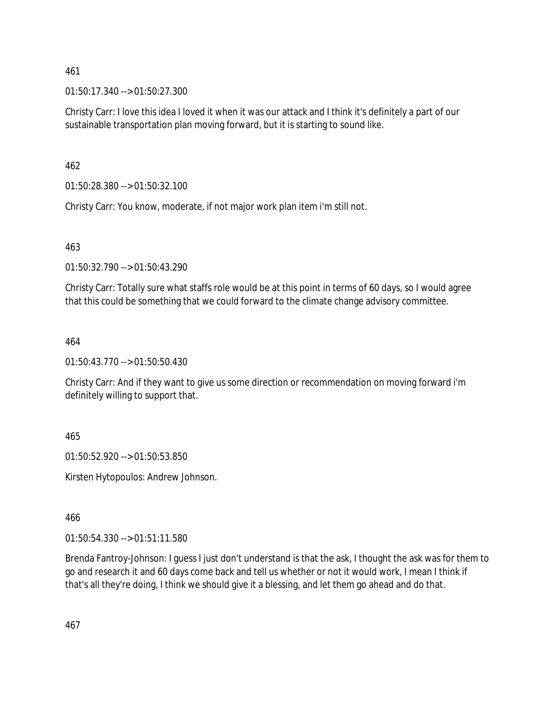01:50:17.340 --> 01:50:27.300

Christy Carr: I love this idea I loved it when it was our attack and I think it's definitely a part of our sustainable transportation plan moving forward, but it is starting to sound like.

462

01:50:28.380 --> 01:50:32.100

Christy Carr: You know, moderate, if not major work plan item i'm still not.

463

01:50:32.790 --> 01:50:43.290

Christy Carr: Totally sure what staffs role would be at this point in terms of 60 days, so I would agree that this could be something that we could forward to the climate change advisory committee.

464

01:50:43.770 --> 01:50:50.430

Christy Carr: And if they want to give us some direction or recommendation on moving forward i'm definitely willing to support that.

465

01:50:52.920 --> 01:50:53.850

Kirsten Hytopoulos: Andrew Johnson.

466

01:50:54.330 --> 01:51:11.580

Brenda Fantroy-Johnson: I guess I just don't understand is that the ask, I thought the ask was for them to go and research it and 60 days come back and tell us whether or not it would work, I mean I think if that's all they're doing, I think we should give it a blessing, and let them go ahead and do that.

467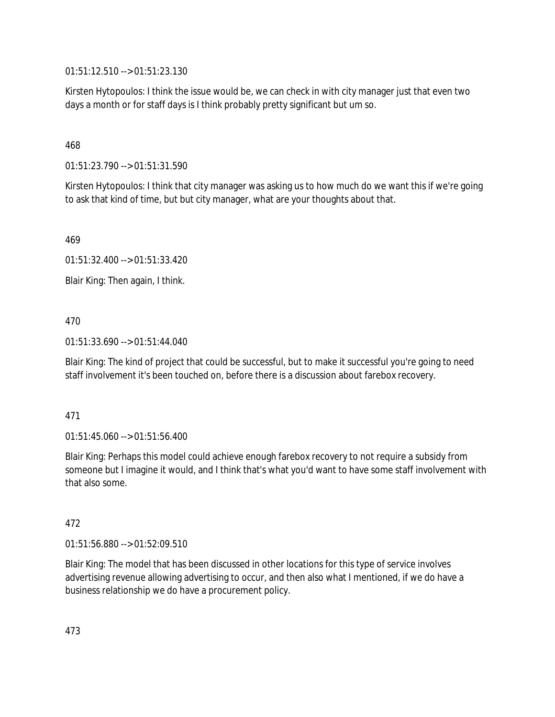01:51:12.510 --> 01:51:23.130

Kirsten Hytopoulos: I think the issue would be, we can check in with city manager just that even two days a month or for staff days is I think probably pretty significant but um so.

### 468

01:51:23.790 --> 01:51:31.590

Kirsten Hytopoulos: I think that city manager was asking us to how much do we want this if we're going to ask that kind of time, but but city manager, what are your thoughts about that.

469

01:51:32.400 --> 01:51:33.420

Blair King: Then again, I think.

### 470

#### 01:51:33.690 --> 01:51:44.040

Blair King: The kind of project that could be successful, but to make it successful you're going to need staff involvement it's been touched on, before there is a discussion about farebox recovery.

### 471

01:51:45.060 --> 01:51:56.400

Blair King: Perhaps this model could achieve enough farebox recovery to not require a subsidy from someone but I imagine it would, and I think that's what you'd want to have some staff involvement with that also some.

### 472

01:51:56.880 --> 01:52:09.510

Blair King: The model that has been discussed in other locations for this type of service involves advertising revenue allowing advertising to occur, and then also what I mentioned, if we do have a business relationship we do have a procurement policy.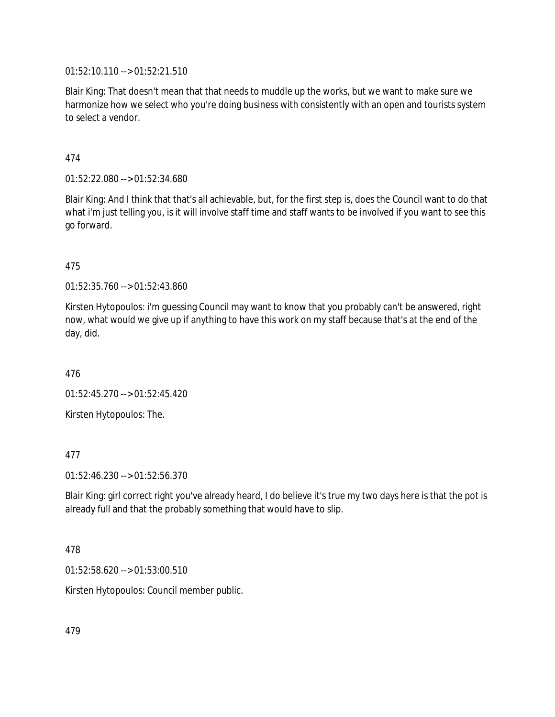01:52:10.110 --> 01:52:21.510

Blair King: That doesn't mean that that needs to muddle up the works, but we want to make sure we harmonize how we select who you're doing business with consistently with an open and tourists system to select a vendor.

474

01:52:22.080 --> 01:52:34.680

Blair King: And I think that that's all achievable, but, for the first step is, does the Council want to do that what i'm just telling you, is it will involve staff time and staff wants to be involved if you want to see this go forward.

475

01:52:35.760 --> 01:52:43.860

Kirsten Hytopoulos: i'm guessing Council may want to know that you probably can't be answered, right now, what would we give up if anything to have this work on my staff because that's at the end of the day, did.

476

01:52:45.270 --> 01:52:45.420

Kirsten Hytopoulos: The.

477

01:52:46.230 --> 01:52:56.370

Blair King: girl correct right you've already heard, I do believe it's true my two days here is that the pot is already full and that the probably something that would have to slip.

478

01:52:58.620 --> 01:53:00.510

Kirsten Hytopoulos: Council member public.

479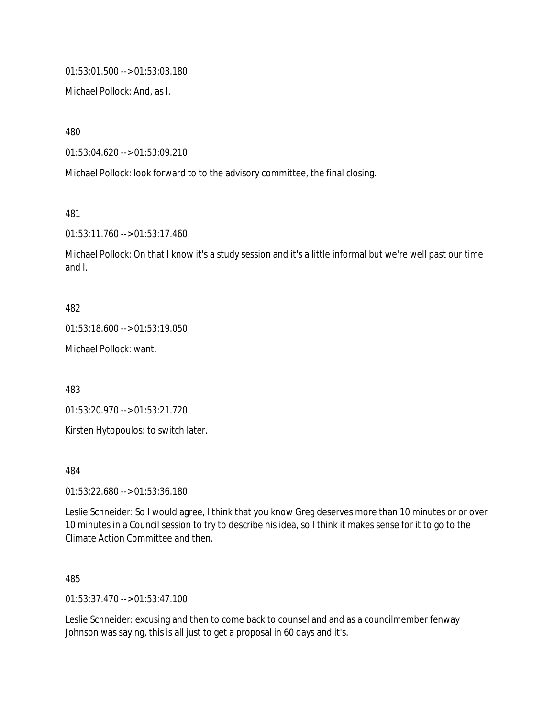01:53:01.500 --> 01:53:03.180

Michael Pollock: And, as I.

480

01:53:04.620 --> 01:53:09.210

Michael Pollock: look forward to to the advisory committee, the final closing.

481

01:53:11.760 --> 01:53:17.460

Michael Pollock: On that I know it's a study session and it's a little informal but we're well past our time and I.

#### 482

01:53:18.600 --> 01:53:19.050

Michael Pollock: want.

483

01:53:20.970 --> 01:53:21.720

Kirsten Hytopoulos: to switch later.

484

01:53:22.680 --> 01:53:36.180

Leslie Schneider: So I would agree, I think that you know Greg deserves more than 10 minutes or or over 10 minutes in a Council session to try to describe his idea, so I think it makes sense for it to go to the Climate Action Committee and then.

#### 485

01:53:37.470 --> 01:53:47.100

Leslie Schneider: excusing and then to come back to counsel and and as a councilmember fenway Johnson was saying, this is all just to get a proposal in 60 days and it's.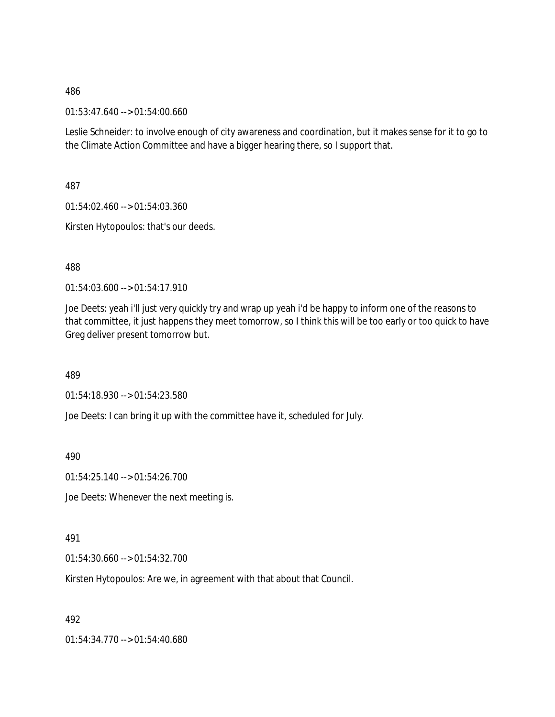01:53:47.640 --> 01:54:00.660

Leslie Schneider: to involve enough of city awareness and coordination, but it makes sense for it to go to the Climate Action Committee and have a bigger hearing there, so I support that.

487

01:54:02.460 --> 01:54:03.360

Kirsten Hytopoulos: that's our deeds.

488

01:54:03.600 --> 01:54:17.910

Joe Deets: yeah i'll just very quickly try and wrap up yeah i'd be happy to inform one of the reasons to that committee, it just happens they meet tomorrow, so I think this will be too early or too quick to have Greg deliver present tomorrow but.

489

01:54:18.930 --> 01:54:23.580

Joe Deets: I can bring it up with the committee have it, scheduled for July.

490

01:54:25.140 --> 01:54:26.700

Joe Deets: Whenever the next meeting is.

491

01:54:30.660 --> 01:54:32.700

Kirsten Hytopoulos: Are we, in agreement with that about that Council.

492

01:54:34.770 --> 01:54:40.680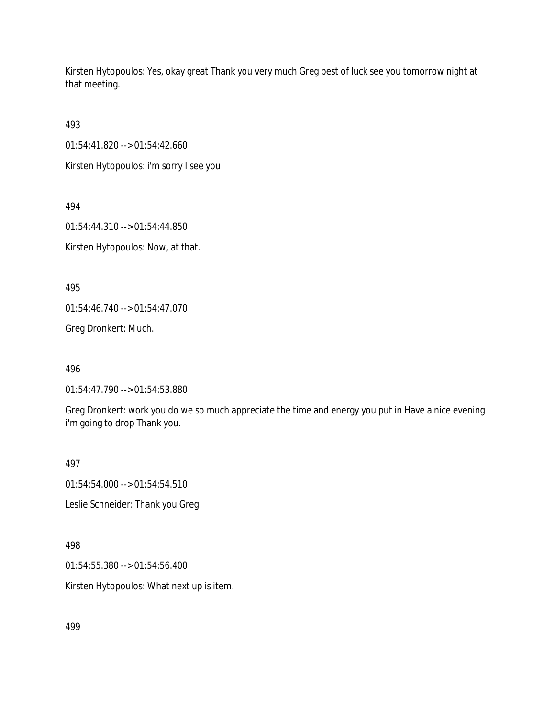Kirsten Hytopoulos: Yes, okay great Thank you very much Greg best of luck see you tomorrow night at that meeting.

493

01:54:41.820 --> 01:54:42.660

Kirsten Hytopoulos: i'm sorry I see you.

494

01:54:44.310 --> 01:54:44.850

Kirsten Hytopoulos: Now, at that.

495

01:54:46.740 --> 01:54:47.070

Greg Dronkert: Much.

496

01:54:47.790 --> 01:54:53.880

Greg Dronkert: work you do we so much appreciate the time and energy you put in Have a nice evening i'm going to drop Thank you.

497

01:54:54.000 --> 01:54:54.510

Leslie Schneider: Thank you Greg.

498

01:54:55.380 --> 01:54:56.400

Kirsten Hytopoulos: What next up is item.

499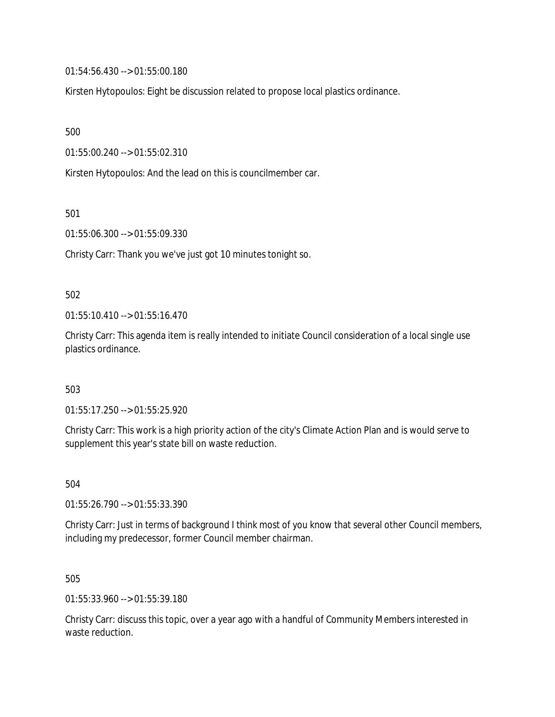01:54:56.430 --> 01:55:00.180

Kirsten Hytopoulos: Eight be discussion related to propose local plastics ordinance.

500

01:55:00.240 --> 01:55:02.310

Kirsten Hytopoulos: And the lead on this is councilmember car.

501

01:55:06.300 --> 01:55:09.330

Christy Carr: Thank you we've just got 10 minutes tonight so.

#### 502

 $01:55:10.410 \rightarrow 01:55:16.470$ 

Christy Carr: This agenda item is really intended to initiate Council consideration of a local single use plastics ordinance.

503

01:55:17.250 --> 01:55:25.920

Christy Carr: This work is a high priority action of the city's Climate Action Plan and is would serve to supplement this year's state bill on waste reduction.

504

01:55:26.790 --> 01:55:33.390

Christy Carr: Just in terms of background I think most of you know that several other Council members, including my predecessor, former Council member chairman.

505

01:55:33.960 --> 01:55:39.180

Christy Carr: discuss this topic, over a year ago with a handful of Community Members interested in waste reduction.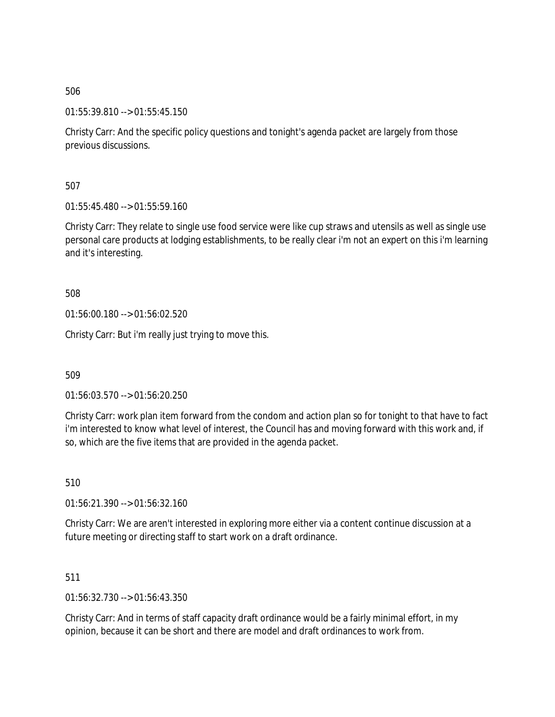01:55:39.810 --> 01:55:45.150

Christy Carr: And the specific policy questions and tonight's agenda packet are largely from those previous discussions.

507

01:55:45.480 --> 01:55:59.160

Christy Carr: They relate to single use food service were like cup straws and utensils as well as single use personal care products at lodging establishments, to be really clear i'm not an expert on this i'm learning and it's interesting.

508

01:56:00.180 --> 01:56:02.520

Christy Carr: But i'm really just trying to move this.

509

01:56:03.570 --> 01:56:20.250

Christy Carr: work plan item forward from the condom and action plan so for tonight to that have to fact i'm interested to know what level of interest, the Council has and moving forward with this work and, if so, which are the five items that are provided in the agenda packet.

510

01:56:21.390 --> 01:56:32.160

Christy Carr: We are aren't interested in exploring more either via a content continue discussion at a future meeting or directing staff to start work on a draft ordinance.

511

01:56:32.730 --> 01:56:43.350

Christy Carr: And in terms of staff capacity draft ordinance would be a fairly minimal effort, in my opinion, because it can be short and there are model and draft ordinances to work from.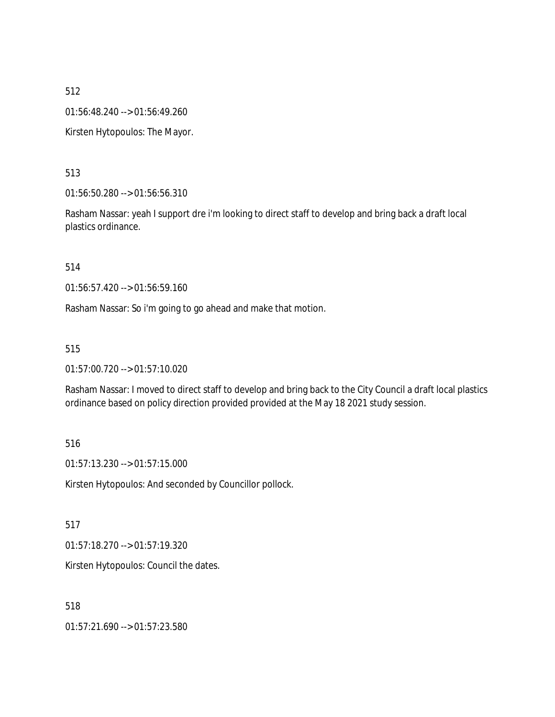01:56:48.240 --> 01:56:49.260

Kirsten Hytopoulos: The Mayor.

513

01:56:50.280 --> 01:56:56.310

Rasham Nassar: yeah I support dre i'm looking to direct staff to develop and bring back a draft local plastics ordinance.

514

01:56:57.420 --> 01:56:59.160

Rasham Nassar: So i'm going to go ahead and make that motion.

515

01:57:00.720 --> 01:57:10.020

Rasham Nassar: I moved to direct staff to develop and bring back to the City Council a draft local plastics ordinance based on policy direction provided provided at the May 18 2021 study session.

516

01:57:13.230 --> 01:57:15.000

Kirsten Hytopoulos: And seconded by Councillor pollock.

517

01:57:18.270 --> 01:57:19.320

Kirsten Hytopoulos: Council the dates.

518

01:57:21.690 --> 01:57:23.580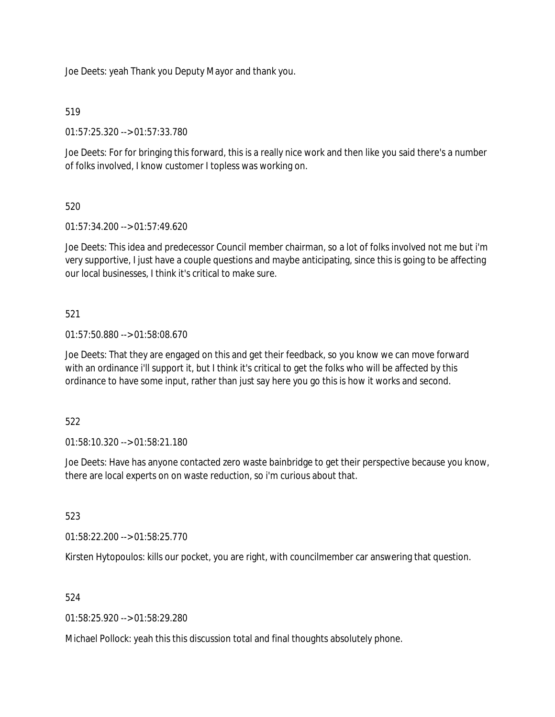Joe Deets: yeah Thank you Deputy Mayor and thank you.

## 519

01:57:25.320 --> 01:57:33.780

Joe Deets: For for bringing this forward, this is a really nice work and then like you said there's a number of folks involved, I know customer I topless was working on.

## 520

01:57:34.200 --> 01:57:49.620

Joe Deets: This idea and predecessor Council member chairman, so a lot of folks involved not me but i'm very supportive, I just have a couple questions and maybe anticipating, since this is going to be affecting our local businesses, I think it's critical to make sure.

## 521

01:57:50.880 --> 01:58:08.670

Joe Deets: That they are engaged on this and get their feedback, so you know we can move forward with an ordinance i'll support it, but I think it's critical to get the folks who will be affected by this ordinance to have some input, rather than just say here you go this is how it works and second.

## 522

01:58:10.320 --> 01:58:21.180

Joe Deets: Have has anyone contacted zero waste bainbridge to get their perspective because you know, there are local experts on on waste reduction, so i'm curious about that.

## 523

01:58:22.200 --> 01:58:25.770

Kirsten Hytopoulos: kills our pocket, you are right, with councilmember car answering that question.

## 524

01:58:25.920 --> 01:58:29.280

Michael Pollock: yeah this this discussion total and final thoughts absolutely phone.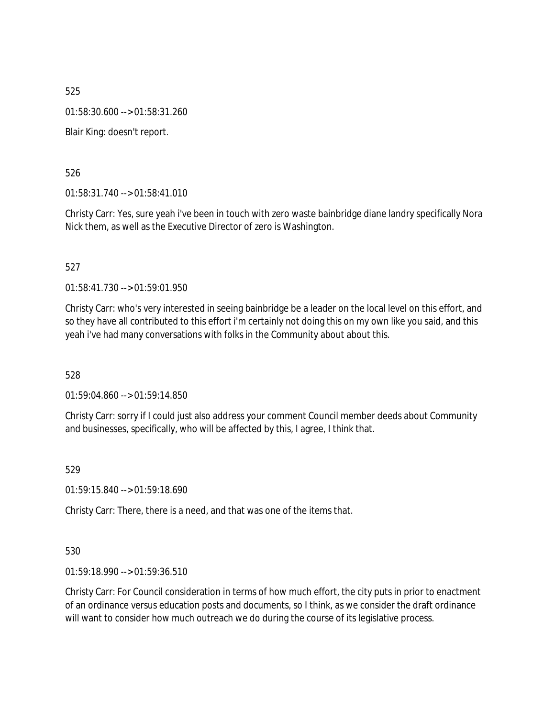01:58:30.600 --> 01:58:31.260

Blair King: doesn't report.

526

01:58:31.740 --> 01:58:41.010

Christy Carr: Yes, sure yeah i've been in touch with zero waste bainbridge diane landry specifically Nora Nick them, as well as the Executive Director of zero is Washington.

527

01:58:41.730 --> 01:59:01.950

Christy Carr: who's very interested in seeing bainbridge be a leader on the local level on this effort, and so they have all contributed to this effort i'm certainly not doing this on my own like you said, and this yeah i've had many conversations with folks in the Community about about this.

528

01:59:04.860 --> 01:59:14.850

Christy Carr: sorry if I could just also address your comment Council member deeds about Community and businesses, specifically, who will be affected by this, I agree, I think that.

529

01:59:15.840 --> 01:59:18.690

Christy Carr: There, there is a need, and that was one of the items that.

530

01:59:18.990 --> 01:59:36.510

Christy Carr: For Council consideration in terms of how much effort, the city puts in prior to enactment of an ordinance versus education posts and documents, so I think, as we consider the draft ordinance will want to consider how much outreach we do during the course of its legislative process.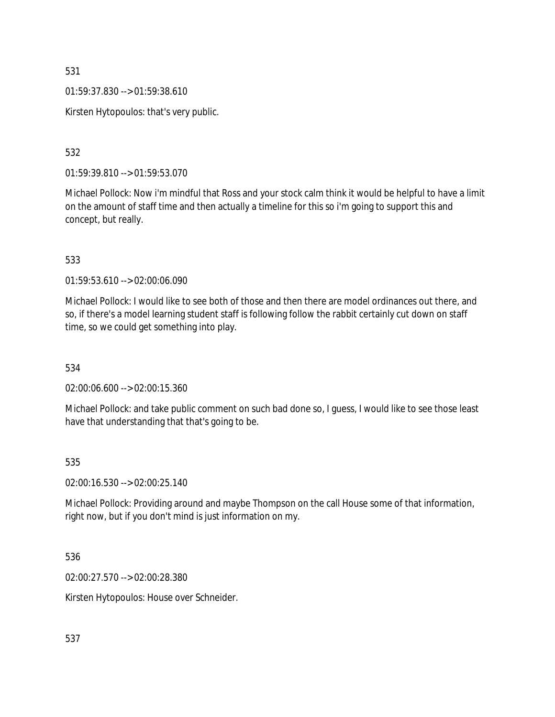01:59:37.830 --> 01:59:38.610

Kirsten Hytopoulos: that's very public.

532

01:59:39.810 --> 01:59:53.070

Michael Pollock: Now i'm mindful that Ross and your stock calm think it would be helpful to have a limit on the amount of staff time and then actually a timeline for this so i'm going to support this and concept, but really.

533

01:59:53.610 --> 02:00:06.090

Michael Pollock: I would like to see both of those and then there are model ordinances out there, and so, if there's a model learning student staff is following follow the rabbit certainly cut down on staff time, so we could get something into play.

534

02:00:06.600 --> 02:00:15.360

Michael Pollock: and take public comment on such bad done so, I guess, I would like to see those least have that understanding that that's going to be.

535

02:00:16.530 --> 02:00:25.140

Michael Pollock: Providing around and maybe Thompson on the call House some of that information, right now, but if you don't mind is just information on my.

536

02:00:27.570 --> 02:00:28.380

Kirsten Hytopoulos: House over Schneider.

537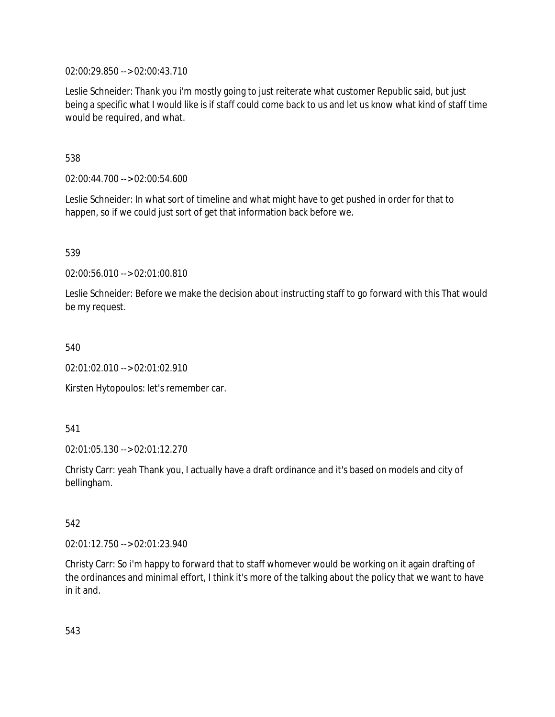02:00:29.850 --> 02:00:43.710

Leslie Schneider: Thank you i'm mostly going to just reiterate what customer Republic said, but just being a specific what I would like is if staff could come back to us and let us know what kind of staff time would be required, and what.

538

02:00:44.700 --> 02:00:54.600

Leslie Schneider: In what sort of timeline and what might have to get pushed in order for that to happen, so if we could just sort of get that information back before we.

539

02:00:56.010 --> 02:01:00.810

Leslie Schneider: Before we make the decision about instructing staff to go forward with this That would be my request.

540

02:01:02.010 --> 02:01:02.910

Kirsten Hytopoulos: let's remember car.

541

02:01:05.130 --> 02:01:12.270

Christy Carr: yeah Thank you, I actually have a draft ordinance and it's based on models and city of bellingham.

542

02:01:12.750 --> 02:01:23.940

Christy Carr: So i'm happy to forward that to staff whomever would be working on it again drafting of the ordinances and minimal effort, I think it's more of the talking about the policy that we want to have in it and.

543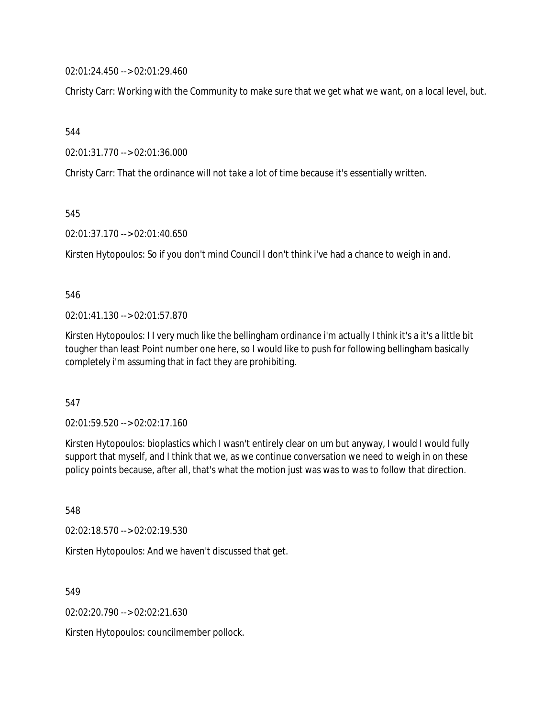02:01:24.450 --> 02:01:29.460

Christy Carr: Working with the Community to make sure that we get what we want, on a local level, but.

544

02:01:31.770 --> 02:01:36.000

Christy Carr: That the ordinance will not take a lot of time because it's essentially written.

545

02:01:37.170 --> 02:01:40.650

Kirsten Hytopoulos: So if you don't mind Council I don't think i've had a chance to weigh in and.

546

02:01:41.130 --> 02:01:57.870

Kirsten Hytopoulos: I I very much like the bellingham ordinance i'm actually I think it's a it's a little bit tougher than least Point number one here, so I would like to push for following bellingham basically completely i'm assuming that in fact they are prohibiting.

547

02:01:59.520 --> 02:02:17.160

Kirsten Hytopoulos: bioplastics which I wasn't entirely clear on um but anyway, I would I would fully support that myself, and I think that we, as we continue conversation we need to weigh in on these policy points because, after all, that's what the motion just was was to was to follow that direction.

548

02:02:18.570 --> 02:02:19.530

Kirsten Hytopoulos: And we haven't discussed that get.

549

02:02:20.790 --> 02:02:21.630

Kirsten Hytopoulos: councilmember pollock.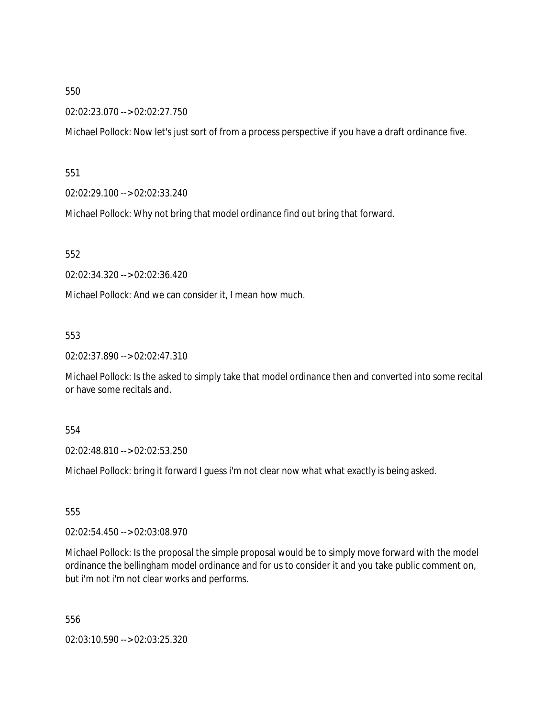02:02:23.070 --> 02:02:27.750

Michael Pollock: Now let's just sort of from a process perspective if you have a draft ordinance five.

551

02:02:29.100 --> 02:02:33.240

Michael Pollock: Why not bring that model ordinance find out bring that forward.

552

02:02:34.320 --> 02:02:36.420

Michael Pollock: And we can consider it, I mean how much.

553

02:02:37.890 --> 02:02:47.310

Michael Pollock: Is the asked to simply take that model ordinance then and converted into some recital or have some recitals and.

554

02:02:48.810 --> 02:02:53.250

Michael Pollock: bring it forward I guess i'm not clear now what what exactly is being asked.

555

02:02:54.450 --> 02:03:08.970

Michael Pollock: Is the proposal the simple proposal would be to simply move forward with the model ordinance the bellingham model ordinance and for us to consider it and you take public comment on, but i'm not i'm not clear works and performs.

556

02:03:10.590 --> 02:03:25.320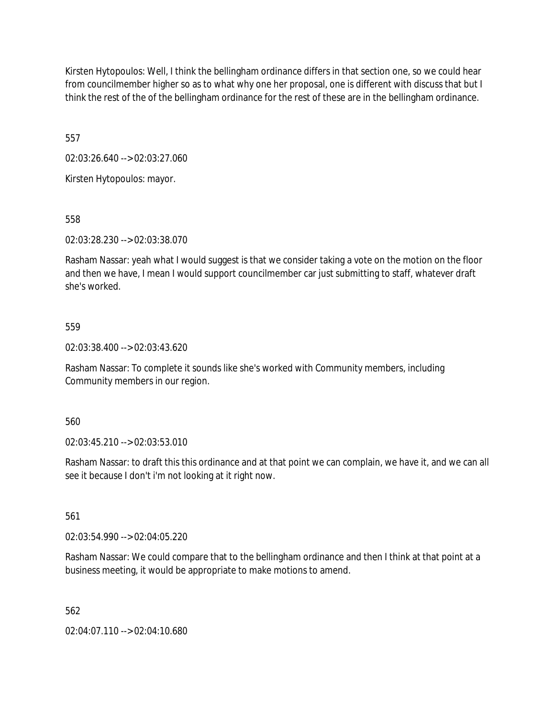Kirsten Hytopoulos: Well, I think the bellingham ordinance differs in that section one, so we could hear from councilmember higher so as to what why one her proposal, one is different with discuss that but I think the rest of the of the bellingham ordinance for the rest of these are in the bellingham ordinance.

557

02:03:26.640 --> 02:03:27.060

Kirsten Hytopoulos: mayor.

558

02:03:28.230 --> 02:03:38.070

Rasham Nassar: yeah what I would suggest is that we consider taking a vote on the motion on the floor and then we have, I mean I would support councilmember car just submitting to staff, whatever draft she's worked.

### 559

02:03:38.400 --> 02:03:43.620

Rasham Nassar: To complete it sounds like she's worked with Community members, including Community members in our region.

560

02:03:45.210 --> 02:03:53.010

Rasham Nassar: to draft this this ordinance and at that point we can complain, we have it, and we can all see it because I don't i'm not looking at it right now.

561

02:03:54.990 --> 02:04:05.220

Rasham Nassar: We could compare that to the bellingham ordinance and then I think at that point at a business meeting, it would be appropriate to make motions to amend.

562

02:04:07.110 --> 02:04:10.680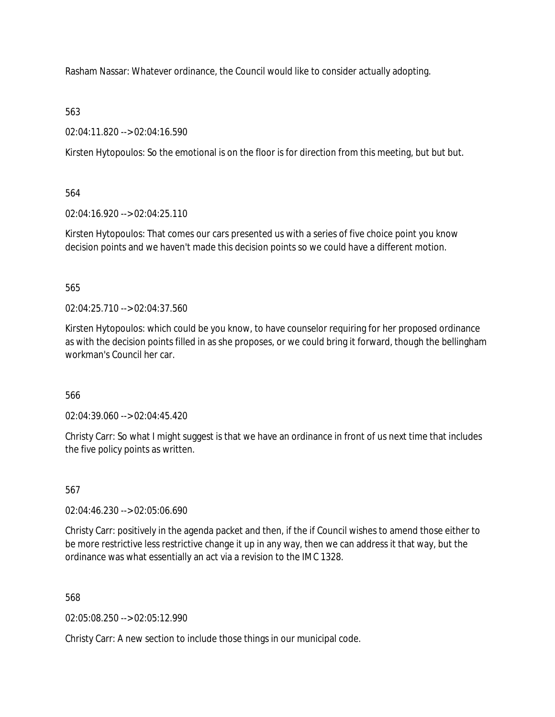Rasham Nassar: Whatever ordinance, the Council would like to consider actually adopting.

## 563

02:04:11.820 --> 02:04:16.590

Kirsten Hytopoulos: So the emotional is on the floor is for direction from this meeting, but but but.

## 564

02:04:16.920 --> 02:04:25.110

Kirsten Hytopoulos: That comes our cars presented us with a series of five choice point you know decision points and we haven't made this decision points so we could have a different motion.

## 565

02:04:25.710 --> 02:04:37.560

Kirsten Hytopoulos: which could be you know, to have counselor requiring for her proposed ordinance as with the decision points filled in as she proposes, or we could bring it forward, though the bellingham workman's Council her car.

# 566

02:04:39.060 --> 02:04:45.420

Christy Carr: So what I might suggest is that we have an ordinance in front of us next time that includes the five policy points as written.

# 567

02:04:46.230 --> 02:05:06.690

Christy Carr: positively in the agenda packet and then, if the if Council wishes to amend those either to be more restrictive less restrictive change it up in any way, then we can address it that way, but the ordinance was what essentially an act via a revision to the IMC 1328.

## 568

02:05:08.250 --> 02:05:12.990

Christy Carr: A new section to include those things in our municipal code.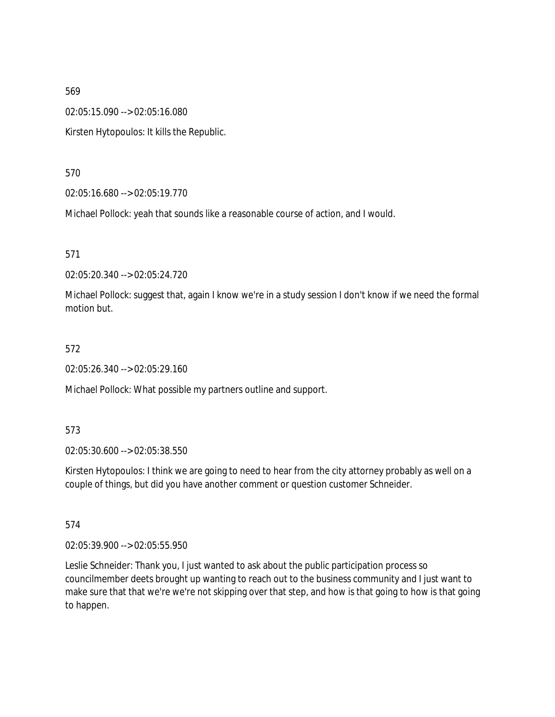02:05:15.090 --> 02:05:16.080

Kirsten Hytopoulos: It kills the Republic.

570

02:05:16.680 --> 02:05:19.770

Michael Pollock: yeah that sounds like a reasonable course of action, and I would.

571

02:05:20.340 --> 02:05:24.720

Michael Pollock: suggest that, again I know we're in a study session I don't know if we need the formal motion but.

#### 572

02:05:26.340 --> 02:05:29.160

Michael Pollock: What possible my partners outline and support.

573

02:05:30.600 --> 02:05:38.550

Kirsten Hytopoulos: I think we are going to need to hear from the city attorney probably as well on a couple of things, but did you have another comment or question customer Schneider.

574

02:05:39.900 --> 02:05:55.950

Leslie Schneider: Thank you, I just wanted to ask about the public participation process so councilmember deets brought up wanting to reach out to the business community and I just want to make sure that that we're we're not skipping over that step, and how is that going to how is that going to happen.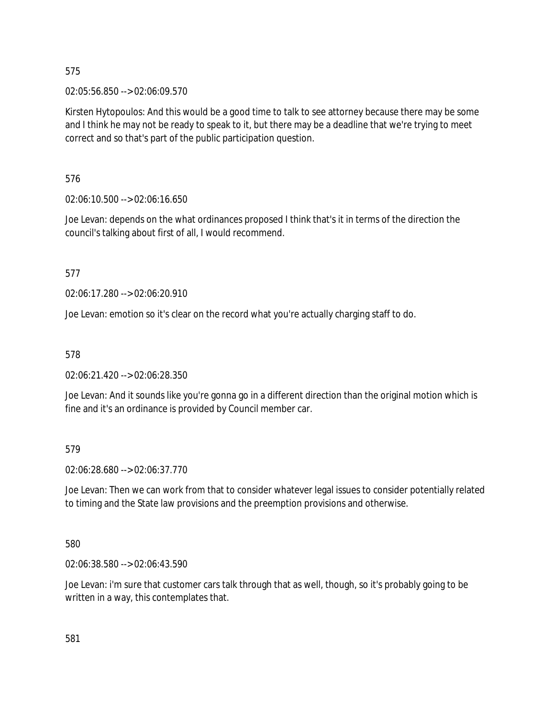02:05:56.850 --> 02:06:09.570

Kirsten Hytopoulos: And this would be a good time to talk to see attorney because there may be some and I think he may not be ready to speak to it, but there may be a deadline that we're trying to meet correct and so that's part of the public participation question.

576

02:06:10.500 --> 02:06:16.650

Joe Levan: depends on the what ordinances proposed I think that's it in terms of the direction the council's talking about first of all, I would recommend.

577

02:06:17.280 --> 02:06:20.910

Joe Levan: emotion so it's clear on the record what you're actually charging staff to do.

578

02:06:21.420 --> 02:06:28.350

Joe Levan: And it sounds like you're gonna go in a different direction than the original motion which is fine and it's an ordinance is provided by Council member car.

579

02:06:28.680 --> 02:06:37.770

Joe Levan: Then we can work from that to consider whatever legal issues to consider potentially related to timing and the State law provisions and the preemption provisions and otherwise.

580

02:06:38.580 --> 02:06:43.590

Joe Levan: i'm sure that customer cars talk through that as well, though, so it's probably going to be written in a way, this contemplates that.

581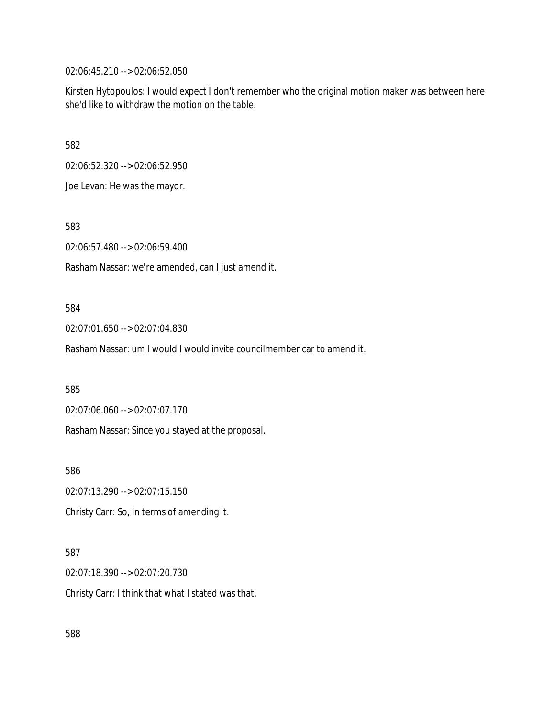02:06:45.210 --> 02:06:52.050

Kirsten Hytopoulos: I would expect I don't remember who the original motion maker was between here she'd like to withdraw the motion on the table.

582

02:06:52.320 --> 02:06:52.950

Joe Levan: He was the mayor.

583

02:06:57.480 --> 02:06:59.400

Rasham Nassar: we're amended, can I just amend it.

#### 584

02:07:01.650 --> 02:07:04.830

Rasham Nassar: um I would I would invite councilmember car to amend it.

585

02:07:06.060 --> 02:07:07.170

Rasham Nassar: Since you stayed at the proposal.

586

02:07:13.290 --> 02:07:15.150

Christy Carr: So, in terms of amending it.

### 587

02:07:18.390 --> 02:07:20.730

Christy Carr: I think that what I stated was that.

588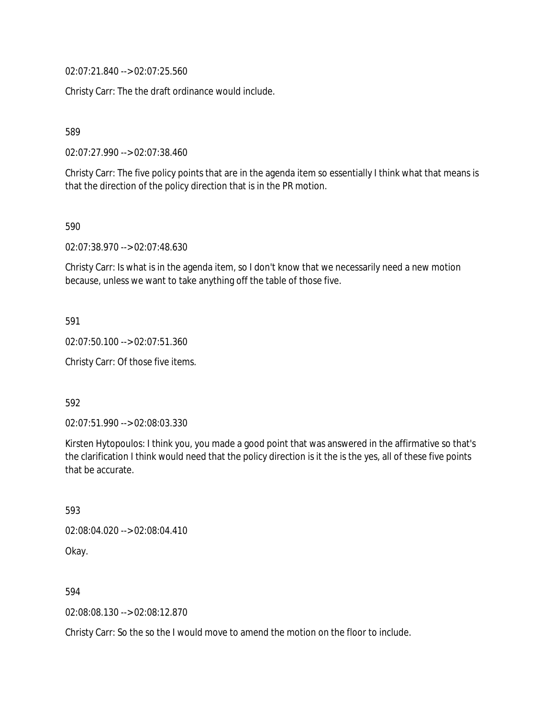02:07:21.840 --> 02:07:25.560

Christy Carr: The the draft ordinance would include.

589

02:07:27.990 --> 02:07:38.460

Christy Carr: The five policy points that are in the agenda item so essentially I think what that means is that the direction of the policy direction that is in the PR motion.

590

02:07:38.970 --> 02:07:48.630

Christy Carr: Is what is in the agenda item, so I don't know that we necessarily need a new motion because, unless we want to take anything off the table of those five.

591

02:07:50.100 --> 02:07:51.360

Christy Carr: Of those five items.

592

02:07:51.990 --> 02:08:03.330

Kirsten Hytopoulos: I think you, you made a good point that was answered in the affirmative so that's the clarification I think would need that the policy direction is it the is the yes, all of these five points that be accurate.

593 02:08:04.020 --> 02:08:04.410 Okay.

594

02:08:08.130 --> 02:08:12.870

Christy Carr: So the so the I would move to amend the motion on the floor to include.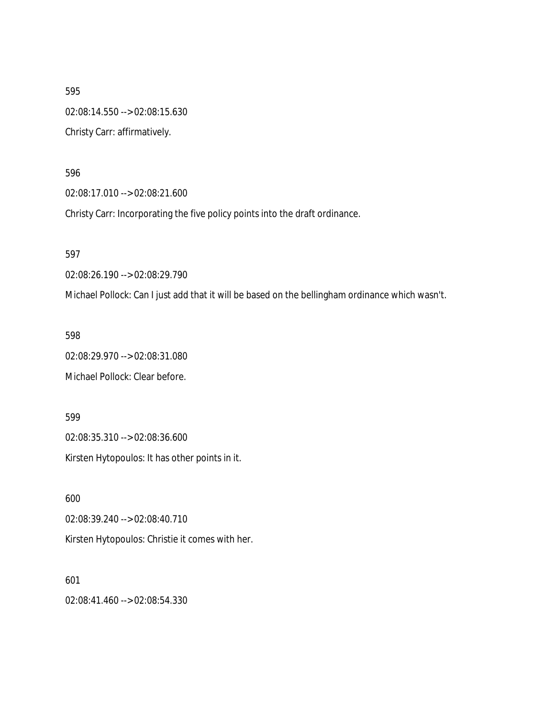595 02:08:14.550 --> 02:08:15.630 Christy Carr: affirmatively.

596

02:08:17.010 --> 02:08:21.600

Christy Carr: Incorporating the five policy points into the draft ordinance.

597

02:08:26.190 --> 02:08:29.790

Michael Pollock: Can I just add that it will be based on the bellingham ordinance which wasn't.

598

02:08:29.970 --> 02:08:31.080 Michael Pollock: Clear before.

599

02:08:35.310 --> 02:08:36.600 Kirsten Hytopoulos: It has other points in it.

600 02:08:39.240 --> 02:08:40.710 Kirsten Hytopoulos: Christie it comes with her.

601 02:08:41.460 --> 02:08:54.330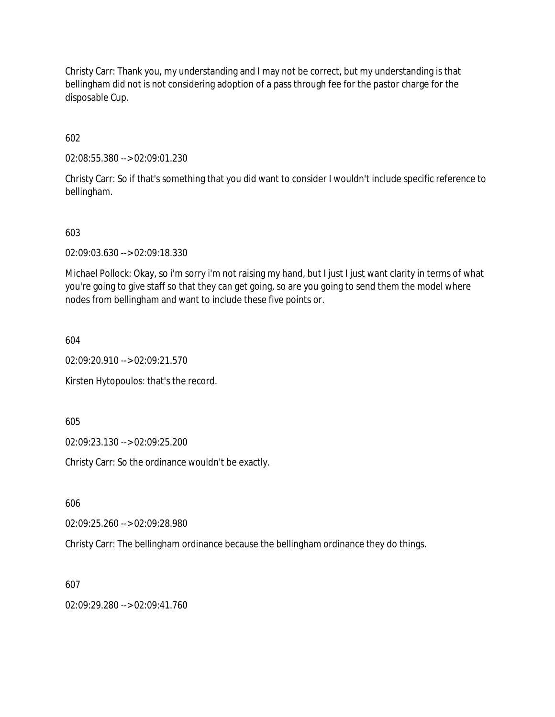Christy Carr: Thank you, my understanding and I may not be correct, but my understanding is that bellingham did not is not considering adoption of a pass through fee for the pastor charge for the disposable Cup.

602

02:08:55.380 --> 02:09:01.230

Christy Carr: So if that's something that you did want to consider I wouldn't include specific reference to bellingham.

603

02:09:03.630 --> 02:09:18.330

Michael Pollock: Okay, so i'm sorry i'm not raising my hand, but I just I just want clarity in terms of what you're going to give staff so that they can get going, so are you going to send them the model where nodes from bellingham and want to include these five points or.

604

02:09:20.910 --> 02:09:21.570

Kirsten Hytopoulos: that's the record.

605

02:09:23.130 --> 02:09:25.200

Christy Carr: So the ordinance wouldn't be exactly.

606

02:09:25.260 --> 02:09:28.980

Christy Carr: The bellingham ordinance because the bellingham ordinance they do things.

607

02:09:29.280 --> 02:09:41.760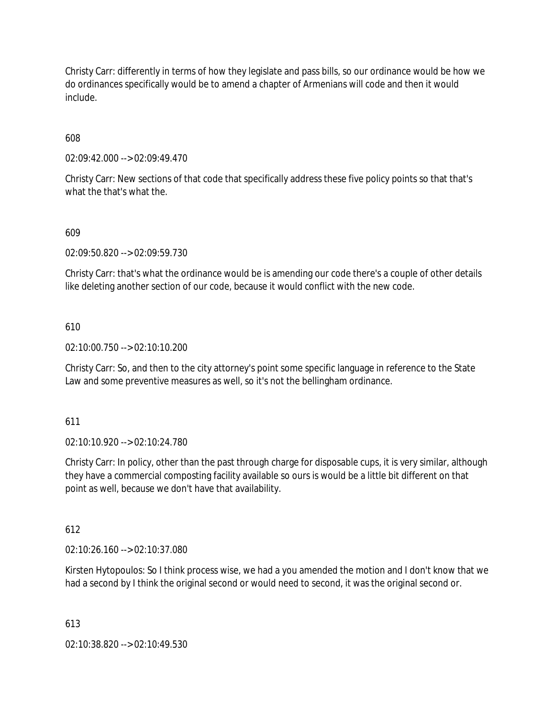Christy Carr: differently in terms of how they legislate and pass bills, so our ordinance would be how we do ordinances specifically would be to amend a chapter of Armenians will code and then it would include.

608

02:09:42.000 --> 02:09:49.470

Christy Carr: New sections of that code that specifically address these five policy points so that that's what the that's what the.

### 609

02:09:50.820 --> 02:09:59.730

Christy Carr: that's what the ordinance would be is amending our code there's a couple of other details like deleting another section of our code, because it would conflict with the new code.

### 610

02:10:00.750 --> 02:10:10.200

Christy Carr: So, and then to the city attorney's point some specific language in reference to the State Law and some preventive measures as well, so it's not the bellingham ordinance.

611

02:10:10.920 --> 02:10:24.780

Christy Carr: In policy, other than the past through charge for disposable cups, it is very similar, although they have a commercial composting facility available so ours is would be a little bit different on that point as well, because we don't have that availability.

612

02:10:26.160 --> 02:10:37.080

Kirsten Hytopoulos: So I think process wise, we had a you amended the motion and I don't know that we had a second by I think the original second or would need to second, it was the original second or.

613

02:10:38.820 --> 02:10:49.530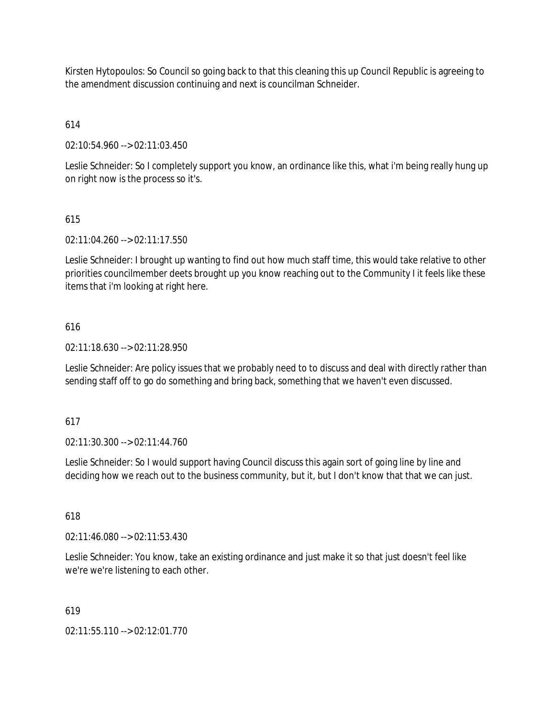Kirsten Hytopoulos: So Council so going back to that this cleaning this up Council Republic is agreeing to the amendment discussion continuing and next is councilman Schneider.

# 614

02:10:54.960 --> 02:11:03.450

Leslie Schneider: So I completely support you know, an ordinance like this, what i'm being really hung up on right now is the process so it's.

## 615

02:11:04.260 --> 02:11:17.550

Leslie Schneider: I brought up wanting to find out how much staff time, this would take relative to other priorities councilmember deets brought up you know reaching out to the Community I it feels like these items that i'm looking at right here.

## 616

02:11:18.630 --> 02:11:28.950

Leslie Schneider: Are policy issues that we probably need to to discuss and deal with directly rather than sending staff off to go do something and bring back, something that we haven't even discussed.

### 617

02:11:30.300 --> 02:11:44.760

Leslie Schneider: So I would support having Council discuss this again sort of going line by line and deciding how we reach out to the business community, but it, but I don't know that that we can just.

### 618

02:11:46.080 --> 02:11:53.430

Leslie Schneider: You know, take an existing ordinance and just make it so that just doesn't feel like we're we're listening to each other.

### 619

02:11:55.110 --> 02:12:01.770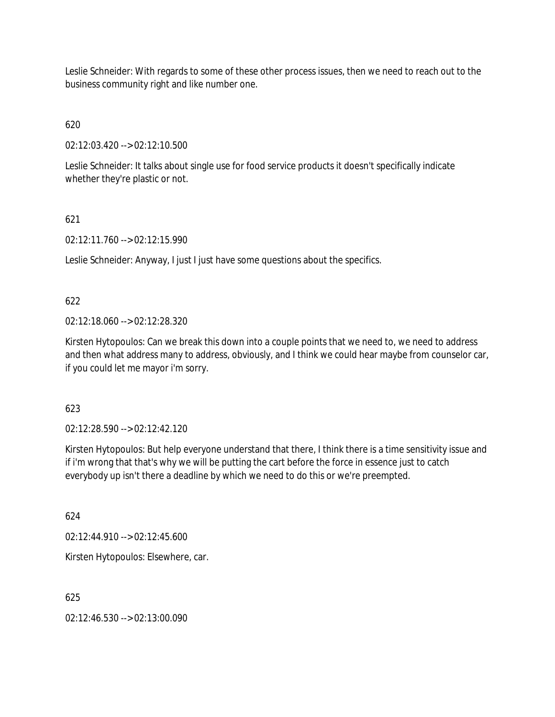Leslie Schneider: With regards to some of these other process issues, then we need to reach out to the business community right and like number one.

# 620

02:12:03.420 --> 02:12:10.500

Leslie Schneider: It talks about single use for food service products it doesn't specifically indicate whether they're plastic or not.

## 621

02:12:11.760 --> 02:12:15.990

Leslie Schneider: Anyway, I just I just have some questions about the specifics.

## 622

02:12:18.060 --> 02:12:28.320

Kirsten Hytopoulos: Can we break this down into a couple points that we need to, we need to address and then what address many to address, obviously, and I think we could hear maybe from counselor car, if you could let me mayor i'm sorry.

## 623

02:12:28.590 --> 02:12:42.120

Kirsten Hytopoulos: But help everyone understand that there, I think there is a time sensitivity issue and if i'm wrong that that's why we will be putting the cart before the force in essence just to catch everybody up isn't there a deadline by which we need to do this or we're preempted.

624

02:12:44.910 --> 02:12:45.600

Kirsten Hytopoulos: Elsewhere, car.

625

02:12:46.530 --> 02:13:00.090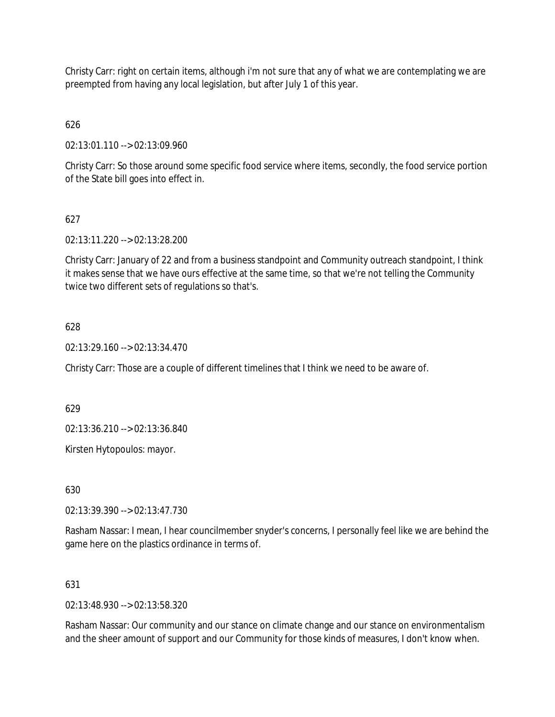Christy Carr: right on certain items, although i'm not sure that any of what we are contemplating we are preempted from having any local legislation, but after July 1 of this year.

# 626

02:13:01.110 --> 02:13:09.960

Christy Carr: So those around some specific food service where items, secondly, the food service portion of the State bill goes into effect in.

## 627

02:13:11.220 --> 02:13:28.200

Christy Carr: January of 22 and from a business standpoint and Community outreach standpoint, I think it makes sense that we have ours effective at the same time, so that we're not telling the Community twice two different sets of regulations so that's.

### 628

02:13:29.160 --> 02:13:34.470

Christy Carr: Those are a couple of different timelines that I think we need to be aware of.

629

02:13:36.210 --> 02:13:36.840

Kirsten Hytopoulos: mayor.

630

02:13:39.390 --> 02:13:47.730

Rasham Nassar: I mean, I hear councilmember snyder's concerns, I personally feel like we are behind the game here on the plastics ordinance in terms of.

### 631

02:13:48.930 --> 02:13:58.320

Rasham Nassar: Our community and our stance on climate change and our stance on environmentalism and the sheer amount of support and our Community for those kinds of measures, I don't know when.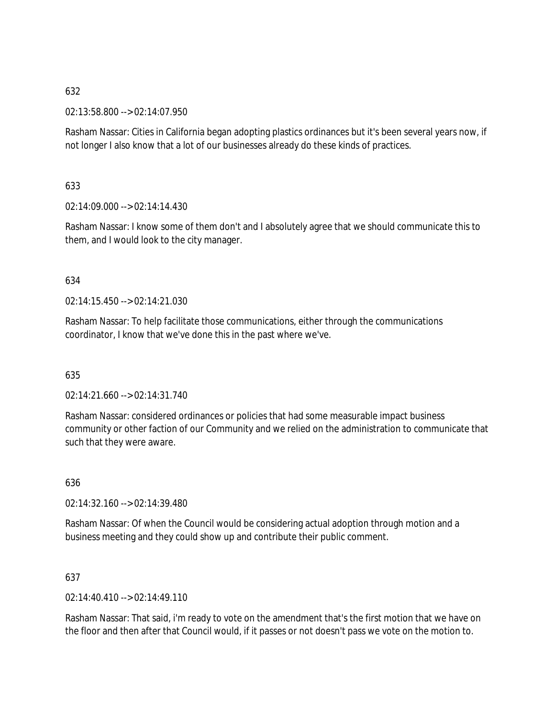02:13:58.800 --> 02:14:07.950

Rasham Nassar: Cities in California began adopting plastics ordinances but it's been several years now, if not longer I also know that a lot of our businesses already do these kinds of practices.

### 633

02:14:09.000 --> 02:14:14.430

Rasham Nassar: I know some of them don't and I absolutely agree that we should communicate this to them, and I would look to the city manager.

### 634

 $02.14.15$  450 -->  $02.14.21$  030

Rasham Nassar: To help facilitate those communications, either through the communications coordinator, I know that we've done this in the past where we've.

### 635

02:14:21.660 --> 02:14:31.740

Rasham Nassar: considered ordinances or policies that had some measurable impact business community or other faction of our Community and we relied on the administration to communicate that such that they were aware.

### 636

02:14:32.160 --> 02:14:39.480

Rasham Nassar: Of when the Council would be considering actual adoption through motion and a business meeting and they could show up and contribute their public comment.

### 637

02:14:40.410 --> 02:14:49.110

Rasham Nassar: That said, i'm ready to vote on the amendment that's the first motion that we have on the floor and then after that Council would, if it passes or not doesn't pass we vote on the motion to.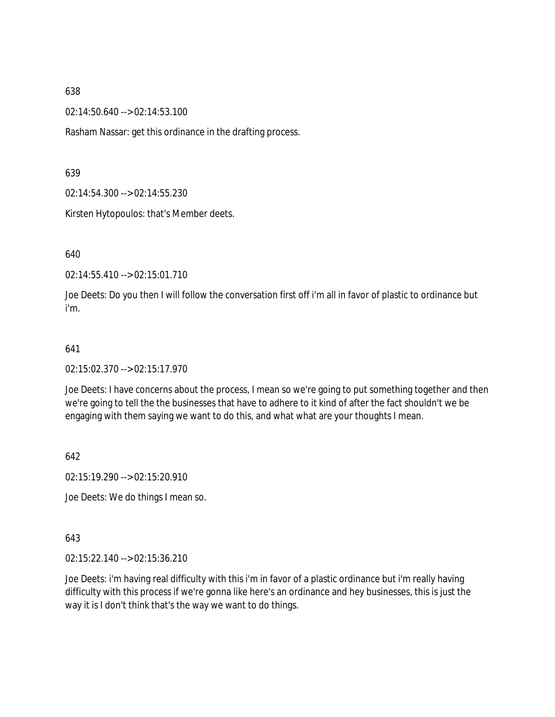02:14:50.640 --> 02:14:53.100

Rasham Nassar: get this ordinance in the drafting process.

639

02:14:54.300 --> 02:14:55.230

Kirsten Hytopoulos: that's Member deets.

640

02:14:55.410 --> 02:15:01.710

Joe Deets: Do you then I will follow the conversation first off i'm all in favor of plastic to ordinance but i'm.

#### 641

02:15:02.370 --> 02:15:17.970

Joe Deets: I have concerns about the process, I mean so we're going to put something together and then we're going to tell the the businesses that have to adhere to it kind of after the fact shouldn't we be engaging with them saying we want to do this, and what what are your thoughts I mean.

642

02:15:19.290 --> 02:15:20.910

Joe Deets: We do things I mean so.

643

02:15:22.140 --> 02:15:36.210

Joe Deets: i'm having real difficulty with this i'm in favor of a plastic ordinance but i'm really having difficulty with this process if we're gonna like here's an ordinance and hey businesses, this is just the way it is I don't think that's the way we want to do things.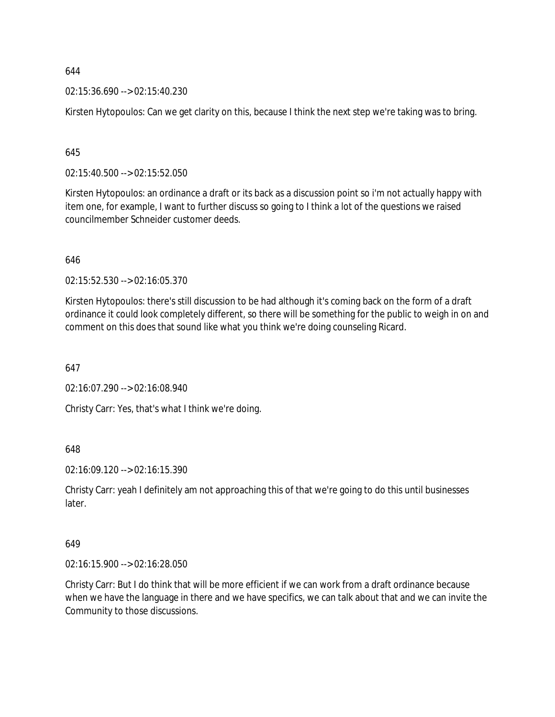02:15:36.690 --> 02:15:40.230

Kirsten Hytopoulos: Can we get clarity on this, because I think the next step we're taking was to bring.

### 645

02:15:40.500 --> 02:15:52.050

Kirsten Hytopoulos: an ordinance a draft or its back as a discussion point so i'm not actually happy with item one, for example, I want to further discuss so going to I think a lot of the questions we raised councilmember Schneider customer deeds.

646

02:15:52.530 --> 02:16:05.370

Kirsten Hytopoulos: there's still discussion to be had although it's coming back on the form of a draft ordinance it could look completely different, so there will be something for the public to weigh in on and comment on this does that sound like what you think we're doing counseling Ricard.

647

02:16:07.290 --> 02:16:08.940

Christy Carr: Yes, that's what I think we're doing.

648

02:16:09.120 --> 02:16:15.390

Christy Carr: yeah I definitely am not approaching this of that we're going to do this until businesses later.

### 649

02:16:15.900 --> 02:16:28.050

Christy Carr: But I do think that will be more efficient if we can work from a draft ordinance because when we have the language in there and we have specifics, we can talk about that and we can invite the Community to those discussions.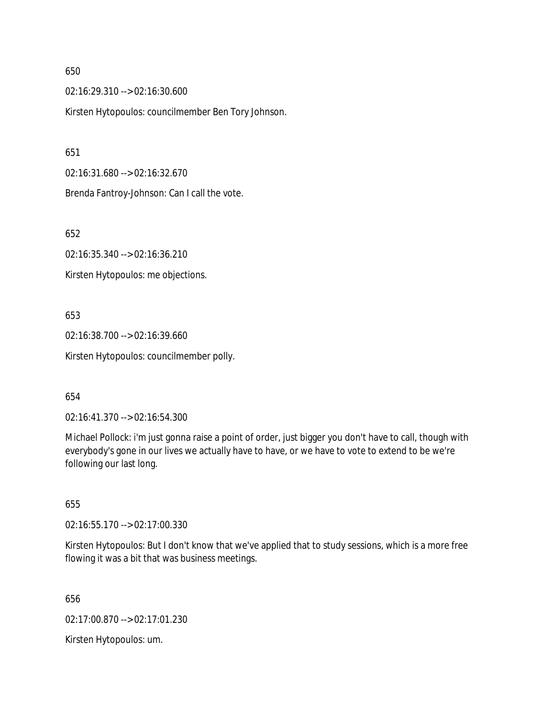02:16:29.310 --> 02:16:30.600

Kirsten Hytopoulos: councilmember Ben Tory Johnson.

651

02:16:31.680 --> 02:16:32.670

Brenda Fantroy-Johnson: Can I call the vote.

652

02:16:35.340 --> 02:16:36.210

Kirsten Hytopoulos: me objections.

653

02:16:38.700 --> 02:16:39.660 Kirsten Hytopoulos: councilmember polly.

654

02:16:41.370 --> 02:16:54.300

Michael Pollock: i'm just gonna raise a point of order, just bigger you don't have to call, though with everybody's gone in our lives we actually have to have, or we have to vote to extend to be we're following our last long.

655

02:16:55.170 --> 02:17:00.330

Kirsten Hytopoulos: But I don't know that we've applied that to study sessions, which is a more free flowing it was a bit that was business meetings.

656

02:17:00.870 --> 02:17:01.230

Kirsten Hytopoulos: um.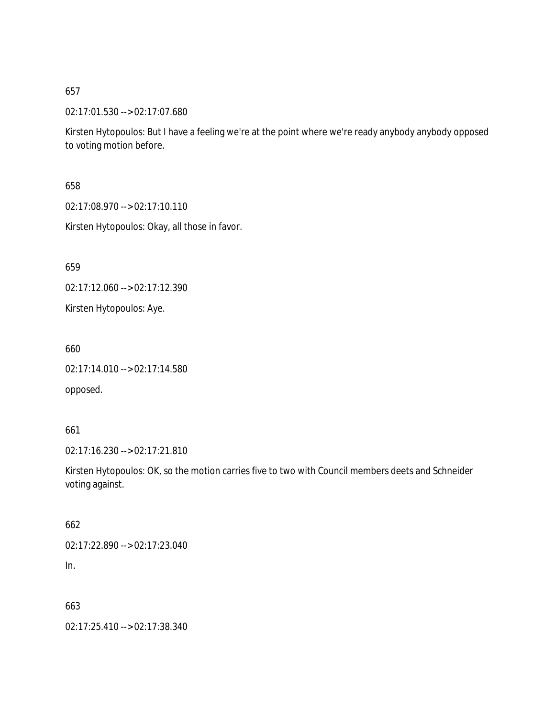02:17:01.530 --> 02:17:07.680

Kirsten Hytopoulos: But I have a feeling we're at the point where we're ready anybody anybody opposed to voting motion before.

658

02:17:08.970 --> 02:17:10.110

Kirsten Hytopoulos: Okay, all those in favor.

659

02:17:12.060 --> 02:17:12.390

Kirsten Hytopoulos: Aye.

660

02:17:14.010 --> 02:17:14.580

opposed.

661

02:17:16.230 --> 02:17:21.810

Kirsten Hytopoulos: OK, so the motion carries five to two with Council members deets and Schneider voting against.

662

02:17:22.890 --> 02:17:23.040

In.

663

02:17:25.410 --> 02:17:38.340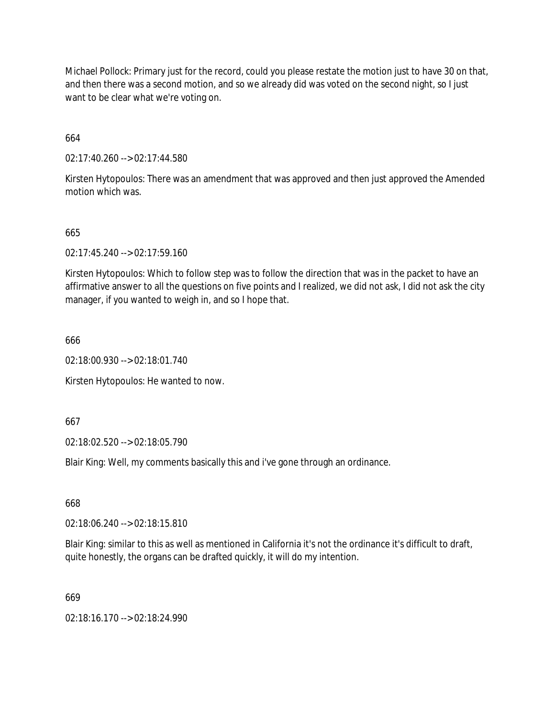Michael Pollock: Primary just for the record, could you please restate the motion just to have 30 on that, and then there was a second motion, and so we already did was voted on the second night, so I just want to be clear what we're voting on.

664

02:17:40.260 --> 02:17:44.580

Kirsten Hytopoulos: There was an amendment that was approved and then just approved the Amended motion which was.

### 665

02:17:45.240 --> 02:17:59.160

Kirsten Hytopoulos: Which to follow step was to follow the direction that was in the packet to have an affirmative answer to all the questions on five points and I realized, we did not ask, I did not ask the city manager, if you wanted to weigh in, and so I hope that.

666

02:18:00.930 --> 02:18:01.740

Kirsten Hytopoulos: He wanted to now.

667

02:18:02.520 --> 02:18:05.790

Blair King: Well, my comments basically this and i've gone through an ordinance.

668

02:18:06.240 --> 02:18:15.810

Blair King: similar to this as well as mentioned in California it's not the ordinance it's difficult to draft, quite honestly, the organs can be drafted quickly, it will do my intention.

669

02:18:16.170 --> 02:18:24.990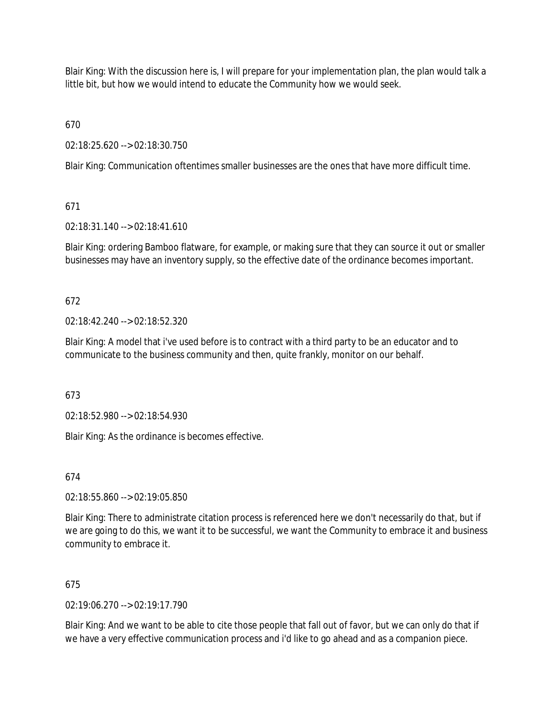Blair King: With the discussion here is, I will prepare for your implementation plan, the plan would talk a little bit, but how we would intend to educate the Community how we would seek.

670

02:18:25.620 --> 02:18:30.750

Blair King: Communication oftentimes smaller businesses are the ones that have more difficult time.

## 671

02:18:31.140 --> 02:18:41.610

Blair King: ordering Bamboo flatware, for example, or making sure that they can source it out or smaller businesses may have an inventory supply, so the effective date of the ordinance becomes important.

## 672

02:18:42.240 --> 02:18:52.320

Blair King: A model that i've used before is to contract with a third party to be an educator and to communicate to the business community and then, quite frankly, monitor on our behalf.

673

02:18:52.980 --> 02:18:54.930

Blair King: As the ordinance is becomes effective.

674

02:18:55.860 --> 02:19:05.850

Blair King: There to administrate citation process is referenced here we don't necessarily do that, but if we are going to do this, we want it to be successful, we want the Community to embrace it and business community to embrace it.

## 675

02:19:06.270 --> 02:19:17.790

Blair King: And we want to be able to cite those people that fall out of favor, but we can only do that if we have a very effective communication process and i'd like to go ahead and as a companion piece.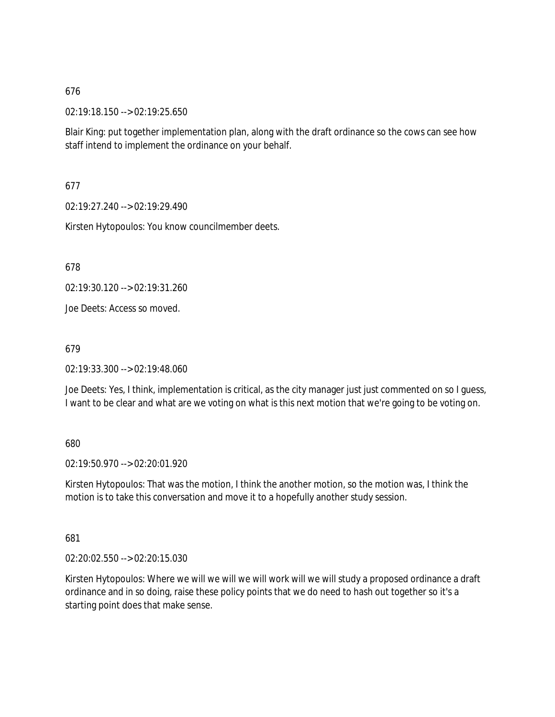02:19:18.150 --> 02:19:25.650

Blair King: put together implementation plan, along with the draft ordinance so the cows can see how staff intend to implement the ordinance on your behalf.

677

02:19:27.240 --> 02:19:29.490

Kirsten Hytopoulos: You know councilmember deets.

678

02:19:30.120 --> 02:19:31.260

Joe Deets: Access so moved.

679

02:19:33.300 --> 02:19:48.060

Joe Deets: Yes, I think, implementation is critical, as the city manager just just commented on so I guess, I want to be clear and what are we voting on what is this next motion that we're going to be voting on.

680

02:19:50.970 --> 02:20:01.920

Kirsten Hytopoulos: That was the motion, I think the another motion, so the motion was, I think the motion is to take this conversation and move it to a hopefully another study session.

681

02:20:02.550 --> 02:20:15.030

Kirsten Hytopoulos: Where we will we will we will work will we will study a proposed ordinance a draft ordinance and in so doing, raise these policy points that we do need to hash out together so it's a starting point does that make sense.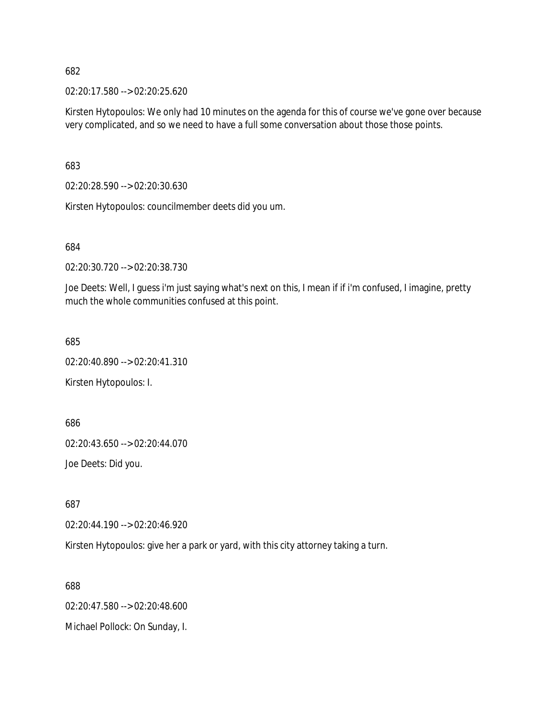02:20:17.580 --> 02:20:25.620

Kirsten Hytopoulos: We only had 10 minutes on the agenda for this of course we've gone over because very complicated, and so we need to have a full some conversation about those those points.

683

02:20:28.590 --> 02:20:30.630

Kirsten Hytopoulos: councilmember deets did you um.

684

02:20:30.720 --> 02:20:38.730

Joe Deets: Well, I guess i'm just saying what's next on this, I mean if if i'm confused, I imagine, pretty much the whole communities confused at this point.

685

02:20:40.890 --> 02:20:41.310

Kirsten Hytopoulos: I.

686

02:20:43.650 --> 02:20:44.070

Joe Deets: Did you.

687

02:20:44.190 --> 02:20:46.920

Kirsten Hytopoulos: give her a park or yard, with this city attorney taking a turn.

688

02:20:47.580 --> 02:20:48.600

Michael Pollock: On Sunday, I.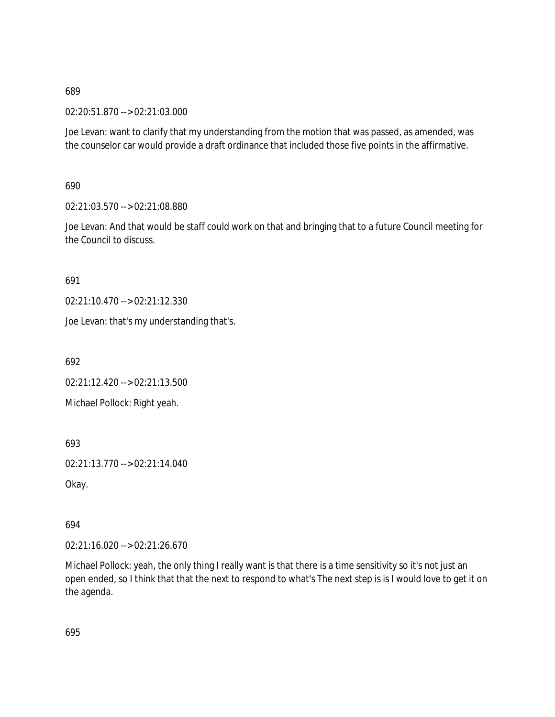02:20:51.870 --> 02:21:03.000

Joe Levan: want to clarify that my understanding from the motion that was passed, as amended, was the counselor car would provide a draft ordinance that included those five points in the affirmative.

690

02:21:03.570 --> 02:21:08.880

Joe Levan: And that would be staff could work on that and bringing that to a future Council meeting for the Council to discuss.

691

02:21:10.470 --> 02:21:12.330

Joe Levan: that's my understanding that's.

692

02:21:12.420 --> 02:21:13.500

Michael Pollock: Right yeah.

693

02:21:13.770 --> 02:21:14.040

Okay.

694

02:21:16.020 --> 02:21:26.670

Michael Pollock: yeah, the only thing I really want is that there is a time sensitivity so it's not just an open ended, so I think that that the next to respond to what's The next step is is I would love to get it on the agenda.

695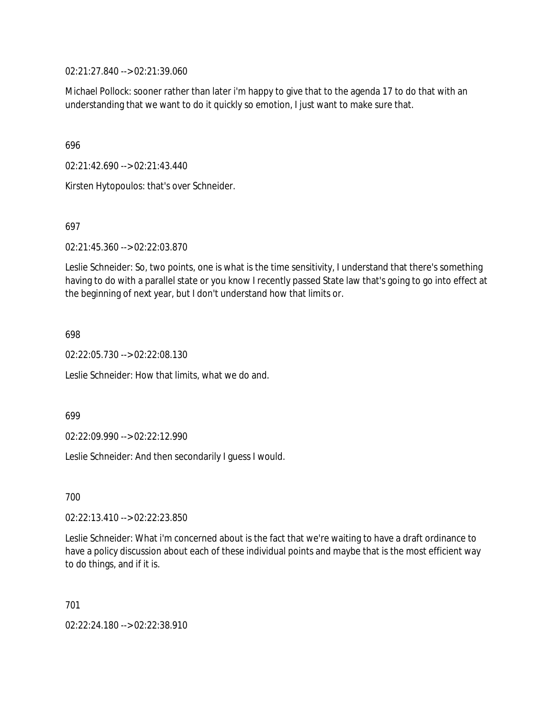02:21:27.840 --> 02:21:39.060

Michael Pollock: sooner rather than later i'm happy to give that to the agenda 17 to do that with an understanding that we want to do it quickly so emotion, I just want to make sure that.

696

02:21:42.690 --> 02:21:43.440

Kirsten Hytopoulos: that's over Schneider.

697

02:21:45.360 --> 02:22:03.870

Leslie Schneider: So, two points, one is what is the time sensitivity, I understand that there's something having to do with a parallel state or you know I recently passed State law that's going to go into effect at the beginning of next year, but I don't understand how that limits or.

698

02:22:05.730 --> 02:22:08.130

Leslie Schneider: How that limits, what we do and.

699

02:22:09.990 --> 02:22:12.990

Leslie Schneider: And then secondarily I guess I would.

700

02:22:13.410 --> 02:22:23.850

Leslie Schneider: What i'm concerned about is the fact that we're waiting to have a draft ordinance to have a policy discussion about each of these individual points and maybe that is the most efficient way to do things, and if it is.

701

02:22:24.180 --> 02:22:38.910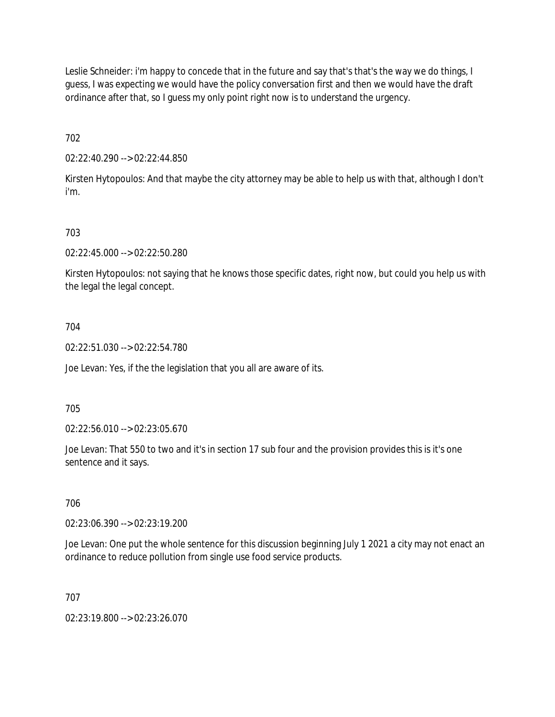Leslie Schneider: i'm happy to concede that in the future and say that's that's the way we do things, I guess, I was expecting we would have the policy conversation first and then we would have the draft ordinance after that, so I guess my only point right now is to understand the urgency.

702

02:22:40.290 --> 02:22:44.850

Kirsten Hytopoulos: And that maybe the city attorney may be able to help us with that, although I don't i'm.

# 703

02:22:45.000 --> 02:22:50.280

Kirsten Hytopoulos: not saying that he knows those specific dates, right now, but could you help us with the legal the legal concept.

### 704

02:22:51.030 --> 02:22:54.780

Joe Levan: Yes, if the the legislation that you all are aware of its.

#### 705

02:22:56.010 --> 02:23:05.670

Joe Levan: That 550 to two and it's in section 17 sub four and the provision provides this is it's one sentence and it says.

#### 706

02:23:06.390 --> 02:23:19.200

Joe Levan: One put the whole sentence for this discussion beginning July 1 2021 a city may not enact an ordinance to reduce pollution from single use food service products.

#### 707

02:23:19.800 --> 02:23:26.070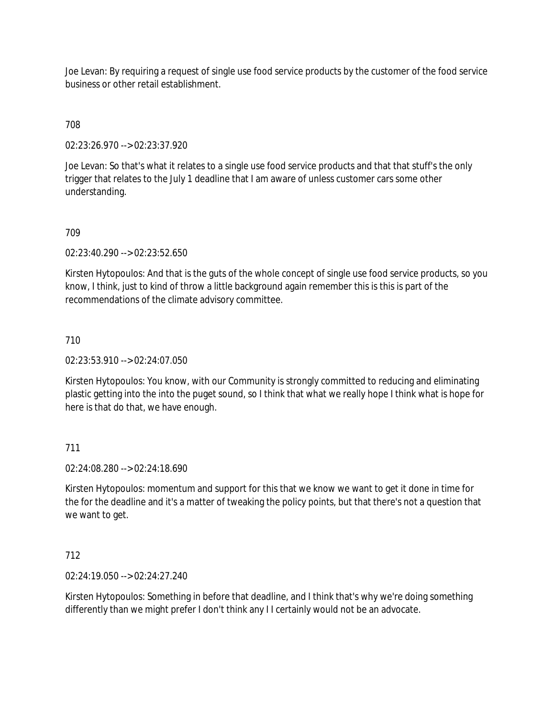Joe Levan: By requiring a request of single use food service products by the customer of the food service business or other retail establishment.

### 708

02:23:26.970 --> 02:23:37.920

Joe Levan: So that's what it relates to a single use food service products and that that stuff's the only trigger that relates to the July 1 deadline that I am aware of unless customer cars some other understanding.

#### 709

02:23:40.290 --> 02:23:52.650

Kirsten Hytopoulos: And that is the guts of the whole concept of single use food service products, so you know, I think, just to kind of throw a little background again remember this is this is part of the recommendations of the climate advisory committee.

#### 710

#### 02:23:53.910 --> 02:24:07.050

Kirsten Hytopoulos: You know, with our Community is strongly committed to reducing and eliminating plastic getting into the into the puget sound, so I think that what we really hope I think what is hope for here is that do that, we have enough.

#### 711

02:24:08.280 --> 02:24:18.690

Kirsten Hytopoulos: momentum and support for this that we know we want to get it done in time for the for the deadline and it's a matter of tweaking the policy points, but that there's not a question that we want to get.

#### 712

02:24:19.050 --> 02:24:27.240

Kirsten Hytopoulos: Something in before that deadline, and I think that's why we're doing something differently than we might prefer I don't think any I I certainly would not be an advocate.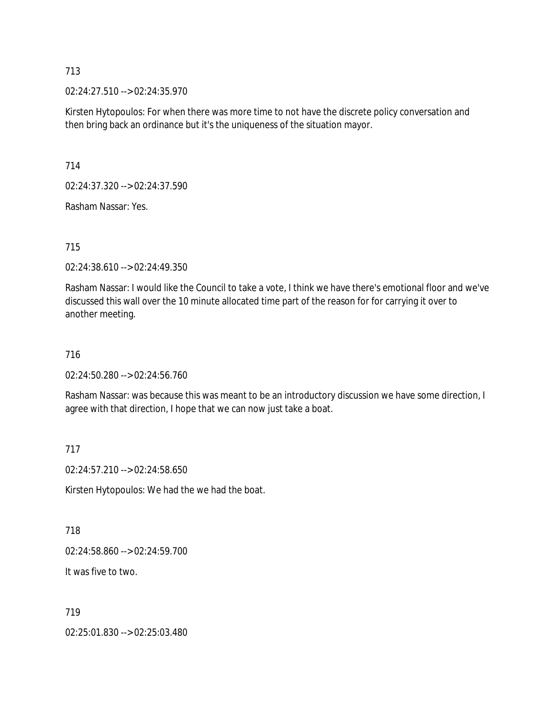02:24:27.510 --> 02:24:35.970

Kirsten Hytopoulos: For when there was more time to not have the discrete policy conversation and then bring back an ordinance but it's the uniqueness of the situation mayor.

714

02:24:37.320 --> 02:24:37.590

Rasham Nassar: Yes.

#### 715

02:24:38.610 --> 02:24:49.350

Rasham Nassar: I would like the Council to take a vote, I think we have there's emotional floor and we've discussed this wall over the 10 minute allocated time part of the reason for for carrying it over to another meeting.

#### 716

02:24:50.280 --> 02:24:56.760

Rasham Nassar: was because this was meant to be an introductory discussion we have some direction, I agree with that direction, I hope that we can now just take a boat.

#### 717

02:24:57.210 --> 02:24:58.650

Kirsten Hytopoulos: We had the we had the boat.

#### 718

02:24:58.860 --> 02:24:59.700

It was five to two.

#### 719

02:25:01.830 --> 02:25:03.480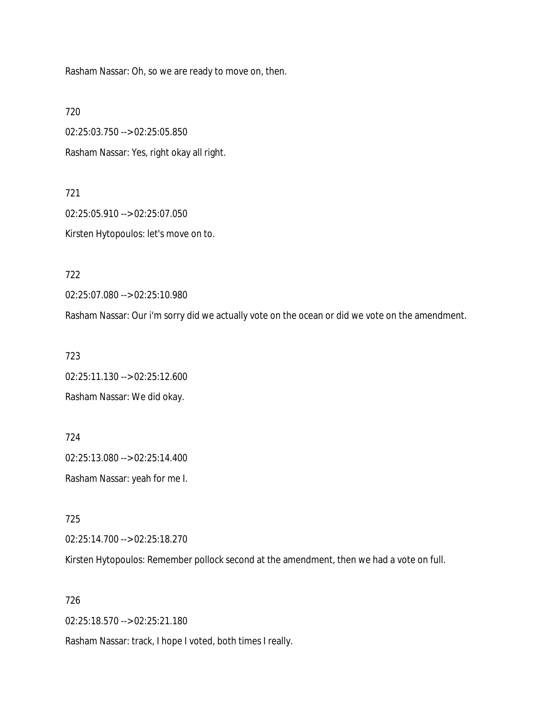Rasham Nassar: Oh, so we are ready to move on, then.

720

02:25:03.750 --> 02:25:05.850 Rasham Nassar: Yes, right okay all right.

721 02:25:05.910 --> 02:25:07.050 Kirsten Hytopoulos: let's move on to.

722

02:25:07.080 --> 02:25:10.980

Rasham Nassar: Our i'm sorry did we actually vote on the ocean or did we vote on the amendment.

723

02:25:11.130 --> 02:25:12.600 Rasham Nassar: We did okay.

724 02:25:13.080 --> 02:25:14.400 Rasham Nassar: yeah for me I.

725

02:25:14.700 --> 02:25:18.270

Kirsten Hytopoulos: Remember pollock second at the amendment, then we had a vote on full.

726

02:25:18.570 --> 02:25:21.180

Rasham Nassar: track, I hope I voted, both times I really.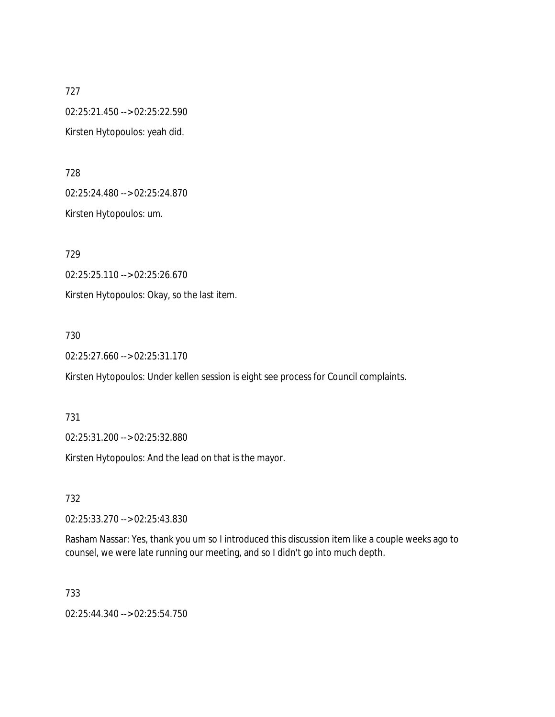727 02:25:21.450 --> 02:25:22.590 Kirsten Hytopoulos: yeah did.

728 02:25:24.480 --> 02:25:24.870 Kirsten Hytopoulos: um.

729 02:25:25.110 --> 02:25:26.670 Kirsten Hytopoulos: Okay, so the last item.

730

02:25:27.660 --> 02:25:31.170

Kirsten Hytopoulos: Under kellen session is eight see process for Council complaints.

731

02:25:31.200 --> 02:25:32.880

Kirsten Hytopoulos: And the lead on that is the mayor.

732

02:25:33.270 --> 02:25:43.830

Rasham Nassar: Yes, thank you um so I introduced this discussion item like a couple weeks ago to counsel, we were late running our meeting, and so I didn't go into much depth.

733

02:25:44.340 --> 02:25:54.750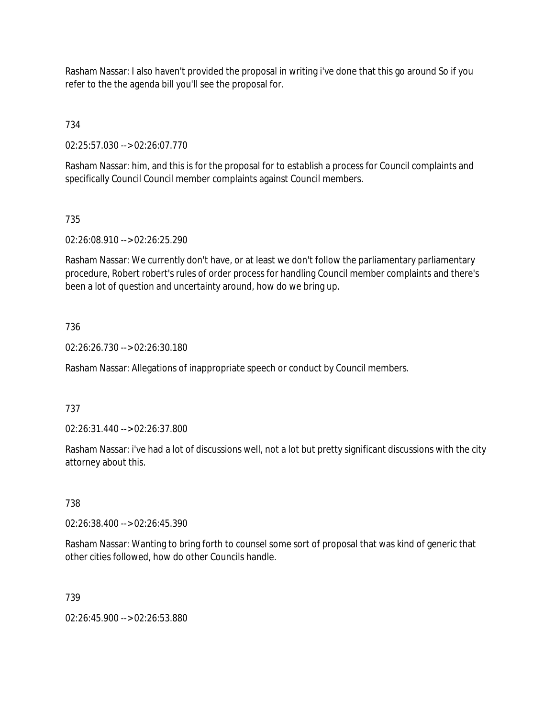Rasham Nassar: I also haven't provided the proposal in writing i've done that this go around So if you refer to the the agenda bill you'll see the proposal for.

734

02:25:57.030 --> 02:26:07.770

Rasham Nassar: him, and this is for the proposal for to establish a process for Council complaints and specifically Council Council member complaints against Council members.

# 735

02:26:08.910 --> 02:26:25.290

Rasham Nassar: We currently don't have, or at least we don't follow the parliamentary parliamentary procedure, Robert robert's rules of order process for handling Council member complaints and there's been a lot of question and uncertainty around, how do we bring up.

### 736

02:26:26.730 --> 02:26:30.180

Rasham Nassar: Allegations of inappropriate speech or conduct by Council members.

#### 737

02:26:31.440 --> 02:26:37.800

Rasham Nassar: i've had a lot of discussions well, not a lot but pretty significant discussions with the city attorney about this.

#### 738

02:26:38.400 --> 02:26:45.390

Rasham Nassar: Wanting to bring forth to counsel some sort of proposal that was kind of generic that other cities followed, how do other Councils handle.

#### 739

02:26:45.900 --> 02:26:53.880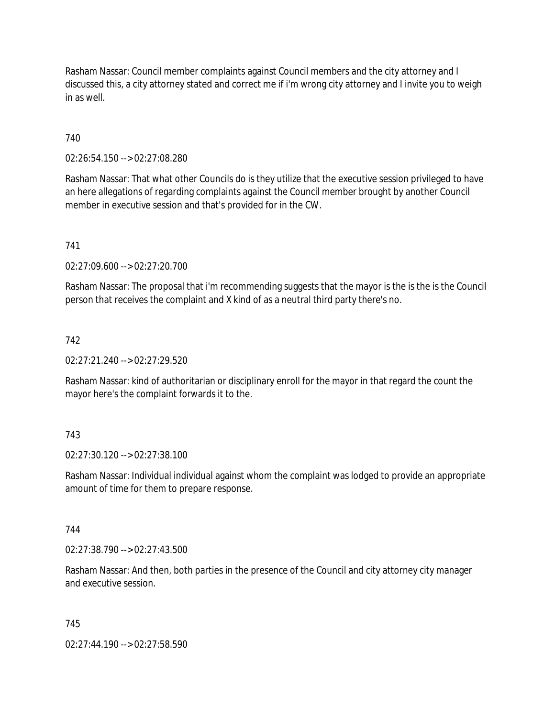Rasham Nassar: Council member complaints against Council members and the city attorney and I discussed this, a city attorney stated and correct me if i'm wrong city attorney and I invite you to weigh in as well.

# 740

02:26:54.150 --> 02:27:08.280

Rasham Nassar: That what other Councils do is they utilize that the executive session privileged to have an here allegations of regarding complaints against the Council member brought by another Council member in executive session and that's provided for in the CW.

741

02:27:09.600 --> 02:27:20.700

Rasham Nassar: The proposal that i'm recommending suggests that the mayor is the is the is the Council person that receives the complaint and X kind of as a neutral third party there's no.

### 742

 $02.27.21.240 - 02.27.29.520$ 

Rasham Nassar: kind of authoritarian or disciplinary enroll for the mayor in that regard the count the mayor here's the complaint forwards it to the.

# 743

02:27:30.120 --> 02:27:38.100

Rasham Nassar: Individual individual against whom the complaint was lodged to provide an appropriate amount of time for them to prepare response.

#### 744

02:27:38.790 --> 02:27:43.500

Rasham Nassar: And then, both parties in the presence of the Council and city attorney city manager and executive session.

#### 745

02:27:44.190 --> 02:27:58.590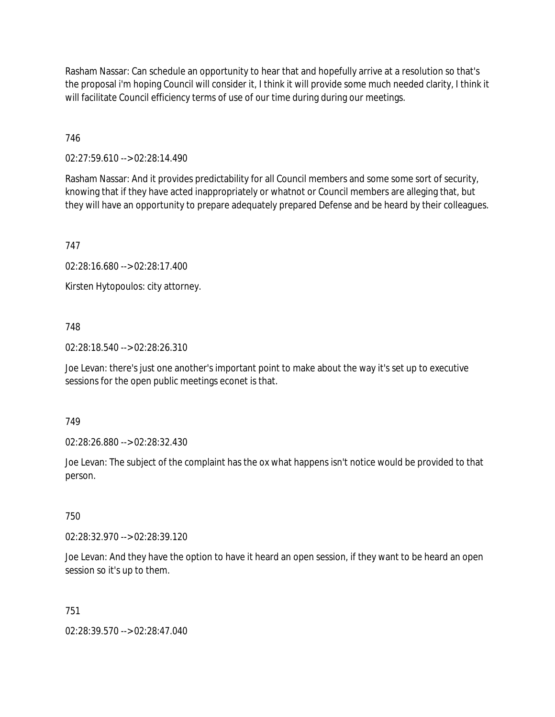Rasham Nassar: Can schedule an opportunity to hear that and hopefully arrive at a resolution so that's the proposal i'm hoping Council will consider it, I think it will provide some much needed clarity, I think it will facilitate Council efficiency terms of use of our time during during our meetings.

746

02:27:59.610 --> 02:28:14.490

Rasham Nassar: And it provides predictability for all Council members and some some sort of security, knowing that if they have acted inappropriately or whatnot or Council members are alleging that, but they will have an opportunity to prepare adequately prepared Defense and be heard by their colleagues.

747

02:28:16.680 --> 02:28:17.400

Kirsten Hytopoulos: city attorney.

748

02:28:18.540 --> 02:28:26.310

Joe Levan: there's just one another's important point to make about the way it's set up to executive sessions for the open public meetings econet is that.

749

02:28:26.880 --> 02:28:32.430

Joe Levan: The subject of the complaint has the ox what happens isn't notice would be provided to that person.

750

02:28:32.970 --> 02:28:39.120

Joe Levan: And they have the option to have it heard an open session, if they want to be heard an open session so it's up to them.

751

02:28:39.570 --> 02:28:47.040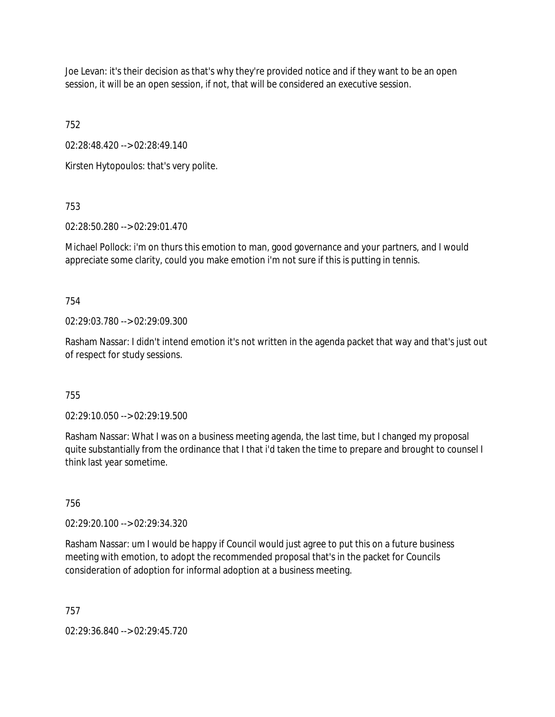Joe Levan: it's their decision as that's why they're provided notice and if they want to be an open session, it will be an open session, if not, that will be considered an executive session.

752

02:28:48.420 --> 02:28:49.140

Kirsten Hytopoulos: that's very polite.

753

02:28:50.280 --> 02:29:01.470

Michael Pollock: i'm on thurs this emotion to man, good governance and your partners, and I would appreciate some clarity, could you make emotion i'm not sure if this is putting in tennis.

754

02:29:03.780 --> 02:29:09.300

Rasham Nassar: I didn't intend emotion it's not written in the agenda packet that way and that's just out of respect for study sessions.

755

02:29:10.050 --> 02:29:19.500

Rasham Nassar: What I was on a business meeting agenda, the last time, but I changed my proposal quite substantially from the ordinance that I that i'd taken the time to prepare and brought to counsel I think last year sometime.

756

02:29:20.100 --> 02:29:34.320

Rasham Nassar: um I would be happy if Council would just agree to put this on a future business meeting with emotion, to adopt the recommended proposal that's in the packet for Councils consideration of adoption for informal adoption at a business meeting.

757

02:29:36.840 --> 02:29:45.720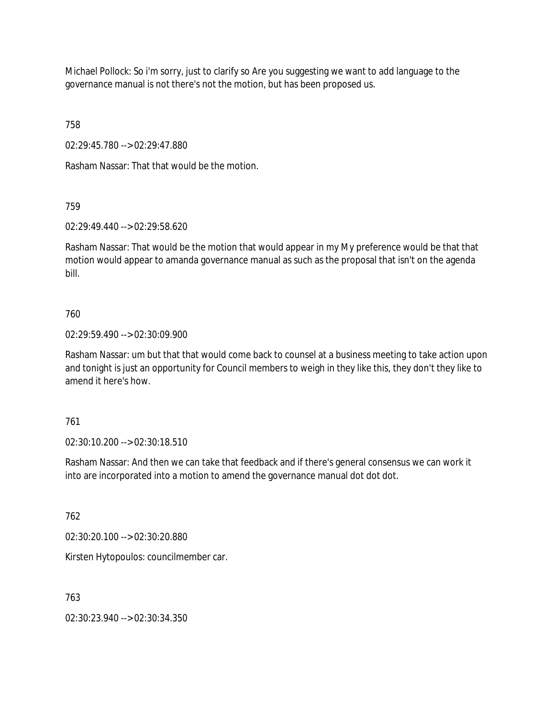Michael Pollock: So i'm sorry, just to clarify so Are you suggesting we want to add language to the governance manual is not there's not the motion, but has been proposed us.

758

02:29:45.780 --> 02:29:47.880

Rasham Nassar: That that would be the motion.

759

02:29:49.440 --> 02:29:58.620

Rasham Nassar: That would be the motion that would appear in my My preference would be that that motion would appear to amanda governance manual as such as the proposal that isn't on the agenda bill.

# 760

02:29:59.490 --> 02:30:09.900

Rasham Nassar: um but that that would come back to counsel at a business meeting to take action upon and tonight is just an opportunity for Council members to weigh in they like this, they don't they like to amend it here's how.

# 761

02:30:10.200 --> 02:30:18.510

Rasham Nassar: And then we can take that feedback and if there's general consensus we can work it into are incorporated into a motion to amend the governance manual dot dot dot.

762

02:30:20.100 --> 02:30:20.880

Kirsten Hytopoulos: councilmember car.

763

02:30:23.940 --> 02:30:34.350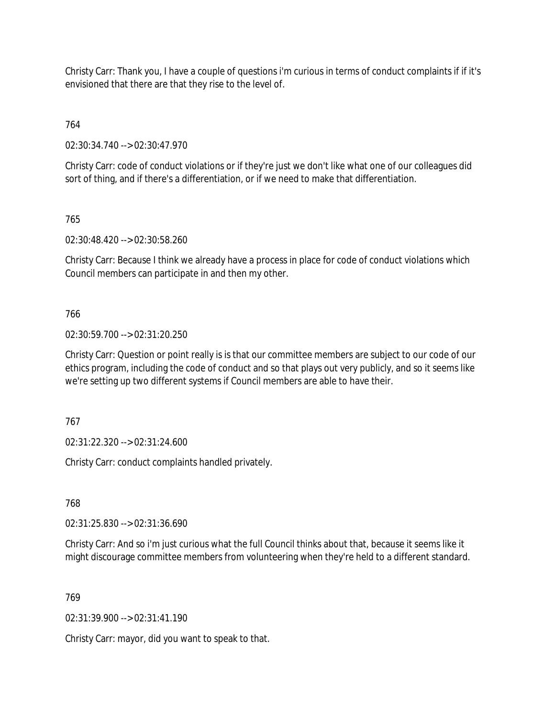Christy Carr: Thank you, I have a couple of questions i'm curious in terms of conduct complaints if if it's envisioned that there are that they rise to the level of.

764

02:30:34.740 --> 02:30:47.970

Christy Carr: code of conduct violations or if they're just we don't like what one of our colleagues did sort of thing, and if there's a differentiation, or if we need to make that differentiation.

765

02:30:48.420 --> 02:30:58.260

Christy Carr: Because I think we already have a process in place for code of conduct violations which Council members can participate in and then my other.

766

02:30:59.700 --> 02:31:20.250

Christy Carr: Question or point really is is that our committee members are subject to our code of our ethics program, including the code of conduct and so that plays out very publicly, and so it seems like we're setting up two different systems if Council members are able to have their.

767

02:31:22.320 --> 02:31:24.600

Christy Carr: conduct complaints handled privately.

768

02:31:25.830 --> 02:31:36.690

Christy Carr: And so i'm just curious what the full Council thinks about that, because it seems like it might discourage committee members from volunteering when they're held to a different standard.

769

02:31:39.900 --> 02:31:41.190

Christy Carr: mayor, did you want to speak to that.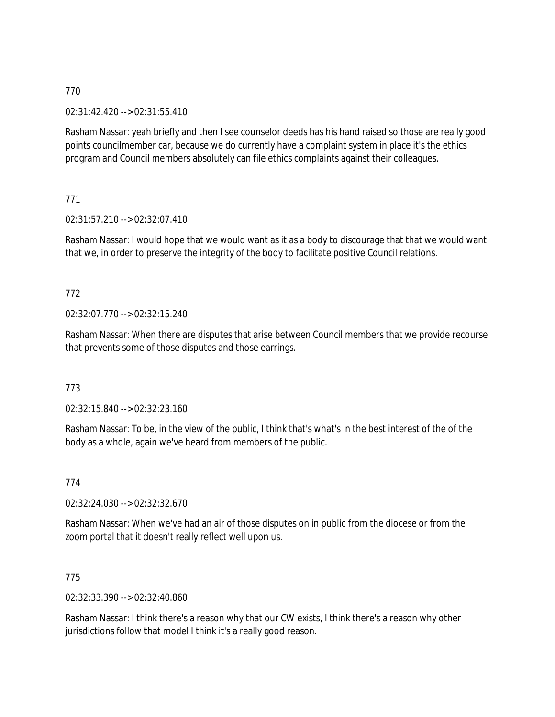02:31:42.420 --> 02:31:55.410

Rasham Nassar: yeah briefly and then I see counselor deeds has his hand raised so those are really good points councilmember car, because we do currently have a complaint system in place it's the ethics program and Council members absolutely can file ethics complaints against their colleagues.

771

02:31:57.210 --> 02:32:07.410

Rasham Nassar: I would hope that we would want as it as a body to discourage that that we would want that we, in order to preserve the integrity of the body to facilitate positive Council relations.

# 772

02:32:07.770 --> 02:32:15.240

Rasham Nassar: When there are disputes that arise between Council members that we provide recourse that prevents some of those disputes and those earrings.

#### 773

02:32:15.840 --> 02:32:23.160

Rasham Nassar: To be, in the view of the public, I think that's what's in the best interest of the of the body as a whole, again we've heard from members of the public.

774

02:32:24.030 --> 02:32:32.670

Rasham Nassar: When we've had an air of those disputes on in public from the diocese or from the zoom portal that it doesn't really reflect well upon us.

#### 775

02:32:33.390 --> 02:32:40.860

Rasham Nassar: I think there's a reason why that our CW exists, I think there's a reason why other jurisdictions follow that model I think it's a really good reason.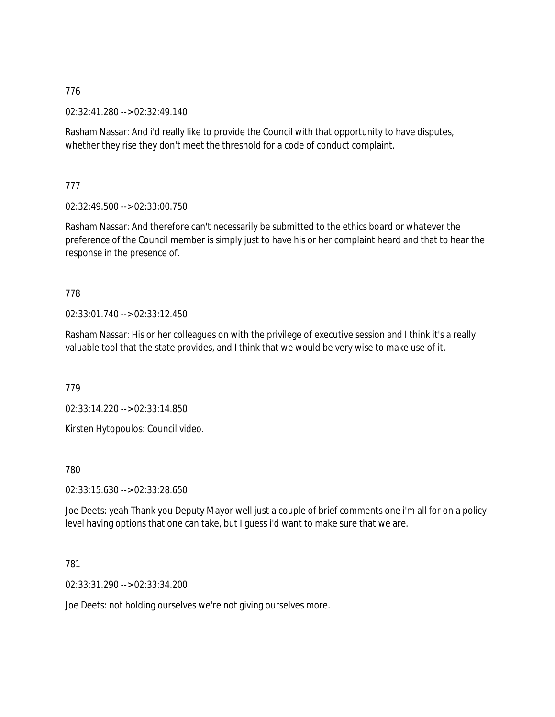02:32:41.280 --> 02:32:49.140

Rasham Nassar: And i'd really like to provide the Council with that opportunity to have disputes, whether they rise they don't meet the threshold for a code of conduct complaint.

777

02:32:49.500 --> 02:33:00.750

Rasham Nassar: And therefore can't necessarily be submitted to the ethics board or whatever the preference of the Council member is simply just to have his or her complaint heard and that to hear the response in the presence of.

### 778

02:33:01.740 --> 02:33:12.450

Rasham Nassar: His or her colleagues on with the privilege of executive session and I think it's a really valuable tool that the state provides, and I think that we would be very wise to make use of it.

779

02:33:14.220 --> 02:33:14.850

Kirsten Hytopoulos: Council video.

780

02:33:15.630 --> 02:33:28.650

Joe Deets: yeah Thank you Deputy Mayor well just a couple of brief comments one i'm all for on a policy level having options that one can take, but I guess i'd want to make sure that we are.

#### 781

02:33:31.290 --> 02:33:34.200

Joe Deets: not holding ourselves we're not giving ourselves more.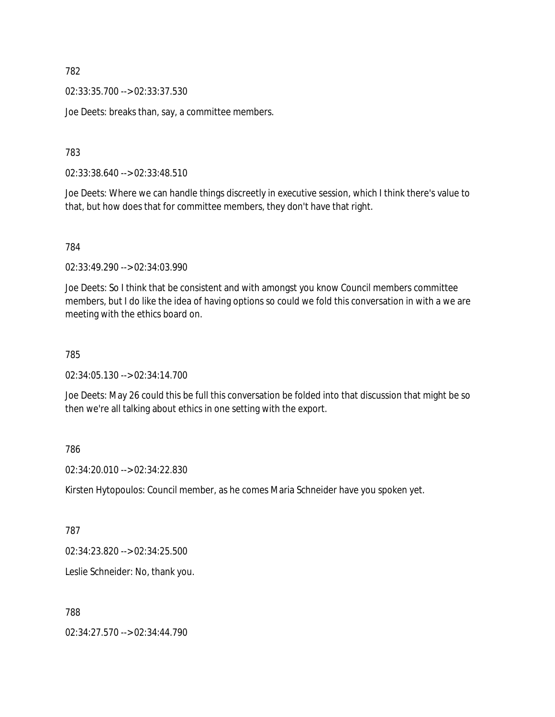02:33:35.700 --> 02:33:37.530

Joe Deets: breaks than, say, a committee members.

783

02:33:38.640 --> 02:33:48.510

Joe Deets: Where we can handle things discreetly in executive session, which I think there's value to that, but how does that for committee members, they don't have that right.

784

02:33:49.290 --> 02:34:03.990

Joe Deets: So I think that be consistent and with amongst you know Council members committee members, but I do like the idea of having options so could we fold this conversation in with a we are meeting with the ethics board on.

785

02:34:05.130 --> 02:34:14.700

Joe Deets: May 26 could this be full this conversation be folded into that discussion that might be so then we're all talking about ethics in one setting with the export.

786

02:34:20.010 --> 02:34:22.830

Kirsten Hytopoulos: Council member, as he comes Maria Schneider have you spoken yet.

787

02:34:23.820 --> 02:34:25.500

Leslie Schneider: No, thank you.

788

02:34:27.570 --> 02:34:44.790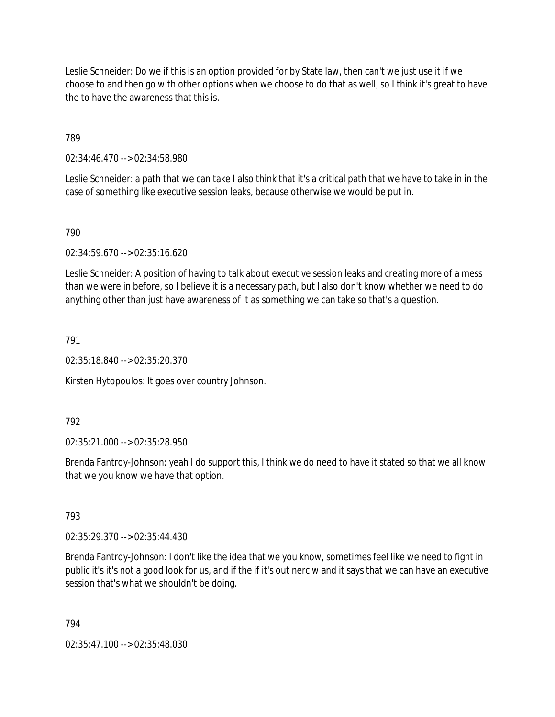Leslie Schneider: Do we if this is an option provided for by State law, then can't we just use it if we choose to and then go with other options when we choose to do that as well, so I think it's great to have the to have the awareness that this is.

789

02:34:46.470 --> 02:34:58.980

Leslie Schneider: a path that we can take I also think that it's a critical path that we have to take in in the case of something like executive session leaks, because otherwise we would be put in.

790

02:34:59.670 --> 02:35:16.620

Leslie Schneider: A position of having to talk about executive session leaks and creating more of a mess than we were in before, so I believe it is a necessary path, but I also don't know whether we need to do anything other than just have awareness of it as something we can take so that's a question.

791

02:35:18.840 --> 02:35:20.370

Kirsten Hytopoulos: It goes over country Johnson.

792

02:35:21.000 --> 02:35:28.950

Brenda Fantroy-Johnson: yeah I do support this, I think we do need to have it stated so that we all know that we you know we have that option.

793

02:35:29.370 --> 02:35:44.430

Brenda Fantroy-Johnson: I don't like the idea that we you know, sometimes feel like we need to fight in public it's it's not a good look for us, and if the if it's out nerc w and it says that we can have an executive session that's what we shouldn't be doing.

794

02:35:47.100 --> 02:35:48.030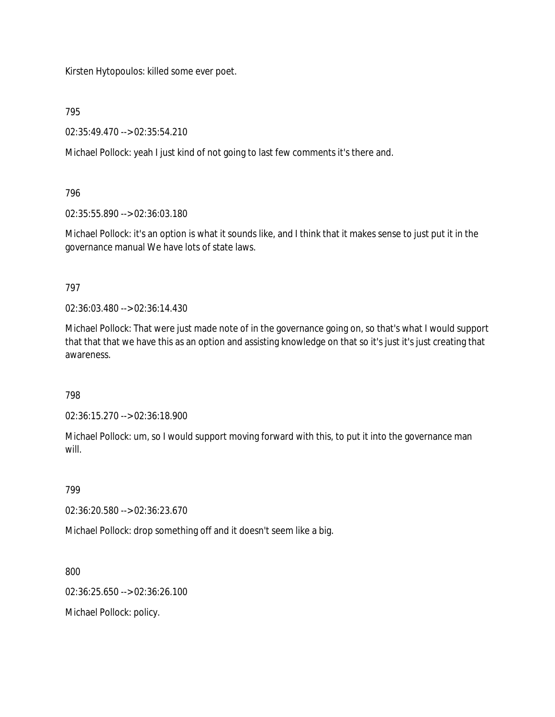Kirsten Hytopoulos: killed some ever poet.

795

02:35:49.470 --> 02:35:54.210

Michael Pollock: yeah I just kind of not going to last few comments it's there and.

### 796

02:35:55.890 --> 02:36:03.180

Michael Pollock: it's an option is what it sounds like, and I think that it makes sense to just put it in the governance manual We have lots of state laws.

### 797

02:36:03.480 --> 02:36:14.430

Michael Pollock: That were just made note of in the governance going on, so that's what I would support that that that we have this as an option and assisting knowledge on that so it's just it's just creating that awareness.

# 798

02:36:15.270 --> 02:36:18.900

Michael Pollock: um, so I would support moving forward with this, to put it into the governance man will.

799

02:36:20.580 --> 02:36:23.670

Michael Pollock: drop something off and it doesn't seem like a big.

800

02:36:25.650 --> 02:36:26.100

Michael Pollock: policy.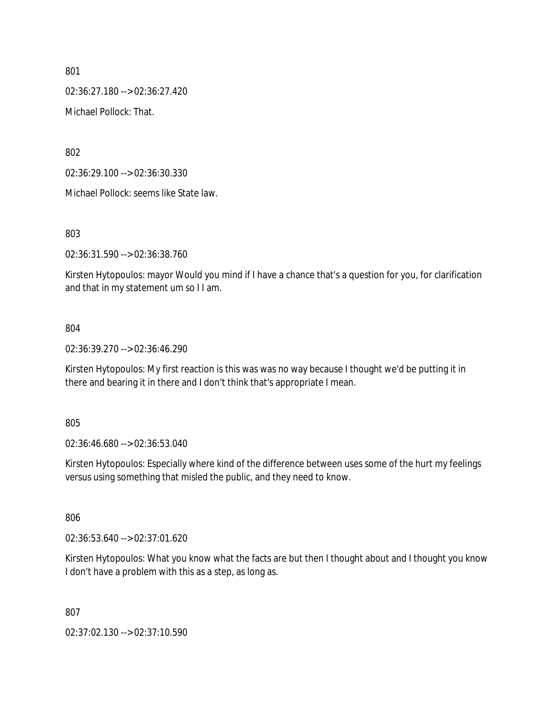02:36:27.180 --> 02:36:27.420

Michael Pollock: That.

802

02:36:29.100 --> 02:36:30.330

Michael Pollock: seems like State law.

803

02:36:31.590 --> 02:36:38.760

Kirsten Hytopoulos: mayor Would you mind if I have a chance that's a question for you, for clarification and that in my statement um so I I am.

#### 804

02:36:39.270 --> 02:36:46.290

Kirsten Hytopoulos: My first reaction is this was was no way because I thought we'd be putting it in there and bearing it in there and I don't think that's appropriate I mean.

805

02:36:46.680 --> 02:36:53.040

Kirsten Hytopoulos: Especially where kind of the difference between uses some of the hurt my feelings versus using something that misled the public, and they need to know.

806

02:36:53.640 --> 02:37:01.620

Kirsten Hytopoulos: What you know what the facts are but then I thought about and I thought you know I don't have a problem with this as a step, as long as.

807

02:37:02.130 --> 02:37:10.590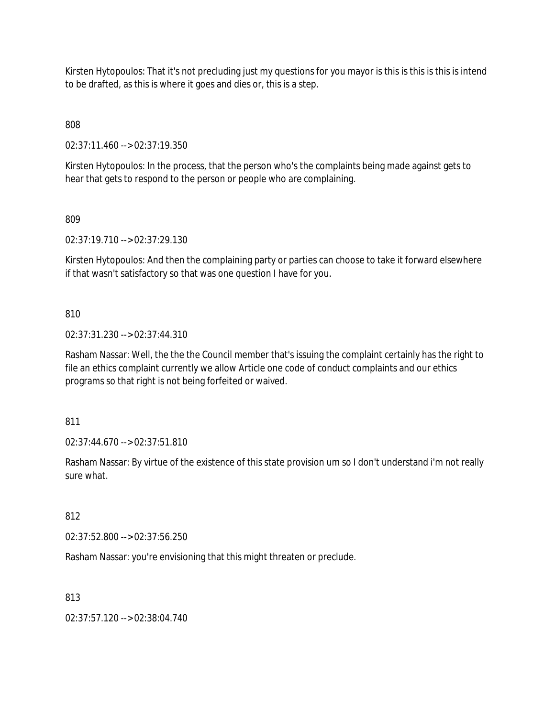Kirsten Hytopoulos: That it's not precluding just my questions for you mayor is this is this is this is intend to be drafted, as this is where it goes and dies or, this is a step.

808

02:37:11.460 --> 02:37:19.350

Kirsten Hytopoulos: In the process, that the person who's the complaints being made against gets to hear that gets to respond to the person or people who are complaining.

809

02:37:19.710 --> 02:37:29.130

Kirsten Hytopoulos: And then the complaining party or parties can choose to take it forward elsewhere if that wasn't satisfactory so that was one question I have for you.

810

02:37:31.230 --> 02:37:44.310

Rasham Nassar: Well, the the the Council member that's issuing the complaint certainly has the right to file an ethics complaint currently we allow Article one code of conduct complaints and our ethics programs so that right is not being forfeited or waived.

811

02:37:44.670 --> 02:37:51.810

Rasham Nassar: By virtue of the existence of this state provision um so I don't understand i'm not really sure what.

812

02:37:52.800 --> 02:37:56.250

Rasham Nassar: you're envisioning that this might threaten or preclude.

813

02:37:57.120 --> 02:38:04.740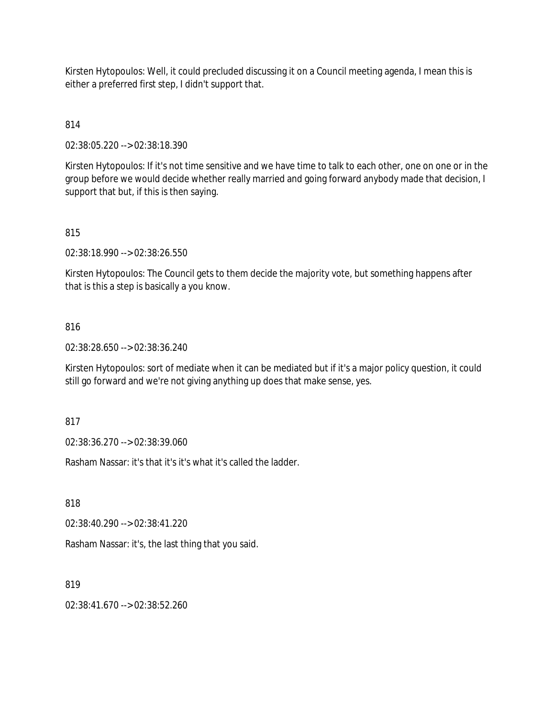Kirsten Hytopoulos: Well, it could precluded discussing it on a Council meeting agenda, I mean this is either a preferred first step, I didn't support that.

# 814

02:38:05.220 --> 02:38:18.390

Kirsten Hytopoulos: If it's not time sensitive and we have time to talk to each other, one on one or in the group before we would decide whether really married and going forward anybody made that decision, I support that but, if this is then saying.

# 815

02:38:18.990 --> 02:38:26.550

Kirsten Hytopoulos: The Council gets to them decide the majority vote, but something happens after that is this a step is basically a you know.

### 816

02:38:28.650 --> 02:38:36.240

Kirsten Hytopoulos: sort of mediate when it can be mediated but if it's a major policy question, it could still go forward and we're not giving anything up does that make sense, yes.

817

02:38:36.270 --> 02:38:39.060

Rasham Nassar: it's that it's it's what it's called the ladder.

818

02:38:40.290 --> 02:38:41.220

Rasham Nassar: it's, the last thing that you said.

819

02:38:41.670 --> 02:38:52.260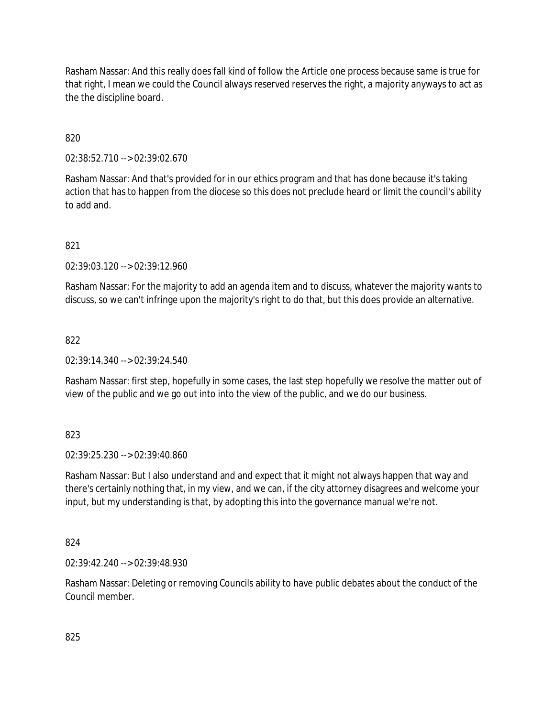Rasham Nassar: And this really does fall kind of follow the Article one process because same is true for that right, I mean we could the Council always reserved reserves the right, a majority anyways to act as the the discipline board.

820

02:38:52.710 --> 02:39:02.670

Rasham Nassar: And that's provided for in our ethics program and that has done because it's taking action that has to happen from the diocese so this does not preclude heard or limit the council's ability to add and.

821

02:39:03.120 --> 02:39:12.960

Rasham Nassar: For the majority to add an agenda item and to discuss, whatever the majority wants to discuss, so we can't infringe upon the majority's right to do that, but this does provide an alternative.

822

02:39:14.340 --> 02:39:24.540

Rasham Nassar: first step, hopefully in some cases, the last step hopefully we resolve the matter out of view of the public and we go out into into the view of the public, and we do our business.

823

02:39:25.230 --> 02:39:40.860

Rasham Nassar: But I also understand and and expect that it might not always happen that way and there's certainly nothing that, in my view, and we can, if the city attorney disagrees and welcome your input, but my understanding is that, by adopting this into the governance manual we're not.

824

02:39:42.240 --> 02:39:48.930

Rasham Nassar: Deleting or removing Councils ability to have public debates about the conduct of the Council member.

825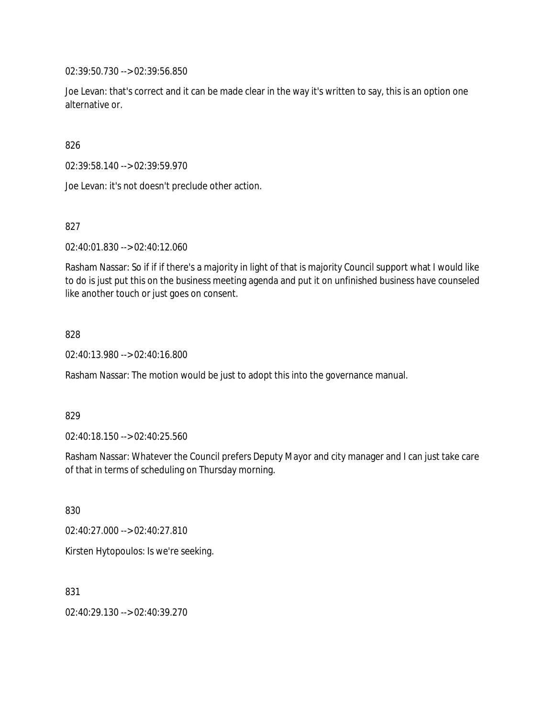02:39:50.730 --> 02:39:56.850

Joe Levan: that's correct and it can be made clear in the way it's written to say, this is an option one alternative or.

826

02:39:58.140 --> 02:39:59.970

Joe Levan: it's not doesn't preclude other action.

827

02:40:01.830 --> 02:40:12.060

Rasham Nassar: So if if if there's a majority in light of that is majority Council support what I would like to do is just put this on the business meeting agenda and put it on unfinished business have counseled like another touch or just goes on consent.

828

02:40:13.980 --> 02:40:16.800

Rasham Nassar: The motion would be just to adopt this into the governance manual.

829

02:40:18.150 --> 02:40:25.560

Rasham Nassar: Whatever the Council prefers Deputy Mayor and city manager and I can just take care of that in terms of scheduling on Thursday morning.

830

02:40:27.000 --> 02:40:27.810

Kirsten Hytopoulos: Is we're seeking.

831

02:40:29.130 --> 02:40:39.270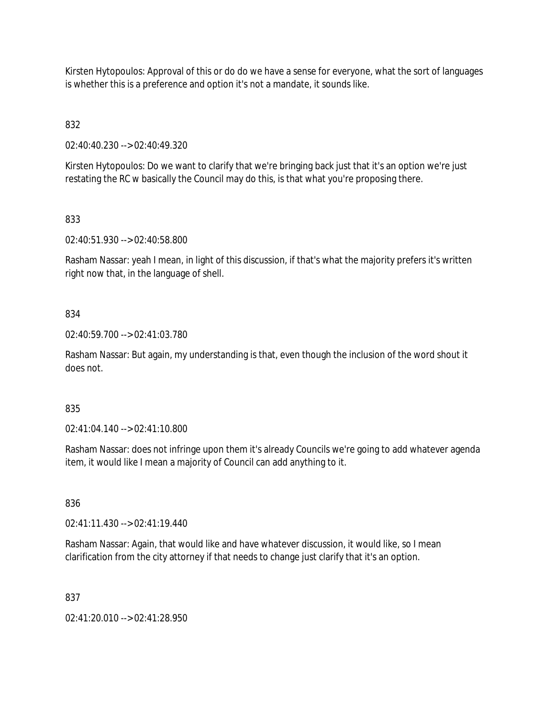Kirsten Hytopoulos: Approval of this or do do we have a sense for everyone, what the sort of languages is whether this is a preference and option it's not a mandate, it sounds like.

832

02:40:40.230 --> 02:40:49.320

Kirsten Hytopoulos: Do we want to clarify that we're bringing back just that it's an option we're just restating the RC w basically the Council may do this, is that what you're proposing there.

833

02:40:51.930 --> 02:40:58.800

Rasham Nassar: yeah I mean, in light of this discussion, if that's what the majority prefers it's written right now that, in the language of shell.

834

02:40:59.700 --> 02:41:03.780

Rasham Nassar: But again, my understanding is that, even though the inclusion of the word shout it does not.

835

02:41:04.140 --> 02:41:10.800

Rasham Nassar: does not infringe upon them it's already Councils we're going to add whatever agenda item, it would like I mean a majority of Council can add anything to it.

836

02:41:11.430 --> 02:41:19.440

Rasham Nassar: Again, that would like and have whatever discussion, it would like, so I mean clarification from the city attorney if that needs to change just clarify that it's an option.

837

02:41:20.010 --> 02:41:28.950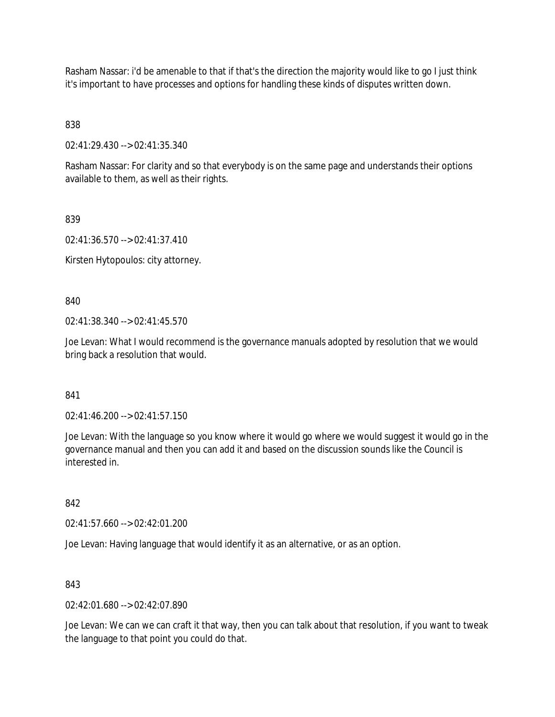Rasham Nassar: i'd be amenable to that if that's the direction the majority would like to go I just think it's important to have processes and options for handling these kinds of disputes written down.

838

02:41:29.430 --> 02:41:35.340

Rasham Nassar: For clarity and so that everybody is on the same page and understands their options available to them, as well as their rights.

839

02:41:36.570 --> 02:41:37.410

Kirsten Hytopoulos: city attorney.

840

02:41:38.340 --> 02:41:45.570

Joe Levan: What I would recommend is the governance manuals adopted by resolution that we would bring back a resolution that would.

841

02:41:46.200 --> 02:41:57.150

Joe Levan: With the language so you know where it would go where we would suggest it would go in the governance manual and then you can add it and based on the discussion sounds like the Council is interested in.

842

02:41:57.660 --> 02:42:01.200

Joe Levan: Having language that would identify it as an alternative, or as an option.

843

 $02.42.01.680 -5.02.42.07.890$ 

Joe Levan: We can we can craft it that way, then you can talk about that resolution, if you want to tweak the language to that point you could do that.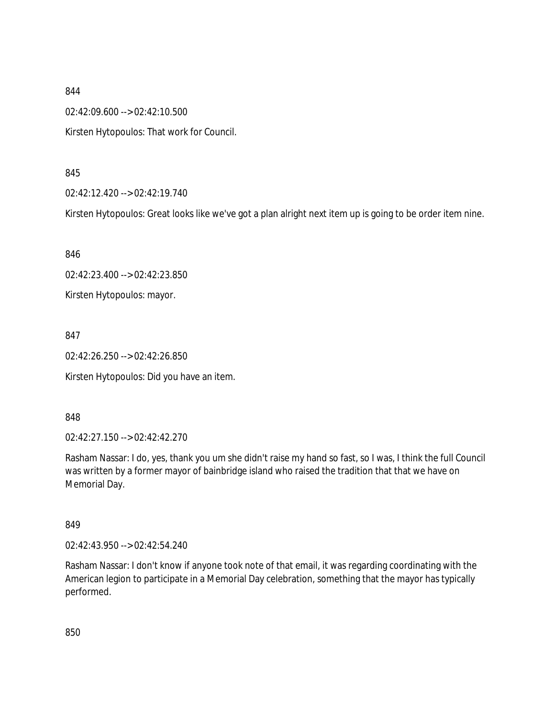02:42:09.600 --> 02:42:10.500

Kirsten Hytopoulos: That work for Council.

845

02:42:12.420 --> 02:42:19.740

Kirsten Hytopoulos: Great looks like we've got a plan alright next item up is going to be order item nine.

846

02:42:23.400 --> 02:42:23.850

Kirsten Hytopoulos: mayor.

847

02:42:26.250 --> 02:42:26.850

Kirsten Hytopoulos: Did you have an item.

848

02:42:27.150 --> 02:42:42.270

Rasham Nassar: I do, yes, thank you um she didn't raise my hand so fast, so I was, I think the full Council was written by a former mayor of bainbridge island who raised the tradition that that we have on Memorial Day.

849

02:42:43.950 --> 02:42:54.240

Rasham Nassar: I don't know if anyone took note of that email, it was regarding coordinating with the American legion to participate in a Memorial Day celebration, something that the mayor has typically performed.

850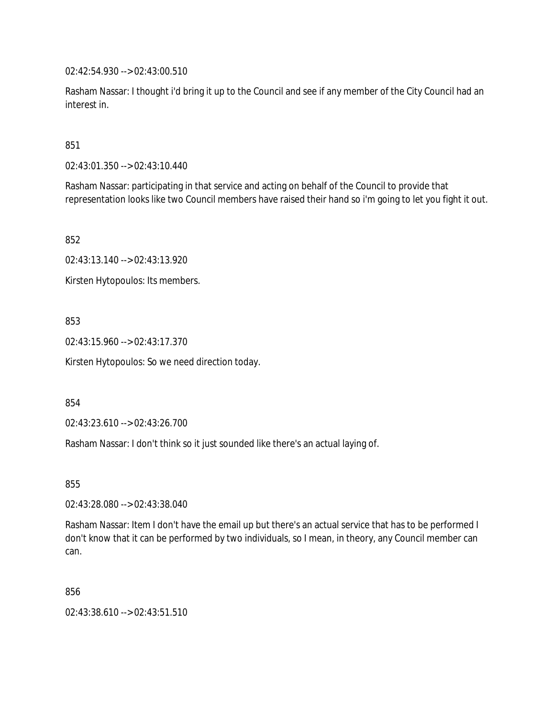02:42:54.930 --> 02:43:00.510

Rasham Nassar: I thought i'd bring it up to the Council and see if any member of the City Council had an interest in.

851

02:43:01.350 --> 02:43:10.440

Rasham Nassar: participating in that service and acting on behalf of the Council to provide that representation looks like two Council members have raised their hand so i'm going to let you fight it out.

852

02:43:13.140 --> 02:43:13.920

Kirsten Hytopoulos: Its members.

853

02:43:15.960 --> 02:43:17.370

Kirsten Hytopoulos: So we need direction today.

854

02:43:23.610 --> 02:43:26.700

Rasham Nassar: I don't think so it just sounded like there's an actual laying of.

855

02:43:28.080 --> 02:43:38.040

Rasham Nassar: Item I don't have the email up but there's an actual service that has to be performed I don't know that it can be performed by two individuals, so I mean, in theory, any Council member can can.

856

02:43:38.610 --> 02:43:51.510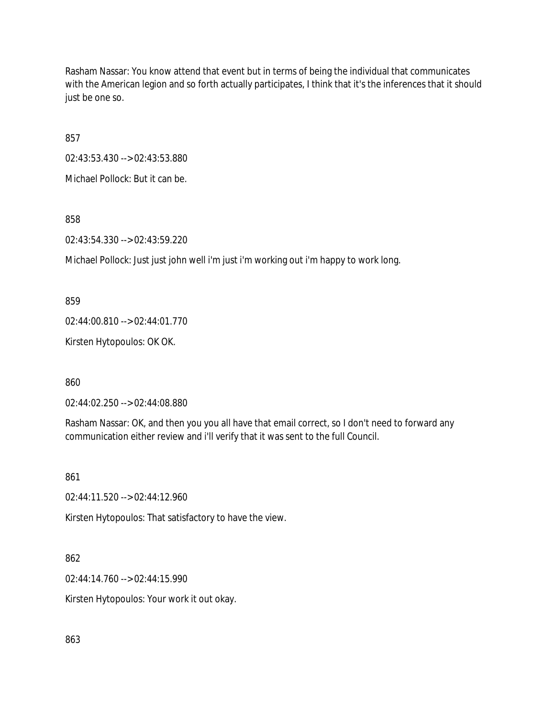Rasham Nassar: You know attend that event but in terms of being the individual that communicates with the American legion and so forth actually participates, I think that it's the inferences that it should just be one so.

857

02:43:53.430 --> 02:43:53.880

Michael Pollock: But it can be.

858

02:43:54.330 --> 02:43:59.220

Michael Pollock: Just just john well i'm just i'm working out i'm happy to work long.

859

02:44:00.810 --> 02:44:01.770

Kirsten Hytopoulos: OK OK.

860

02:44:02.250 --> 02:44:08.880

Rasham Nassar: OK, and then you you all have that email correct, so I don't need to forward any communication either review and i'll verify that it was sent to the full Council.

861

02:44:11.520 --> 02:44:12.960

Kirsten Hytopoulos: That satisfactory to have the view.

862

02:44:14.760 --> 02:44:15.990

Kirsten Hytopoulos: Your work it out okay.

863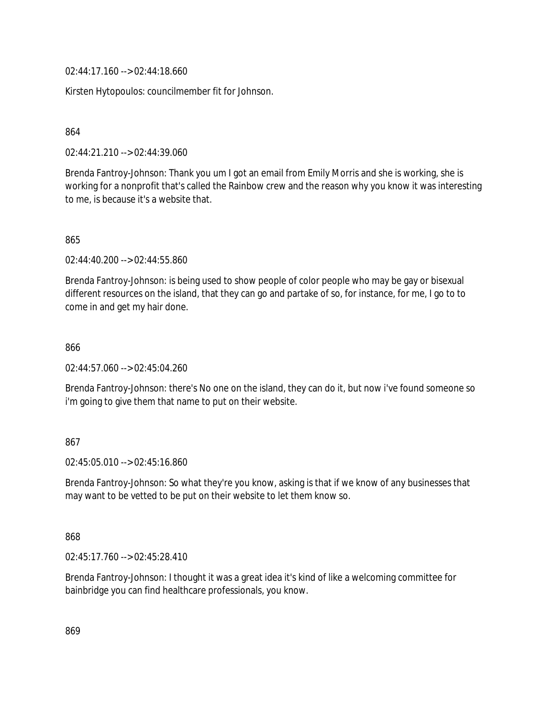02:44:17.160 --> 02:44:18.660

Kirsten Hytopoulos: councilmember fit for Johnson.

864

02:44:21.210 --> 02:44:39.060

Brenda Fantroy-Johnson: Thank you um I got an email from Emily Morris and she is working, she is working for a nonprofit that's called the Rainbow crew and the reason why you know it was interesting to me, is because it's a website that.

865

02:44:40.200 --> 02:44:55.860

Brenda Fantroy-Johnson: is being used to show people of color people who may be gay or bisexual different resources on the island, that they can go and partake of so, for instance, for me, I go to to come in and get my hair done.

866

02:44:57.060 --> 02:45:04.260

Brenda Fantroy-Johnson: there's No one on the island, they can do it, but now i've found someone so i'm going to give them that name to put on their website.

#### 867

02:45:05.010 --> 02:45:16.860

Brenda Fantroy-Johnson: So what they're you know, asking is that if we know of any businesses that may want to be vetted to be put on their website to let them know so.

868

02:45:17.760 --> 02:45:28.410

Brenda Fantroy-Johnson: I thought it was a great idea it's kind of like a welcoming committee for bainbridge you can find healthcare professionals, you know.

869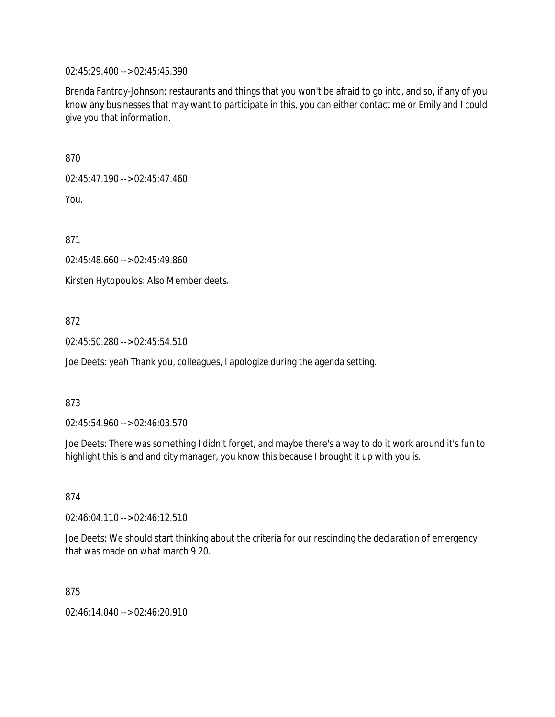02:45:29.400 --> 02:45:45.390

Brenda Fantroy-Johnson: restaurants and things that you won't be afraid to go into, and so, if any of you know any businesses that may want to participate in this, you can either contact me or Emily and I could give you that information.

870

02:45:47.190 --> 02:45:47.460

You.

871

02:45:48.660 --> 02:45:49.860

Kirsten Hytopoulos: Also Member deets.

872

02:45:50.280 --> 02:45:54.510

Joe Deets: yeah Thank you, colleagues, I apologize during the agenda setting.

873

02:45:54.960 --> 02:46:03.570

Joe Deets: There was something I didn't forget, and maybe there's a way to do it work around it's fun to highlight this is and and city manager, you know this because I brought it up with you is.

874

02:46:04.110 --> 02:46:12.510

Joe Deets: We should start thinking about the criteria for our rescinding the declaration of emergency that was made on what march 9 20.

875

02:46:14.040 --> 02:46:20.910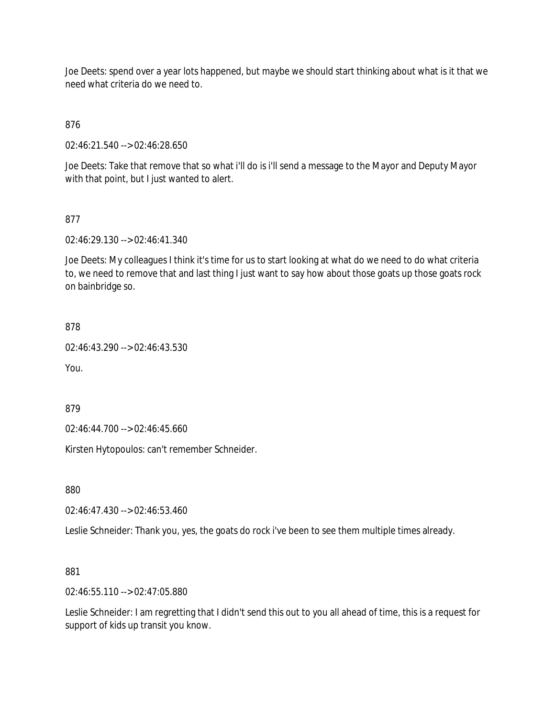Joe Deets: spend over a year lots happened, but maybe we should start thinking about what is it that we need what criteria do we need to.

876

02:46:21.540 --> 02:46:28.650

Joe Deets: Take that remove that so what i'll do is i'll send a message to the Mayor and Deputy Mayor with that point, but I just wanted to alert.

#### 877

02:46:29.130 --> 02:46:41.340

Joe Deets: My colleagues I think it's time for us to start looking at what do we need to do what criteria to, we need to remove that and last thing I just want to say how about those goats up those goats rock on bainbridge so.

```
878
```
02:46:43.290 --> 02:46:43.530

You.

879

02:46:44.700 --> 02:46:45.660

Kirsten Hytopoulos: can't remember Schneider.

880

02:46:47.430 --> 02:46:53.460

Leslie Schneider: Thank you, yes, the goats do rock i've been to see them multiple times already.

881

02:46:55.110 --> 02:47:05.880

Leslie Schneider: I am regretting that I didn't send this out to you all ahead of time, this is a request for support of kids up transit you know.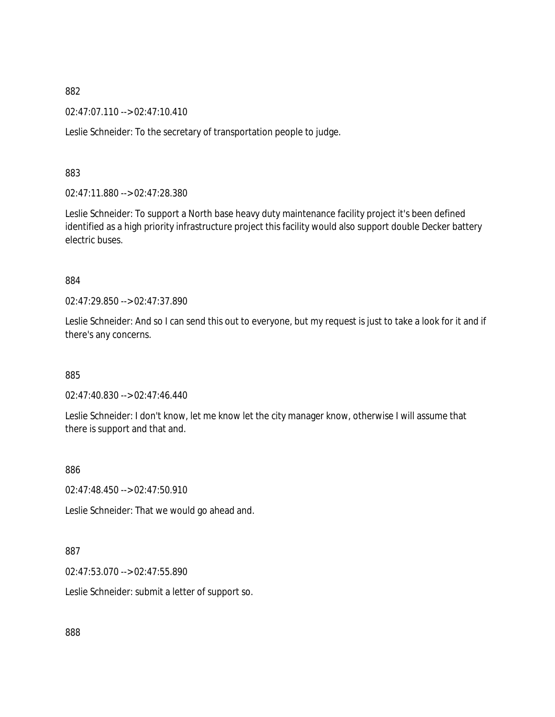02:47:07.110 --> 02:47:10.410

Leslie Schneider: To the secretary of transportation people to judge.

883

02:47:11.880 --> 02:47:28.380

Leslie Schneider: To support a North base heavy duty maintenance facility project it's been defined identified as a high priority infrastructure project this facility would also support double Decker battery electric buses.

884

02:47:29.850 --> 02:47:37.890

Leslie Schneider: And so I can send this out to everyone, but my request is just to take a look for it and if there's any concerns.

885

02:47:40.830 --> 02:47:46.440

Leslie Schneider: I don't know, let me know let the city manager know, otherwise I will assume that there is support and that and.

886

02:47:48.450 --> 02:47:50.910

Leslie Schneider: That we would go ahead and.

887

02:47:53.070 --> 02:47:55.890

Leslie Schneider: submit a letter of support so.

888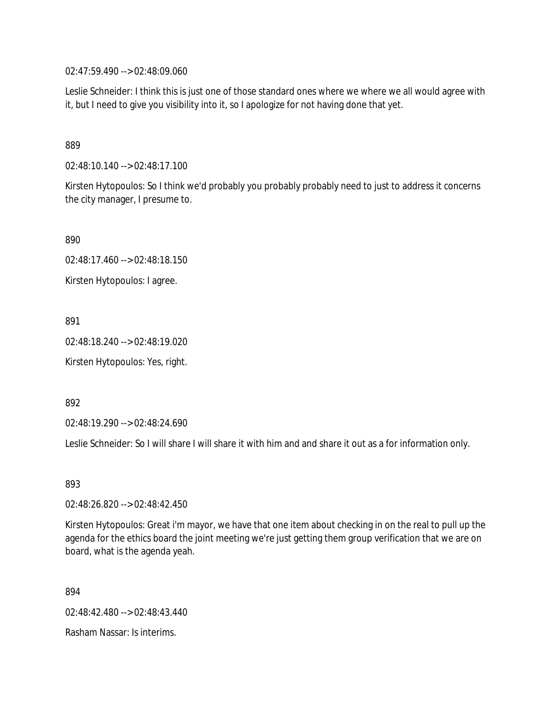02:47:59.490 --> 02:48:09.060

Leslie Schneider: I think this is just one of those standard ones where we where we all would agree with it, but I need to give you visibility into it, so I apologize for not having done that yet.

#### 889

02:48:10.140 --> 02:48:17.100

Kirsten Hytopoulos: So I think we'd probably you probably probably need to just to address it concerns the city manager, I presume to.

890

02:48:17.460 --> 02:48:18.150

Kirsten Hytopoulos: I agree.

891

02:48:18.240 --> 02:48:19.020

Kirsten Hytopoulos: Yes, right.

892

02:48:19.290 --> 02:48:24.690

Leslie Schneider: So I will share I will share it with him and and share it out as a for information only.

893

02:48:26.820 --> 02:48:42.450

Kirsten Hytopoulos: Great i'm mayor, we have that one item about checking in on the real to pull up the agenda for the ethics board the joint meeting we're just getting them group verification that we are on board, what is the agenda yeah.

894

02:48:42.480 --> 02:48:43.440

Rasham Nassar: Is interims.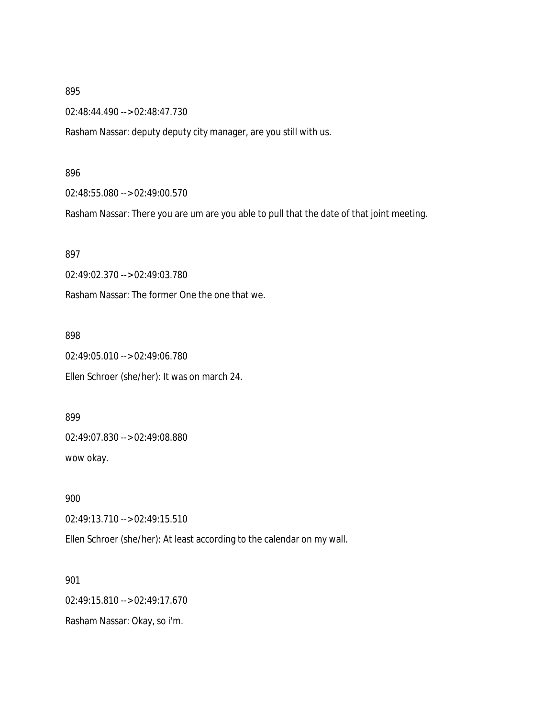02:48:44.490 --> 02:48:47.730

Rasham Nassar: deputy deputy city manager, are you still with us.

#### 896

02:48:55.080 --> 02:49:00.570

Rasham Nassar: There you are um are you able to pull that the date of that joint meeting.

#### 897

02:49:02.370 --> 02:49:03.780

Rasham Nassar: The former One the one that we.

#### 898

02:49:05.010 --> 02:49:06.780 Ellen Schroer (she/her): It was on march 24.

899 02:49:07.830 --> 02:49:08.880 wow okay.

900 02:49:13.710 --> 02:49:15.510

Ellen Schroer (she/her): At least according to the calendar on my wall.

901 02:49:15.810 --> 02:49:17.670 Rasham Nassar: Okay, so i'm.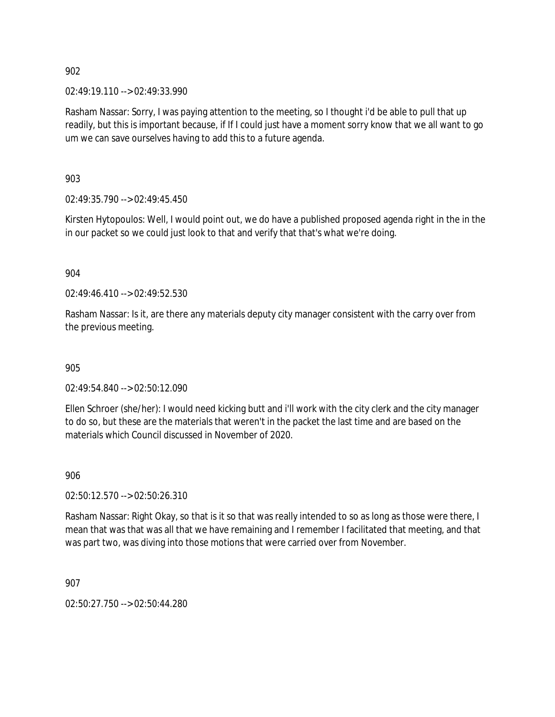902

02:49:19.110 --> 02:49:33.990

Rasham Nassar: Sorry, I was paying attention to the meeting, so I thought i'd be able to pull that up readily, but this is important because, if If I could just have a moment sorry know that we all want to go um we can save ourselves having to add this to a future agenda.

903

02:49:35.790 --> 02:49:45.450

Kirsten Hytopoulos: Well, I would point out, we do have a published proposed agenda right in the in the in our packet so we could just look to that and verify that that's what we're doing.

904

02:49:46.410 --> 02:49:52.530

Rasham Nassar: Is it, are there any materials deputy city manager consistent with the carry over from the previous meeting.

905

02:49:54.840 --> 02:50:12.090

Ellen Schroer (she/her): I would need kicking butt and i'll work with the city clerk and the city manager to do so, but these are the materials that weren't in the packet the last time and are based on the materials which Council discussed in November of 2020.

906

02:50:12.570 --> 02:50:26.310

Rasham Nassar: Right Okay, so that is it so that was really intended to so as long as those were there, I mean that was that was all that we have remaining and I remember I facilitated that meeting, and that was part two, was diving into those motions that were carried over from November.

907

02:50:27.750 --> 02:50:44.280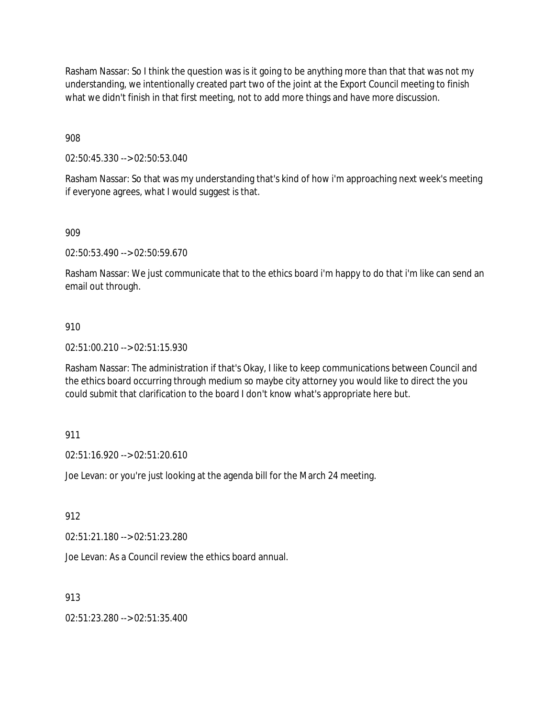Rasham Nassar: So I think the question was is it going to be anything more than that that was not my understanding, we intentionally created part two of the joint at the Export Council meeting to finish what we didn't finish in that first meeting, not to add more things and have more discussion.

908

02:50:45.330 --> 02:50:53.040

Rasham Nassar: So that was my understanding that's kind of how i'm approaching next week's meeting if everyone agrees, what I would suggest is that.

909

02:50:53.490 --> 02:50:59.670

Rasham Nassar: We just communicate that to the ethics board i'm happy to do that i'm like can send an email out through.

## 910

02:51:00.210 --> 02:51:15.930

Rasham Nassar: The administration if that's Okay, I like to keep communications between Council and the ethics board occurring through medium so maybe city attorney you would like to direct the you could submit that clarification to the board I don't know what's appropriate here but.

## 911

02:51:16.920 --> 02:51:20.610

Joe Levan: or you're just looking at the agenda bill for the March 24 meeting.

912

02:51:21.180 --> 02:51:23.280

Joe Levan: As a Council review the ethics board annual.

## 913

02:51:23.280 --> 02:51:35.400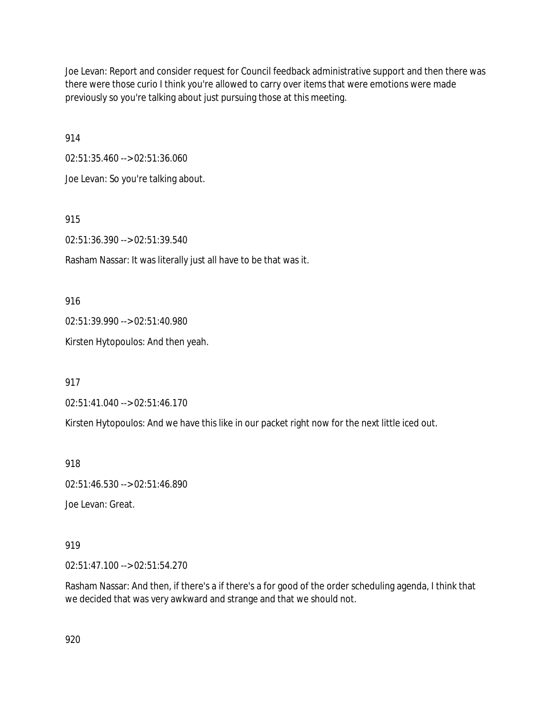Joe Levan: Report and consider request for Council feedback administrative support and then there was there were those curio I think you're allowed to carry over items that were emotions were made previously so you're talking about just pursuing those at this meeting.

914

02:51:35.460 --> 02:51:36.060

Joe Levan: So you're talking about.

915

02:51:36.390 --> 02:51:39.540

Rasham Nassar: It was literally just all have to be that was it.

916

02:51:39.990 --> 02:51:40.980

Kirsten Hytopoulos: And then yeah.

917

02:51:41.040 --> 02:51:46.170

Kirsten Hytopoulos: And we have this like in our packet right now for the next little iced out.

918

02:51:46.530 --> 02:51:46.890

Joe Levan: Great.

919

02:51:47.100 --> 02:51:54.270

Rasham Nassar: And then, if there's a if there's a for good of the order scheduling agenda, I think that we decided that was very awkward and strange and that we should not.

920